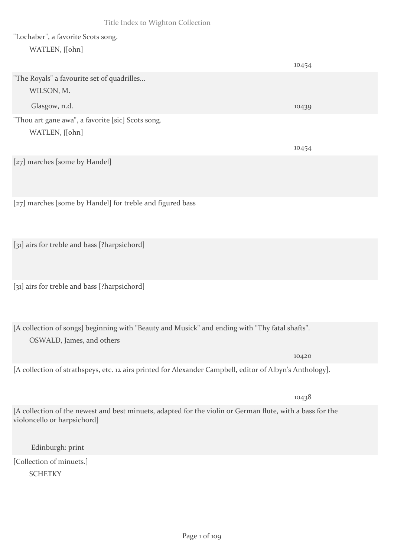## "Lochaber", a favorite Scots song. WATLEN, J[ohn]

|                                                                                                                                          | 10454 |
|------------------------------------------------------------------------------------------------------------------------------------------|-------|
| "The Royals" a favourite set of quadrilles                                                                                               |       |
| WILSON, M.                                                                                                                               |       |
| Glasgow, n.d.                                                                                                                            | 10439 |
| "Thou art gane awa", a favorite [sic] Scots song.                                                                                        |       |
| WATLEN, J[ohn]                                                                                                                           |       |
|                                                                                                                                          | 10454 |
| [27] marches [some by Handel]                                                                                                            |       |
| [27] marches [some by Handel] for treble and figured bass                                                                                |       |
| [31] airs for treble and bass [?harpsichord]                                                                                             |       |
| [31] airs for treble and bass [?harpsichord]                                                                                             |       |
| [A collection of songs] beginning with "Beauty and Musick" and ending with "Thy fatal shafts".<br>OSWALD, James, and others              |       |
|                                                                                                                                          | 10420 |
| [A collection of strathspeys, etc. 12 airs printed for Alexander Campbell, editor of Albyn's Anthology].                                 |       |
|                                                                                                                                          | 10438 |
| [A collection of the newest and best minuets, adapted for the violin or German flute, with a bass for the<br>violoncello or harpsichord] |       |
| Edinburgh: print                                                                                                                         |       |
| [Collection of minuets.]                                                                                                                 |       |
| <b>SCHETKY</b>                                                                                                                           |       |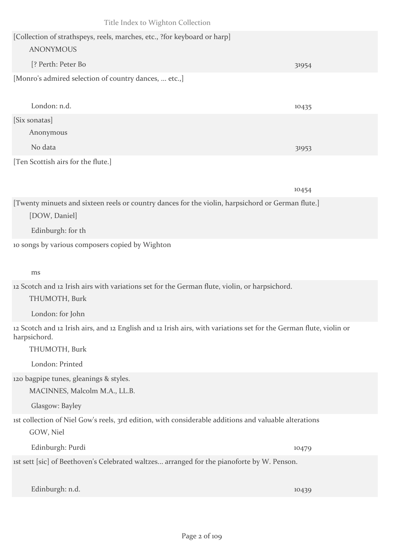| [Collection of strathspeys, reels, marches, etc., ?for keyboard or harp]<br><b>ANONYMOUS</b>                                       |       |
|------------------------------------------------------------------------------------------------------------------------------------|-------|
| [? Perth: Peter Bo                                                                                                                 | 31954 |
| [Monro's admired selection of country dances,  etc.,]                                                                              |       |
| London: n.d.                                                                                                                       | 10435 |
| [Six sonatas]<br>Anonymous                                                                                                         |       |
| No data                                                                                                                            | 31953 |
| [Ten Scottish airs for the flute.]                                                                                                 |       |
|                                                                                                                                    | 10454 |
| [Twenty minuets and sixteen reels or country dances for the violin, harpsichord or German flute.]<br>[DOW, Daniel]                 |       |
| Edinburgh: for th                                                                                                                  |       |
| to songs by various composers copied by Wighton<br>ms                                                                              |       |
| 12 Scotch and 12 Irish airs with variations set for the German flute, violin, or harpsichord.                                      |       |
| THUMOTH, Burk                                                                                                                      |       |
| London: for John                                                                                                                   |       |
| 12 Scotch and 12 Irish airs, and 12 English and 12 Irish airs, with variations set for the German flute, violin or<br>harpsichord. |       |
| THUMOTH, Burk                                                                                                                      |       |
| London: Printed                                                                                                                    |       |
| 120 bagpipe tunes, gleanings & styles.                                                                                             |       |
| MACINNES, Malcolm M.A., LL.B.                                                                                                      |       |
| Glasgow: Bayley                                                                                                                    |       |
| ist collection of Niel Gow's reels, 3rd edition, with considerable additions and valuable alterations<br>GOW, Niel                 |       |
| Edinburgh: Purdi                                                                                                                   | 10479 |
| ist sett [sic] of Beethoven's Celebrated waltzes arranged for the pianoforte by W. Penson.                                         |       |
| Edinburgh: n.d.                                                                                                                    | 10439 |
|                                                                                                                                    |       |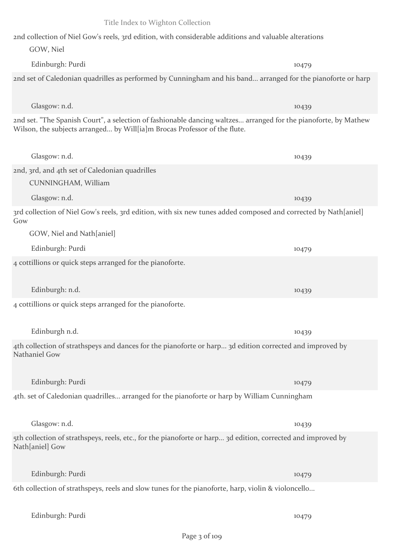2nd collection of Niel Gow's reels, 3rd edition, with considerable additions and valuable alterations GOW, Niel Edinburgh: Purdi 10479 2nd set of Caledonian quadrilles as performed by Cunningham and his band... arranged for the pianoforte or harp Glasgow: n.d. 10439 2nd set. "The Spanish Court", a selection of fashionable dancing waltzes... arranged for the pianoforte, by Mathew Wilson, the subjects arranged... by Will[ia]m Brocas Professor of the flute. Glasgow: n.d. 10439 2nd, 3rd, and 4th set of Caledonian quadrilles CUNNINGHAM, William Glasgow: n.d. 10439 3rd collection of Niel Gow's reels, 3rd edition, with six new tunes added composed and corrected by Nath[aniel] Gow GOW, Niel and Nath[aniel] Edinburgh: Purdi 10479 4 cottillions or quick steps arranged for the pianoforte. Edinburgh: n.d. 10439 4 cottillions or quick steps arranged for the pianoforte. Edinburgh n.d. 10439 4th collection of strathspeys and dances for the pianoforte or harp... 3d edition corrected and improved by Nathaniel Gow Edinburgh: Purdi 10479 4th. set of Caledonian quadrilles... arranged for the pianoforte or harp by William Cunningham Glasgow: n.d. 10439 5th collection of strathspeys, reels, etc., for the pianoforte or harp... 3d edition, corrected and improved by Nath[aniel] Gow Edinburgh: Purdi 10479 6th collection of strathspeys, reels and slow tunes for the pianoforte, harp, violin & violoncello... Edinburgh: Purdi 10479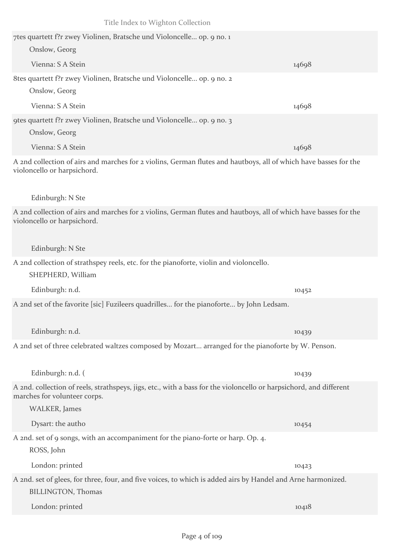| Title Index to Wighton Collection                                                                                                                                   |       |
|---------------------------------------------------------------------------------------------------------------------------------------------------------------------|-------|
| 7tes quartett f?r zwey Violinen, Bratsche und Violoncelle op. 9 no. 1                                                                                               |       |
| Onslow, Georg                                                                                                                                                       |       |
| Vienna: S A Stein                                                                                                                                                   | 14698 |
| 8tes quartett f?r zwey Violinen, Bratsche und Violoncelle op. 9 no. 2                                                                                               |       |
| Onslow, Georg                                                                                                                                                       |       |
| Vienna: S A Stein                                                                                                                                                   | 14698 |
| 9 gtes quartett f?r zwey Violinen, Bratsche und Violoncelle op. 9 no. 3                                                                                             |       |
| Onslow, Georg                                                                                                                                                       |       |
| Vienna: S A Stein                                                                                                                                                   | 14698 |
| A 2nd collection of airs and marches for 2 violins, German flutes and hautboys, all of which have basses for the<br>violoncello or harpsichord.                     |       |
| Edinburgh: N Ste                                                                                                                                                    |       |
| A 2nd collection of airs and marches for 2 violins, German flutes and hautboys, all of which have basses for the<br>violoncello or harpsichord.                     |       |
| Edinburgh: N Ste                                                                                                                                                    |       |
| A 2nd collection of strathspey reels, etc. for the pianoforte, violin and violoncello.<br>SHEPHERD, William                                                         |       |
| Edinburgh: n.d.                                                                                                                                                     | 10452 |
| A 2nd set of the favorite [sic] Fuzileers quadrilles for the pianoforte by John Ledsam.                                                                             |       |
| Edinburgh: n.d.                                                                                                                                                     | 10439 |
| A 2nd set of three celebrated waltzes composed by Mozart arranged for the pianoforte by W. Penson.                                                                  |       |
| Edinburgh: n.d. (                                                                                                                                                   | 10439 |
| A 2nd. collection of reels, strathspeys, jigs, etc., with a bass for the violoncello or harpsichord, and different<br>marches for volunteer corps.<br>WALKER, James |       |
| Dysart: the autho                                                                                                                                                   | 10454 |
| A 2nd. set of 9 songs, with an accompaniment for the piano-forte or harp. Op. 4.<br>ROSS, John                                                                      |       |
| London: printed                                                                                                                                                     | 10423 |
| A 2nd. set of glees, for three, four, and five voices, to which is added airs by Handel and Arne harmonized.<br><b>BILLINGTON, Thomas</b>                           |       |
| London: printed                                                                                                                                                     | 10418 |
|                                                                                                                                                                     |       |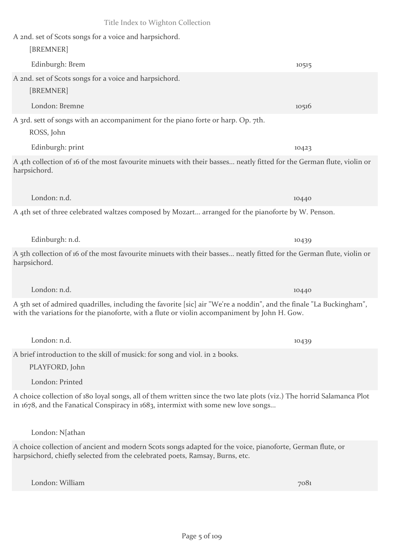Edinburgh: Brem 10515

A 2nd. set of Scots songs for a voice and harpsichord.

A 2nd. set of Scots songs for a voice and harpsichord.

[BREMNER]

[BREMNER] London: Bremne 10516 A 3rd. sett of songs with an accompaniment for the piano forte or harp. Op. 7th. ROSS, John Edinburgh: print 10423

A 4th collection of 16 of the most favourite minuets with their basses... neatly fitted for the German flute, violin or harpsichord.

A 4th set of three celebrated waltzes composed by Mozart... arranged for the pianoforte by W. Penson.

London: n.d. 10440

Edinburgh: n.d. 10439

A 5th collection of 16 of the most favourite minuets with their basses... neatly fitted for the German flute, violin or harpsichord.

A 5th set of admired quadrilles, including the favorite [sic] air "We're a noddin", and the finale "La Buckingham", with the variations for the pianoforte, with a flute or violin accompaniment by John H. Gow.

A brief introduction to the skill of musick: for song and viol. in 2 books. PLAYFORD, John

London: Printed

A choice collection of 180 loyal songs, all of them written since the two late plots (viz.) The horrid Salamanca Plot in 1678, and the Fanatical Conspiracy in 1683, intermixt with some new love songs...

London: N[athan

A choice collection of ancient and modern Scots songs adapted for the voice, pianoforte, German flute, or harpsichord, chiefly selected from the celebrated poets, Ramsay, Burns, etc.

London: William 7081

London: n.d. 10440

London: n.d. 10439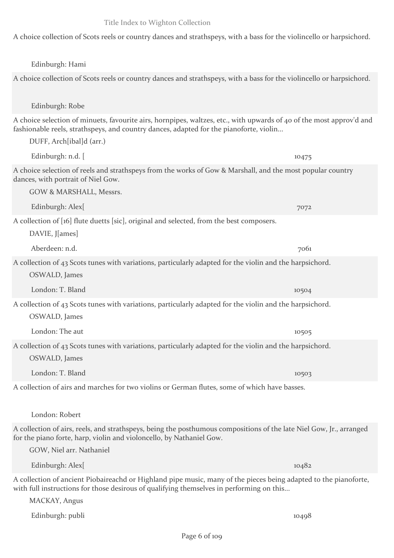Edinburgh: Robe fashionable reels, strathspeys, and country dances, adapted for the pianoforte, violin... DUFF, Arch[ibal]d (arr.) Edinburgh: n.d. [ 10475 A choice selection of reels and strathspeys from the works of Gow & Marshall, and the most popular country dances, with portrait of Niel Gow. GOW & MARSHALL, Messrs. Edinburgh: Alex[ 7072 A collection of [16] flute duetts [sic], original and selected, from the best composers. DAVIE, J[ames] Aberdeen: n.d. 7061 A collection of 43 Scots tunes with variations, particularly adapted for the violin and the harpsichord. OSWALD, James London: T. Bland 10504 A collection of 43 Scots tunes with variations, particularly adapted for the violin and the harpsichord. OSWALD, James London: The aut 10505 A collection of 43 Scots tunes with variations, particularly adapted for the violin and the harpsichord. OSWALD, James London: T. Bland 10503 A collection of airs and marches for two violins or German flutes, some of which have basses. London: Robert for the piano forte, harp, violin and violoncello, by Nathaniel Gow. GOW, Niel arr. Nathaniel Edinburgh: Alex[ 10482

A choice collection of Scots reels or country dances and strathspeys, with a bass for the violincello or harpsichord.

Edinburgh: Hami

A choice collection of Scots reels or country dances and strathspeys, with a bass for the violincello or harpsichord.

A choice selection of minuets, favourite airs, hornpipes, waltzes, etc., with upwards of 40 of the most approv'd and

A collection of airs, reels, and strathspeys, being the posthumous compositions of the late Niel Gow, Jr., arranged

A collection of ancient Piobaireachd or Highland pipe music, many of the pieces being adapted to the pianoforte, with full instructions for those desirous of qualifying themselves in performing on this...

MACKAY, Angus

Edinburgh: publi 10498

## Title Index to Wighton Collection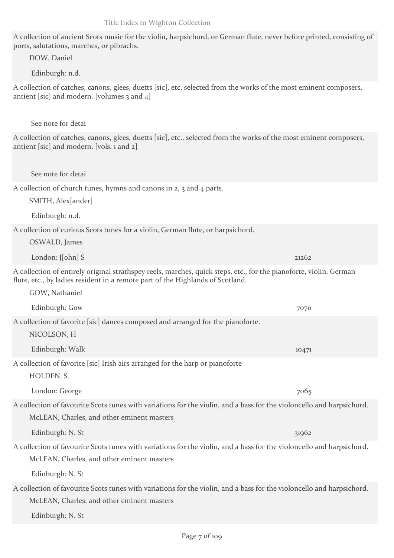A collection of ancient Scots music for the violin, harpsichord, or German flute, never before printed, consisting of ports, salutations, marches, or pibrachs.

DOW, Daniel

Edinburgh: n.d.

A collection of catches, canons, glees, duetts [sic], etc. selected from the works of the most eminent composers, antient [sic] and modern. [volumes 3 and 4]

See note for detai

A collection of catches, canons, glees, duetts [sic], etc., selected from the works of the most eminent composers, antient [sic] and modern. [vols. 1 and 2]

See note for detai

A collection of church tunes, hymns and canons in 2, 3 and 4 parts.

SMITH, Alex[ander]

Edinburgh: n.d.

A collection of curious Scots tunes for a violin, German flute, or harpsichord.

OSWALD, James

London:  $\lceil \cosh S \rceil$  21262

A collection of entirely original strathspey reels, marches, quick steps, etc., for the pianoforte, violin, German flute, etc., by ladies resident in a remote part of the Highlands of Scotland.

GOW, Nathaniel

Edinburgh: Gow 7070 A collection of favorite [sic] dances composed and arranged for the pianoforte. NICOLSON, H

Edinburgh: Walk 10471

A collection of favorite [sic] Irish airs arranged for the harp or pianoforte HOLDEN, S.

London: George 7065 A collection of favourite Scots tunes with variations for the violin, and a bass for the violoncello and harpsichord. McLEAN, Charles, and other eminent masters

Edinburgh: N. St  $31962$ 

A collection of favourite Scots tunes with variations for the violin, and a bass for the violoncello and harpsichord. McLEAN, Charles, and other eminent masters

Edinburgh: N. St

A collection of favourite Scots tunes with variations for the violin, and a bass for the violoncello and harpsichord. McLEAN, Charles, and other eminent masters

Edinburgh: N. St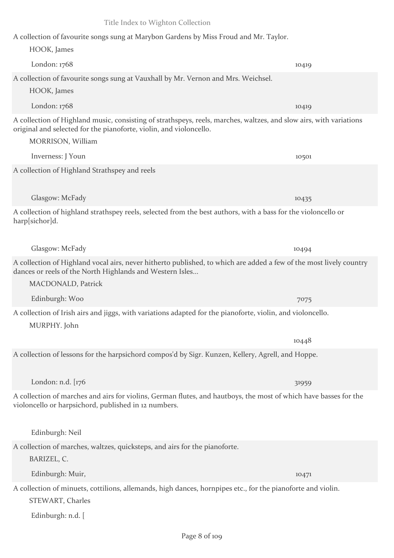A collection of favourite songs sung at Marybon Gardens by Miss Froud and Mr. Taylor.

HOOK, James London: 1768 10419 A collection of favourite songs sung at Vauxhall by Mr. Vernon and Mrs. Weichsel. HOOK, James London: 1768 10419 A collection of Highland music, consisting of strathspeys, reels, marches, waltzes, and slow airs, with variations original and selected for the pianoforte, violin, and violoncello. MORRISON, William Inverness: J Youn 10501 A collection of Highland Strathspey and reels Glasgow: McFady 10435 A collection of highland strathspey reels, selected from the best authors, with a bass for the violoncello or harp[sichor]d. Glasgow: McFady 10494 A collection of Highland vocal airs, never hitherto published, to which are added a few of the most lively country dances or reels of the North Highlands and Western Isles... MACDONALD, Patrick Edinburgh: Woo 7075 A collection of Irish airs and jiggs, with variations adapted for the pianoforte, violin, and violoncello. MURPHY. John 10448 A collection of lessons for the harpsichord compos'd by Sigr. Kunzen, Kellery, Agrell, and Hoppe. London: n.d. [176 31959] A collection of marches and airs for violins, German flutes, and hautboys, the most of which have basses for the violoncello or harpsichord, published in 12 numbers. Edinburgh: Neil A collection of marches, waltzes, quicksteps, and airs for the pianoforte. BARIZEL, C. Edinburgh: Muir, 10471 A collection of minuets, cottilions, allemands, high dances, hornpipes etc., for the pianoforte and violin. STEWART, Charles Edinburgh: n.d. [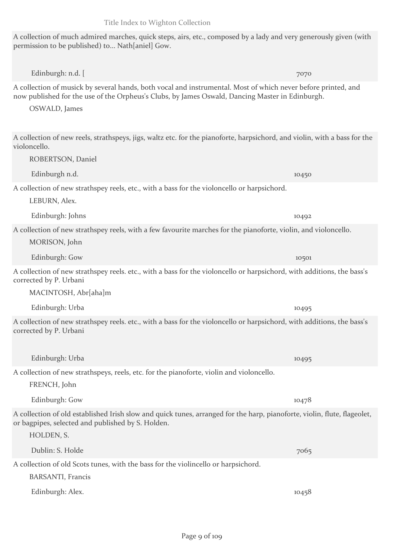A collection of much admired marches, quick steps, airs, etc., composed by a lady and very generously given (with permission to be published) to... Nath[aniel] Gow.

A collection of musick by several hands, both vocal and instrumental. Most of which never before printed, and now published for the use of the Orpheus's Clubs, by James Oswald, Dancing Master in Edinburgh.

Edinburgh: n.d.  $\left[$  7070

OSWALD, James

A collection of new reels, strathspeys, jigs, waltz etc. for the pianoforte, harpsichord, and violin, with a bass for the violoncello.

Edinburgh n.d. 10450 A collection of new strathspey reels, etc., with a bass for the violoncello or harpsichord.

LEBURN, Alex.

Edinburgh: Johns 10492

ROBERTSON, Daniel

A collection of new strathspey reels, with a few favourite marches for the pianoforte, violin, and violoncello.

MORISON, John

Edinburgh: Gow 10501

A collection of new strathspey reels. etc., with a bass for the violoncello or harpsichord, with additions, the bass's corrected by P. Urbani

MACINTOSH, Abr[aha]m

Edinburgh: Urba 10495

A collection of new strathspey reels. etc., with a bass for the violoncello or harpsichord, with additions, the bass's corrected by P. Urbani

A collection of new strathspeys, reels, etc. for the pianoforte, violin and violoncello.

FRENCH, John

HOLDEN, S.

Edinburgh: Gow 10478

A collection of old established Irish slow and quick tunes, arranged for the harp, pianoforte, violin, flute, flageolet, or bagpipes, selected and published by S. Holden.

Dublin: S. Holde 7065 A collection of old Scots tunes, with the bass for the violincello or harpsichord.

BARSANTI, Francis

Edinburgh: Alex. 10458

Edinburgh: Urba 10495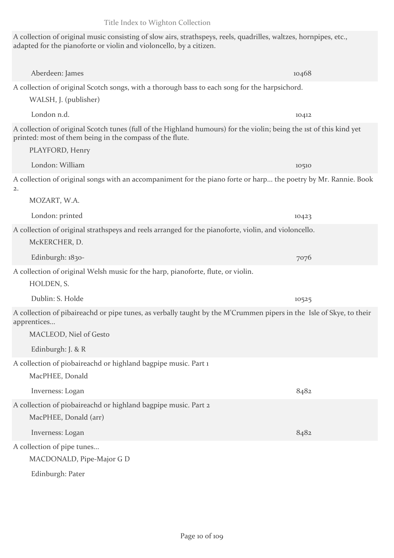A collection of original music consisting of slow airs, strathspeys, reels, quadrilles, waltzes, hornpipes, etc., adapted for the pianoforte or violin and violoncello, by a citizen.

Aberdeen: James 10468 A collection of original Scotch songs, with a thorough bass to each song for the harpsichord.

London n.d. 10412

WALSH, J. (publisher)

A collection of original Scotch tunes (full of the Highland humours) for the violin; being the 1st of this kind yet printed: most of them being in the compass of the flute.

PLAYFORD, Henry London: William 10510 A collection of original songs with an accompaniment for the piano forte or harp... the poetry by Mr. Rannie. Book 2. MOZART, W.A. London: printed 10423 A collection of original strathspeys and reels arranged for the pianoforte, violin, and violoncello. McKERCHER, D. Edinburgh: 1830-<br>
7076 A collection of original Welsh music for the harp, pianoforte, flute, or violin. HOLDEN, S. Dublin: S. Holde 10525 A collection of pibaireachd or pipe tunes, as verbally taught by the M'Crummen pipers in the Isle of Skye, to their apprentices... MACLEOD, Niel of Gesto Edinburgh: J. & R A collection of piobaireachd or highland bagpipe music. Part 1 MacPHEE, Donald Inverness: Logan 8482 A collection of piobaireachd or highland bagpipe music. Part 2 MacPHEE, Donald (arr) Inverness: Logan 8482 A collection of pipe tunes... MACDONALD, Pipe-Major G D

Edinburgh: Pater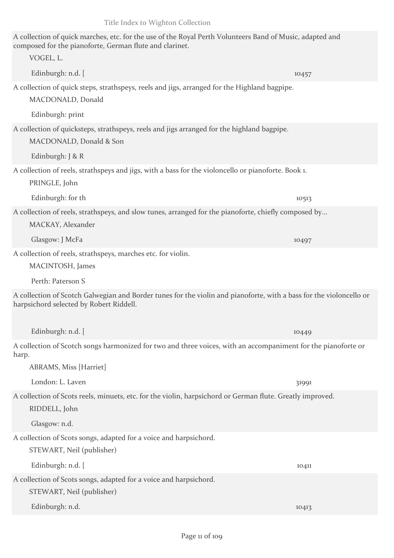| A collection of quick marches, etc. for the use of the Royal Perth Volunteers Band of Music, adapted and<br>composed for the pianoforte, German flute and clarinet. |       |
|---------------------------------------------------------------------------------------------------------------------------------------------------------------------|-------|
| VOGEL, L.                                                                                                                                                           |       |
| Edinburgh: n.d. [                                                                                                                                                   | 10457 |
| A collection of quick steps, strathspeys, reels and jigs, arranged for the Highland bagpipe.<br>MACDONALD, Donald                                                   |       |
| Edinburgh: print                                                                                                                                                    |       |
| A collection of quicksteps, strathspeys, reels and jigs arranged for the highland bagpipe.<br>MACDONALD, Donald & Son                                               |       |
| Edinburgh: J & R                                                                                                                                                    |       |
| A collection of reels, strathspeys and jigs, with a bass for the violoncello or pianoforte. Book 1.<br>PRINGLE, John                                                |       |
| Edinburgh: for th                                                                                                                                                   | 10513 |
| A collection of reels, strathspeys, and slow tunes, arranged for the pianoforte, chiefly composed by<br>MACKAY, Alexander                                           |       |
| Glasgow: J McFa                                                                                                                                                     | 10497 |
| A collection of reels, strathspeys, marches etc. for violin.<br>MACINTOSH, James                                                                                    |       |
| Perth: Paterson S                                                                                                                                                   |       |
| A collection of Scotch Galwegian and Border tunes for the violin and pianoforte, with a bass for the violoncello or<br>harpsichord selected by Robert Riddell.      |       |
| Edinburgh: n.d. [                                                                                                                                                   | 10449 |
| A collection of Scotch songs harmonized for two and three voices, with an accompaniment for the pianoforte or<br>harp.                                              |       |
| <b>ABRAMS, Miss [Harriet]</b>                                                                                                                                       |       |
| London: L. Laven                                                                                                                                                    | 31991 |
| A collection of Scots reels, minuets, etc. for the violin, harpsichord or German flute. Greatly improved.<br>RIDDELL, John                                          |       |
| Glasgow: n.d.                                                                                                                                                       |       |
| A collection of Scots songs, adapted for a voice and harpsichord.<br>STEWART, Neil (publisher)                                                                      |       |
| Edinburgh: n.d. [                                                                                                                                                   | 10411 |
| A collection of Scots songs, adapted for a voice and harpsichord.<br>STEWART, Neil (publisher)                                                                      |       |
| Edinburgh: n.d.                                                                                                                                                     | 10413 |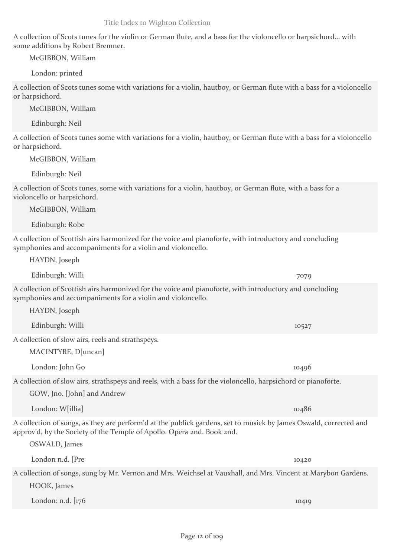A collection of Scots tunes for the violin or German flute, and a bass for the violoncello or harpsichord... with some additions by Robert Bremner.

McGIBBON, William

London: printed

A collection of Scots tunes some with variations for a violin, hautboy, or German flute with a bass for a violoncello or harpsichord.

McGIBBON, William

Edinburgh: Neil

A collection of Scots tunes some with variations for a violin, hautboy, or German flute with a bass for a violoncello or harpsichord.

McGIBBON, William

Edinburgh: Neil

A collection of Scots tunes, some with variations for a violin, hautboy, or German flute, with a bass for a violoncello or harpsichord.

McGIBBON, William

Edinburgh: Robe

A collection of Scottish airs harmonized for the voice and pianoforte, with introductory and concluding symphonies and accompaniments for a violin and violoncello.

HAYDN, Joseph

Edinburgh: Willi 7079

A collection of Scottish airs harmonized for the voice and pianoforte, with introductory and concluding symphonies and accompaniments for a violin and violoncello.

HAYDN, Joseph

Edinburgh: Willi 10527

A collection of slow airs, reels and strathspeys.

MACINTYRE, D[uncan]

London: John Go 10496

A collection of slow airs, strathspeys and reels, with a bass for the violoncello, harpsichord or pianoforte.

GOW, Jno. [John] and Andrew

A collection of songs, as they are perform'd at the publick gardens, set to musick by James Oswald, corrected and approv'd, by the Society of the Temple of Apollo. Opera 2nd. Book 2nd.

A collection of songs, sung by Mr. Vernon and Mrs. Weichsel at Vauxhall, and Mrs. Vincent at Marybon Gardens. HOOK, James

London: n.d. [176 10419] 10419

OSWALD, James

London: W[illia] 10486

London n.d. [Pre 10420]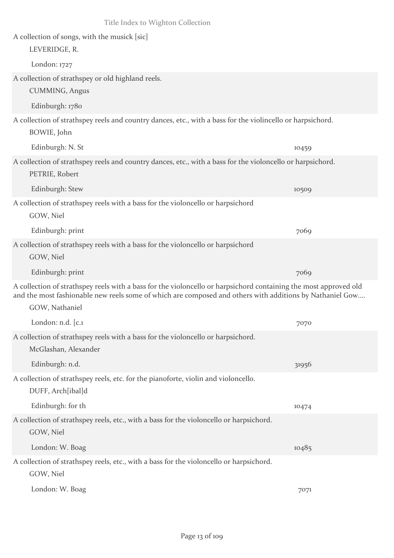| Title Index to Wighton Collection                                                                                                                                                                                                              |       |
|------------------------------------------------------------------------------------------------------------------------------------------------------------------------------------------------------------------------------------------------|-------|
| A collection of songs, with the musick [sic]<br>LEVERIDGE, R.                                                                                                                                                                                  |       |
| London: $1727$                                                                                                                                                                                                                                 |       |
| A collection of strathspey or old highland reels.<br>CUMMING, Angus                                                                                                                                                                            |       |
| Edinburgh: 1780                                                                                                                                                                                                                                |       |
| A collection of strathspey reels and country dances, etc., with a bass for the violincello or harpsichord.<br>BOWIE, John                                                                                                                      |       |
| Edinburgh: N. St                                                                                                                                                                                                                               | 10459 |
| A collection of strathspey reels and country dances, etc., with a bass for the violoncello or harpsichord.<br>PETRIE, Robert                                                                                                                   |       |
| Edinburgh: Stew                                                                                                                                                                                                                                | 10509 |
| A collection of strathspey reels with a bass for the violoncello or harpsichord<br>GOW, Niel                                                                                                                                                   |       |
| Edinburgh: print                                                                                                                                                                                                                               | 7069  |
| A collection of strathspey reels with a bass for the violoncello or harpsichord<br>GOW, Niel                                                                                                                                                   |       |
| Edinburgh: print                                                                                                                                                                                                                               | 7069  |
| A collection of strathspey reels with a bass for the violoncello or harpsichord containing the most approved old<br>and the most fashionable new reels some of which are composed and others with additions by Nathaniel Gow<br>GOW, Nathaniel |       |
| London: n.d. [c.1                                                                                                                                                                                                                              | 7070  |
| A collection of strathspey reels with a bass for the violoncello or harpsichord.<br>McGlashan, Alexander                                                                                                                                       |       |
| Edinburgh: n.d.                                                                                                                                                                                                                                | 31956 |
| A collection of strathspey reels, etc. for the pianoforte, violin and violoncello.<br>DUFF, Arch[ibal]d                                                                                                                                        |       |
| Edinburgh: for th                                                                                                                                                                                                                              | 10474 |
| A collection of strathspey reels, etc., with a bass for the violoncello or harpsichord.<br>GOW, Niel                                                                                                                                           |       |
| London: W. Boag                                                                                                                                                                                                                                | 10485 |
| A collection of strathspey reels, etc., with a bass for the violoncello or harpsichord.<br>GOW, Niel                                                                                                                                           |       |
| London: W. Boag                                                                                                                                                                                                                                | 7071  |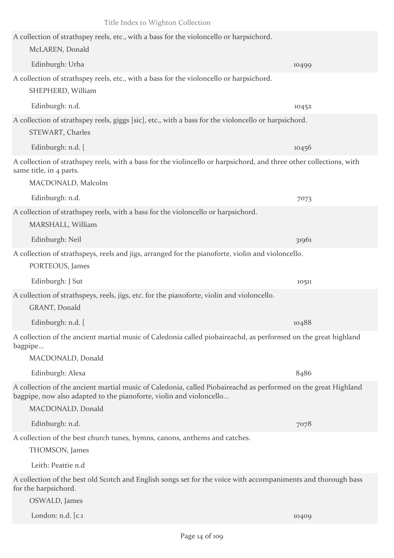| Title Index to Wighton Collection                                                                                                                                                                          |       |
|------------------------------------------------------------------------------------------------------------------------------------------------------------------------------------------------------------|-------|
| A collection of strathspey reels, etc., with a bass for the violoncello or harpsichord.<br>McLAREN, Donald                                                                                                 |       |
| Edinburgh: Urba                                                                                                                                                                                            | 10499 |
| A collection of strathspey reels, etc., with a bass for the violoncello or harpsichord.<br>SHEPHERD, William                                                                                               |       |
| Edinburgh: n.d.                                                                                                                                                                                            | 10452 |
| A collection of strathspey reels, giggs [sic], etc., with a bass for the violoncello or harpsichord.<br>STEWART, Charles                                                                                   |       |
| Edinburgh: n.d. [                                                                                                                                                                                          | 10456 |
| A collection of strathspey reels, with a bass for the violincello or harpsichord, and three other collections, with<br>same title, in 4 parts.<br>MACDONALD, Malcolm                                       |       |
| Edinburgh: n.d.                                                                                                                                                                                            | 7073  |
| A collection of strathspey reels, with a bass for the violoncello or harpsichord.<br>MARSHALL, William                                                                                                     |       |
| Edinburgh: Neil                                                                                                                                                                                            | 31961 |
| A collection of strathspeys, reels and jigs, arranged for the pianoforte, violin and violoncello.<br>PORTEOUS, James                                                                                       |       |
| Edinburgh: J Sut                                                                                                                                                                                           | 10511 |
| A collection of strathspeys, reels, jigs, etc. for the pianoforte, violin and violoncello.<br>GRANT, Donald                                                                                                |       |
| Edinburgh: n.d. [                                                                                                                                                                                          | 10488 |
| A collection of the ancient martial music of Caledonia called piobaireachd, as performed on the great highland<br>bagpipe<br>MACDONALD, Donald                                                             |       |
| Edinburgh: Alexa                                                                                                                                                                                           | 8486  |
| A collection of the ancient martial music of Caledonia, called Piobaireachd as performed on the great Highland<br>bagpipe, now also adapted to the pianoforte, violin and violoncello<br>MACDONALD, Donald |       |
| Edinburgh: n.d.                                                                                                                                                                                            | 7078  |
| A collection of the best church tunes, hymns, canons, anthems and catches.<br>THOMSON, James                                                                                                               |       |
| Leith: Peattie n.d                                                                                                                                                                                         |       |
| A collection of the best old Scotch and English songs set for the voice with accompaniments and thorough bass<br>for the harpsichord.                                                                      |       |
| OSWALD, James                                                                                                                                                                                              |       |
| London: n.d. [c.1                                                                                                                                                                                          | 10409 |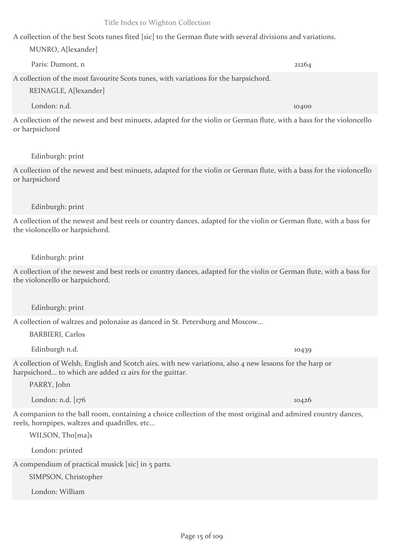A collection of the best Scots tunes fited [sic] to the German flute with several divisions and variations.

## MUNRO, A[lexander]

Paris: Dumont, n 21264 A collection of the most favourite Scots tunes, with variations for the harpsichord. REINAGLE, A[lexander]

London: n.d. 10400 A collection of the newest and best minuets, adapted for the violin or German flute, with a bass for the violoncello or harpsichord

## Edinburgh: print

A collection of the newest and best minuets, adapted for the violin or German flute, with a bass for the violoncello or harpsichord

## Edinburgh: print

A collection of the newest and best reels or country dances, adapted for the violin or German flute, with a bass for the violoncello or harpsichord.

## Edinburgh: print

A collection of the newest and best reels or country dances, adapted for the violin or German flute, with a bass for the violoncello or harpsichord.

## Edinburgh: print

A collection of waltzes and polonaise as danced in St. Petersburg and Moscow...

BARBIERI, Carlos

Edinburgh n.d. 10439

A collection of Welsh, English and Scotch airs, with new variations, also 4 new lessons for the harp or harpsichord... to which are added 12 airs for the guittar.

PARRY, John

London: n.d. [176 10426] 10426

A companion to the ball room, containing a choice collection of the most original and admired country dances, reels, hornpipes, waltzes and quadrilles, etc...

WILSON, Tho[ma]s

London: printed

A compendium of practical musick [sic] in 5 parts.

SIMPSON, Christopher

London: William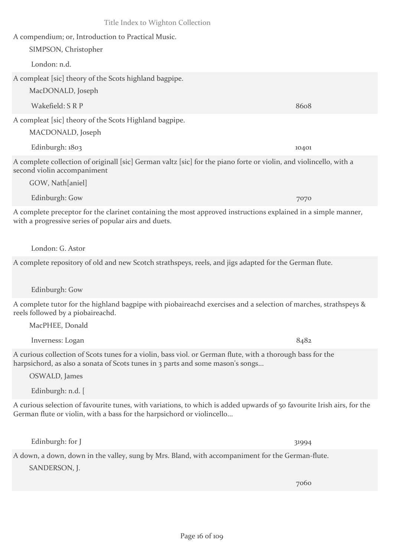A compendium; or, Introduction to Practical Music.

SIMPSON, Christopher

London: n.d.

A compleat [sic] theory of the Scots highland bagpipe.

MacDONALD, Joseph

Wakefield: S R P 8608

A compleat [sic] theory of the Scots Highland bagpipe.

MACDONALD, Joseph

Edinburgh: 1803 10401 A complete collection of originall [sic] German valtz [sic] for the piano forte or violin, and violincello, with a second violin accompaniment

GOW, Nath[aniel]

A complete preceptor for the clarinet containing the most approved instructions explained in a simple manner, with a progressive series of popular airs and duets.

London: G. Astor

A complete repository of old and new Scotch strathspeys, reels, and jigs adapted for the German flute.

Edinburgh: Gow

MacPHEE, Donald

A complete tutor for the highland bagpipe with piobaireachd exercises and a selection of marches, strathspeys & reels followed by a piobaireachd.

Inverness: Logan 8482 A curious collection of Scots tunes for a violin, bass viol. or German flute, with a thorough bass for the harpsichord, as also a sonata of Scots tunes in 3 parts and some mason's songs...

OSWALD, James

Edinburgh: n.d. [

A curious selection of favourite tunes, with variations, to which is added upwards of 50 favourite Irish airs, for the German flute or violin, with a bass for the harpsichord or violincello...

Edinburgh: for J 31994

A down, a down, down in the valley, sung by Mrs. Bland, with accompaniment for the German-flute. SANDERSON, J.

7060

Edinburgh: Gow 7070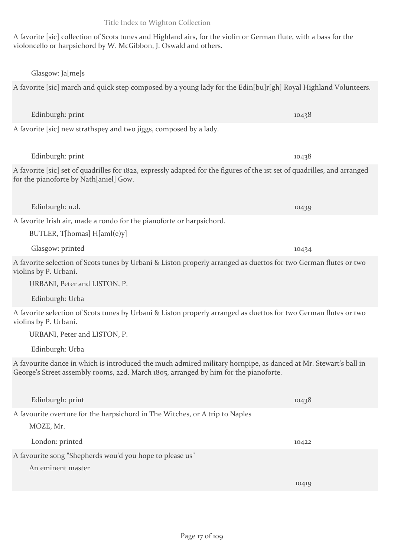A favorite [sic] collection of Scots tunes and Highland airs, for the violin or German flute, with a bass for the violoncello or harpsichord by W. McGibbon, J. Oswald and others.

#### Glasgow: Ja[me]s

## A favorite [sic] march and quick step composed by a young lady for the Edin[bu]r[gh] Royal Highland Volunteers.

Edinburgh: print 10438

Edinburgh: print 10438

A favorite [sic] new strathspey and two jiggs, composed by a lady.

A favorite [sic] set of quadrilles for 1822, expressly adapted for the figures of the 1st set of quadrilles, and arranged for the pianoforte by Nath[aniel] Gow.

A favorite Irish air, made a rondo for the pianoforte or harpsichord.

BUTLER, T[homas] H[aml(e)y]

Glasgow: printed 10434

A favorite selection of Scots tunes by Urbani & Liston properly arranged as duettos for two German flutes or two violins by P. Urbani.

URBANI, Peter and LISTON, P.

Edinburgh: Urba

A favorite selection of Scots tunes by Urbani & Liston properly arranged as duettos for two German flutes or two violins by P. Urbani.

URBANI, Peter and LISTON, P.

Edinburgh: Urba

A favourite dance in which is introduced the much admired military hornpipe, as danced at Mr. Stewart's ball in George's Street assembly rooms, 22d. March 1805, arranged by him for the pianoforte.

| Edinburgh: print                                                                          | 10438 |
|-------------------------------------------------------------------------------------------|-------|
| A favourite overture for the harpsichord in The Witches, or A trip to Naples<br>MOZE, Mr. |       |
| London: printed                                                                           | 10422 |
| A favourite song "Shepherds wou'd you hope to please us"                                  |       |
| An eminent master                                                                         |       |
|                                                                                           | 10419 |

Edinburgh: n.d. 10439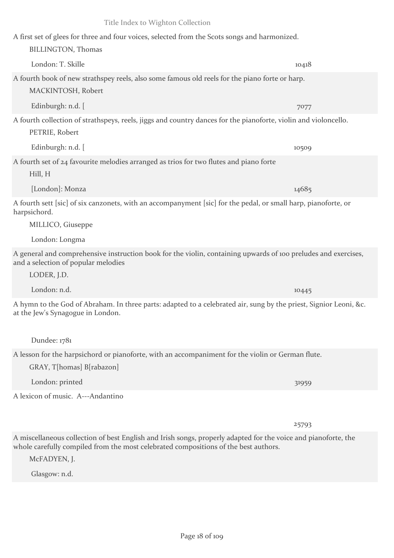## A first set of glees for three and four voices, selected from the Scots songs and harmonized.

# A fourth book of new strathspey reels, also some famous old reels for the piano forte or harp. MACKINTOSH, Robert

London: T. Skille 10418

Edinburgh: n.d. [ 7077

BILLINGTON, Thomas

A fourth collection of strathspeys, reels, jiggs and country dances for the pianoforte, violin and violoncello. PETRIE, Robert

Edinburgh: n.d. [ 10509

## A fourth set of 24 favourite melodies arranged as trios for two flutes and piano forte

Hill, H

[London]: Monza 14685

A fourth sett [sic] of six canzonets, with an accompanyment [sic] for the pedal, or small harp, pianoforte, or harpsichord.

MILLICO, Giuseppe

London: Longma

A general and comprehensive instruction book for the violin, containing upwards of 100 preludes and exercises, and a selection of popular melodies

LODER, J.D.

London: n.d. 10445

A hymn to the God of Abraham. In three parts: adapted to a celebrated air, sung by the priest, Signior Leoni, &c. at the Jew's Synagogue in London.

Dundee: 1781

## A lesson for the harpsichord or pianoforte, with an accompaniment for the violin or German flute.

GRAY, T[homas] B[rabazon]

London: printed 31959

A lexicon of music. A---Andantino

25793

A miscellaneous collection of best English and Irish songs, properly adapted for the voice and pianoforte, the whole carefully compiled from the most celebrated compositions of the best authors.

McFADYEN, J.

Glasgow: n.d.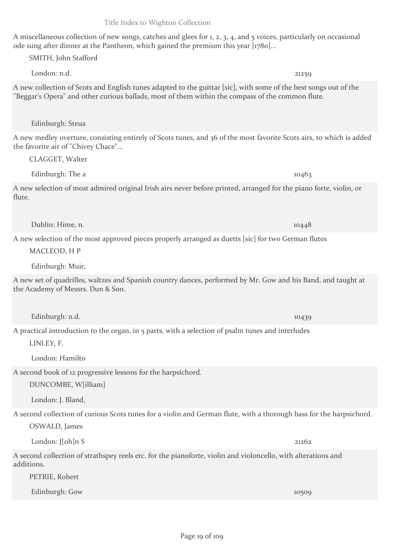## A miscellaneous collection of new songs, catches and glees for 1, 2, 3, 4, and 5 voices, particularly on occasional ode sung after dinner at the Pantheon, which gained the premium this year [1780]...

London: n.d. 21259 A new collection of Scots and English tunes adapted to the guittar [sic], with some of the best songs out of the "Beggar's Opera" and other curious ballads, most of them within the compass of the common flute.

Edinburgh: Steua

SMITH, John Stafford

A new medley overture, consisting entirely of Scots tunes, and 36 of the most favorite Scots airs, to which is added the favorite air of "Chivey Chace"...

CLAGGET, Walter

A new selection of most admired original Irish airs never before printed, arranged for the piano forte, violin, or flute.

Dublin: Hime, n. 10448

A new selection of the most approved pieces properly arranged as duetts [sic] for two German flutes

Edinburgh: The a 10463

MACLEOD, H P

Edinburgh: Muir,

A new set of quadrilles, waltzes and Spanish country dances, performed by Mr. Gow and his Band, and taught at the Academy of Messrs. Dun & Son.

Edinburgh: n.d. 10439

A practical introduction to the organ, in 5 parts, with a selection of psalm tunes and interludes

LINLEY, F.

London: Hamilto

A second book of 12 progressive lessons for the harpsichord.

DUNCOMBE, W[illiam]

London: J. Bland,

A second collection of curious Scots tunes for a violin and German flute, with a thorough bass for the harpsichord.

OSWALD, James

London: J[oh]n S 21262

A second collection of strathspey reels etc. for the pianoforte, violin and violoncello, with alterations and additions.

PETRIE, Robert

Edinburgh: Gow 10509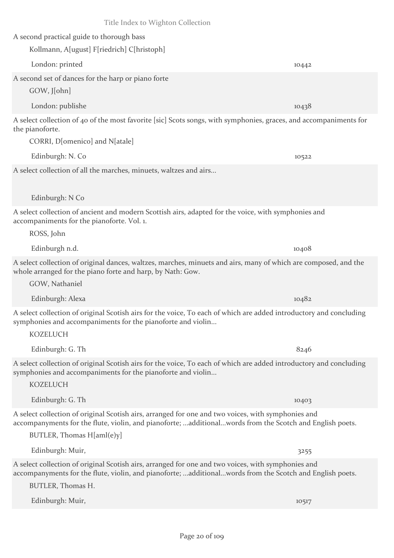A second practical guide to thorough bass

Kollmann, A[ugust] F[riedrich] C[hristoph]

London: printed 10442 A second set of dances for the harp or piano forte

GOW, J[ohn]

London: publishe 10438

A select collection of 40 of the most favorite [sic] Scots songs, with symphonies, graces, and accompaniments for the pianoforte.

CORRI, D[omenico] and N[atale]

Edinburgh: N. Co 10522

A select collection of all the marches, minuets, waltzes and airs...

Edinburgh: N Co

A select collection of ancient and modern Scottish airs, adapted for the voice, with symphonies and accompaniments for the pianoforte. Vol. 1.

ROSS, John

Edinburgh n.d. 10408

A select collection of original dances, waltzes, marches, minuets and airs, many of which are composed, and the whole arranged for the piano forte and harp, by Nath: Gow.

GOW, Nathaniel

Edinburgh: Alexa 10482

A select collection of original Scotish airs for the voice, To each of which are added introductory and concluding symphonies and accompaniments for the pianoforte and violin...

Edinburgh: G. Th $8246$ 

A select collection of original Scotish airs for the voice, To each of which are added introductory and concluding symphonies and accompaniments for the pianoforte and violin...

**KOZELUCH** 

KOZELUCH

Edinburgh: G. Th 10403

A select collection of original Scotish airs, arranged for one and two voices, with symphonies and accompanyments for the flute, violin, and pianoforte; ...additional...words from the Scotch and English poets.

BUTLER, Thomas H[aml(e)y]

Edinburgh: Muir, 3255

A select collection of original Scotish airs, arranged for one and two voices, with symphonies and accompanyments for the flute, violin, and pianoforte; ...additional...words from the Scotch and English poets.

BUTLER, Thomas H.

Edinburgh: Muir, 10517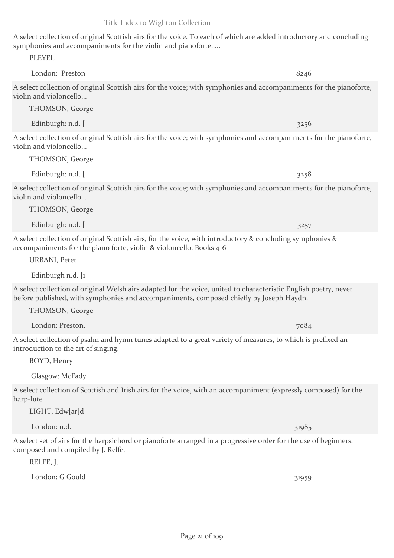A select collection of original Scottish airs for the voice. To each of which are added introductory and concluding symphonies and accompaniments for the violin and pianoforte.....

London: Preston 8246 A select collection of original Scottish airs for the voice; with symphonies and accompaniments for the pianoforte, violin and violoncello...

THOMSON, George

Edinburgh: n.d. [ 3256

PLEYEL

A select collection of original Scottish airs for the voice; with symphonies and accompaniments for the pianoforte, violin and violoncello...

THOMSON, George

A select collection of original Scottish airs for the voice; with symphonies and accompaniments for the pianoforte, violin and violoncello...

THOMSON, George

Edinburgh: n.d.  $\left[$  3257

A select collection of original Scottish airs, for the voice, with introductory & concluding symphonies & accompaniments for the piano forte, violin & violoncello. Books 4-6

Edinburgh: n.d.  $\left[$  3258

URBANI, Peter

Edinburgh n.d. [1

A select collection of original Welsh airs adapted for the voice, united to characteristic English poetry, never before published, with symphonies and accompaniments, composed chiefly by Joseph Haydn.

THOMSON, George

London: Preston, 7084

A select collection of psalm and hymn tunes adapted to a great variety of measures, to which is prefixed an introduction to the art of singing.

BOYD, Henry

Glasgow: McFady

A select collection of Scottish and Irish airs for the voice, with an accompaniment (expressly composed) for the harp-lute

LIGHT, Edw[ar]d

London: n.d. 31985

A select set of airs for the harpsichord or pianoforte arranged in a progressive order for the use of beginners, composed and compiled by J. Relfe.

RELFE, J.

London: G Gould 31959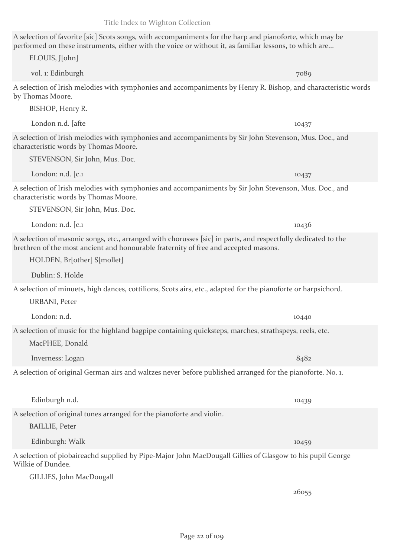## A selection of favorite [sic] Scots songs, with accompaniments for the harp and pianoforte, which may be performed on these instruments, either with the voice or without it, as familiar lessons, to which are...

A selection of Irish melodies with symphonies and accompaniments by Henry R. Bishop, and characteristic words by Thomas Moore.

BISHOP, Henry R.

ELOUIS, J[ohn]

London n.d. [afte 10437]

A selection of Irish melodies with symphonies and accompaniments by Sir John Stevenson, Mus. Doc., and characteristic words by Thomas Moore.

STEVENSON, Sir John, Mus. Doc.

London: n.d. [c.1 10437] A selection of Irish melodies with symphonies and accompaniments by Sir John Stevenson, Mus. Doc., and characteristic words by Thomas Moore.

STEVENSON, Sir John, Mus. Doc.

A selection of masonic songs, etc., arranged with chorusses [sic] in parts, and respectfully dedicated to the brethren of the most ancient and honourable fraternity of free and accepted masons.

London: n.d. [c.1] 10436

HOLDEN, Br[other] S[mollet]

Dublin: S. Holde

A selection of minuets, high dances, cottilions, Scots airs, etc., adapted for the pianoforte or harpsichord.

URBANI, Peter

London: n.d. 10440 A selection of music for the highland bagpipe containing quicksteps, marches, strathspeys, reels, etc.

MacPHEE, Donald

Inverness: Logan 8482

A selection of original German airs and waltzes never before published arranged for the pianoforte. No. 1.

Edinburgh n.d. 10439 A selection of original tunes arranged for the pianoforte and violin. BAILLIE, Peter Edinburgh: Walk 10459

A selection of piobaireachd supplied by Pipe-Major John MacDougall Gillies of Glasgow to his pupil George Wilkie of Dundee.

GILLIES, John MacDougall

26055

vol. 1: Edinburgh 7089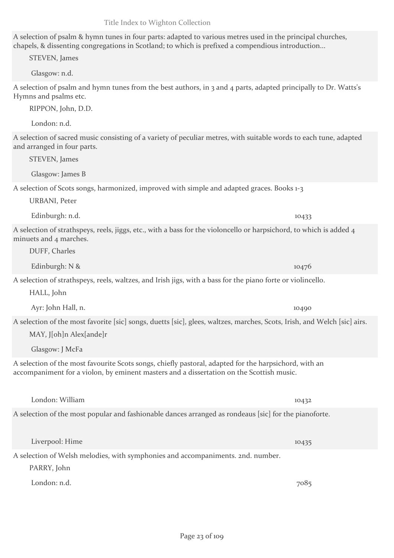A selection of psalm & hymn tunes in four parts: adapted to various metres used in the principal churches, chapels, & dissenting congregations in Scotland; to which is prefixed a compendious introduction...

STEVEN, James

Glasgow: n.d.

A selection of psalm and hymn tunes from the best authors, in 3 and 4 parts, adapted principally to Dr. Watts's Hymns and psalms etc.

RIPPON, John, D.D.

London: n.d.

A selection of sacred music consisting of a variety of peculiar metres, with suitable words to each tune, adapted and arranged in four parts.

STEVEN, James

Glasgow: James B

A selection of Scots songs, harmonized, improved with simple and adapted graces. Books 1-3

URBANI, Peter

Edinburgh: n.d. 10433

A selection of strathspeys, reels, jiggs, etc., with a bass for the violoncello or harpsichord, to which is added 4 minuets and 4 marches.

DUFF, Charles

Edinburgh: N & 10476 A selection of strathspeys, reels, waltzes, and Irish jigs, with a bass for the piano forte or violincello.

HALL, John

Ayr: John Hall, n. 10490

A selection of the most favorite [sic] songs, duetts [sic], glees, waltzes, marches, Scots, Irish, and Welch [sic] airs. MAY, J[oh]n Alex[ande]r

Glasgow: J McFa

A selection of the most favourite Scots songs, chiefly pastoral, adapted for the harpsichord, with an accompaniment for a violon, by eminent masters and a dissertation on the Scottish music.

London: William 10432 A selection of the most popular and fashionable dances arranged as rondeaus [sic] for the pianoforte.

A selection of Welsh melodies, with symphonies and accompaniments. 2nd. number. PARRY, John

London: n.d. 7085

Liverpool: Hime 10435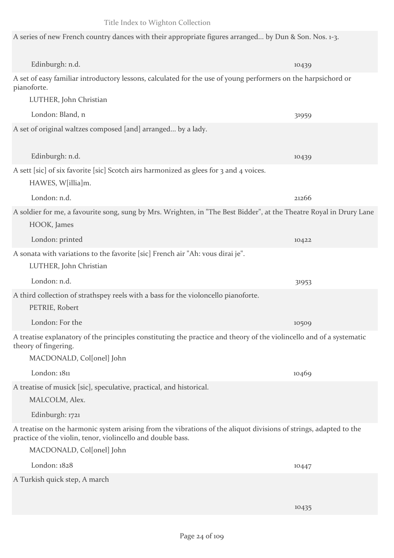A series of new French country dances with their appropriate figures arranged... by Dun & Son. Nos. 1-3.

Edinburgh: n.d. 10439 A set of easy familiar introductory lessons, calculated for the use of young performers on the harpsichord or pianoforte. LUTHER, John Christian London: Bland, n 31959 A set of original waltzes composed [and] arranged... by a lady. Edinburgh: n.d. 10439 A sett [sic] of six favorite [sic] Scotch airs harmonized as glees for 3 and 4 voices. HAWES, W[illia]m. London: n.d. 21266 A soldier for me, a favourite song, sung by Mrs. Wrighten, in "The Best Bidder", at the Theatre Royal in Drury Lane HOOK, James London: printed 10422 A sonata with variations to the favorite [sic] French air "Ah: vous dirai je". LUTHER, John Christian London: n.d. 31953 A third collection of strathspey reels with a bass for the violoncello pianoforte. PETRIE, Robert London: For the 10509 A treatise explanatory of the principles constituting the practice and theory of the violincello and of a systematic theory of fingering. MACDONALD, Col[onel] John London: 1811 10469 A treatise of musick [sic], speculative, practical, and historical. MALCOLM, Alex. Edinburgh: 1721 A treatise on the harmonic system arising from the vibrations of the aliquot divisions of strings, adapted to the practice of the violin, tenor, violincello and double bass. MACDONALD, Col[onel] John London: 1828 10447 A Turkish quick step, A march

10435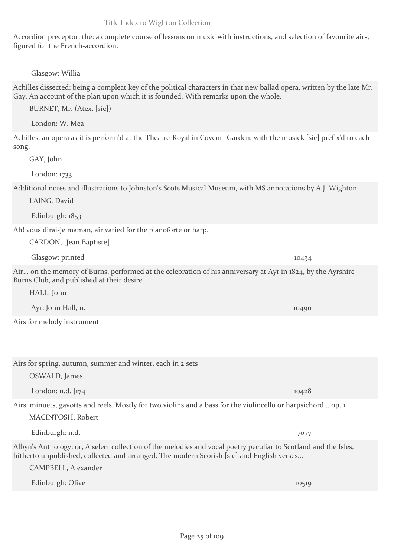Accordion preceptor, the: a complete course of lessons on music with instructions, and selection of favourite airs, figured for the French-accordion.

Glasgow: Willia

Achilles dissected: being a compleat key of the political characters in that new ballad opera, written by the late Mr. Gay. An account of the plan upon which it is founded. With remarks upon the whole.

BURNET, Mr. (Atex. [sic])

London: W. Mea

Achilles, an opera as it is perform'd at the Theatre-Royal in Covent- Garden, with the musick [sic] prefix'd to each song.

GAY, John

London: 1733

Additional notes and illustrations to Johnston's Scots Musical Museum, with MS annotations by A.J. Wighton.

LAING, David

Edinburgh: 1853

Ah! vous dirai-je maman, air varied for the pianoforte or harp.

Airs for spring, autumn, summer and winter, each in 2 sets

CARDON, [Jean Baptiste]

Glasgow: printed 10434

Air... on the memory of Burns, performed at the celebration of his anniversary at Ayr in 1824, by the Ayrshire Burns Club, and published at their desire.

HALL, John

Ayr: John Hall, n. 10490

Airs for melody instrument

CAMPBELL, Alexander

OSWALD, James London: n.d.  $\left[174\right]$  10428 Airs, minuets, gavotts and reels. Mostly for two violins and a bass for the violincello or harpsichord... op. 1 MACINTOSH, Robert Edinburgh: n.d. 7077 Albyn's Anthology; or, A select collection of the melodies and vocal poetry peculiar to Scotland and the Isles,

hitherto unpublished, collected and arranged. The modern Scotish [sic] and English verses...

Edinburgh: Olive 10519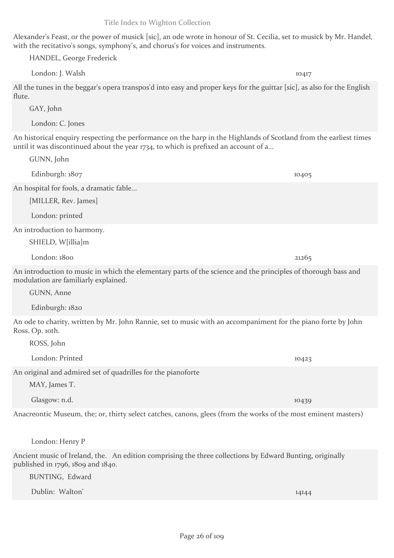Page 26 of 109

Alexander's Feast, or the power of musick [sic], an ode wrote in honour of St. Cecilia, set to musick by Mr. Handel, with the recitativo's songs, symphony's, and chorus's for voices and instruments.

HANDEL, George Frederick

London: J. Walsh 10417

All the tunes in the beggar's opera transpos'd into easy and proper keys for the guittar [sic], as also for the English flute.

GAY, John

GUNN, John

London: C. Jones

An historical enquiry respecting the performance on the harp in the Highlands of Scotland from the earliest times until it was discontinued about the year 1734, to which is prefixed an account of a...

An hospital for fools, a dramatic fable... [MILLER, Rev. James] London: printed An introduction to harmony. SHIELD, W[illia]m

An introduction to music in which the elementary parts of the science and the principles of thorough bass and modulation are familiarly explained.

GUNN, Anne

ROSS, John

Edinburgh: 1820

An ode to charity, written by Mr. John Rannie, set to music with an accompaniment for the piano forte by John Ross. Op. 10th.

An original and admired set of quadrilles for the pianoforte

MAY, James T.

Glasgow: n.d. 10439

Anacreontic Museum, the; or, thirty select catches, canons, glees (from the works of the most eminent masters)

London: Henry P

Ancient music of Ireland, the. An edition comprising the three collections by Edward Bunting, originally published in 1796, 1809 and 1840.

BUNTING, Edward

Dublin: Walton' 14144

Title Index to Wighton Collection

Edinburgh: 1807 10405

London: 1800 21265

London: Printed 10423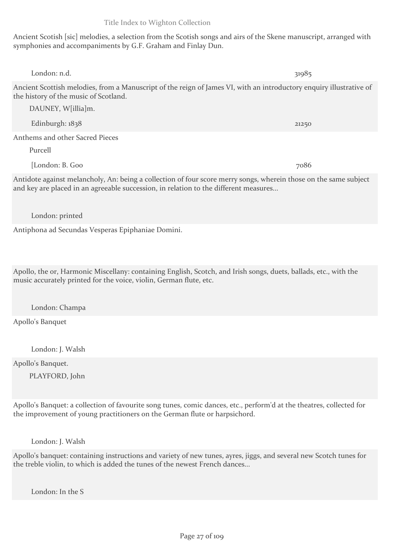Ancient Scotish [sic] melodies, a selection from the Scotish songs and airs of the Skene manuscript, arranged with symphonies and accompaniments by G.F. Graham and Finlay Dun.

| London: n.d.                                                                                                                                                                                             | 31985 |
|----------------------------------------------------------------------------------------------------------------------------------------------------------------------------------------------------------|-------|
| Ancient Scottish melodies, from a Manuscript of the reign of James VI, with an introductory enquiry illustrative of<br>the history of the music of Scotland.                                             |       |
| DAUNEY, W[illia]m.                                                                                                                                                                                       |       |
| Edinburgh: $1838$                                                                                                                                                                                        | 21250 |
| Anthems and other Sacred Pieces                                                                                                                                                                          |       |
| Purcell                                                                                                                                                                                                  |       |
| [London: B. Goo                                                                                                                                                                                          | 7086  |
| Antidote against melancholy, An: being a collection of four score merry songs, wherein those on the same subject<br>and key are placed in an agreeable succession, in relation to the different measures |       |

London: printed

Antiphona ad Secundas Vesperas Epiphaniae Domini.

Apollo, the or, Harmonic Miscellany: containing English, Scotch, and Irish songs, duets, ballads, etc., with the music accurately printed for the voice, violin, German flute, etc.

London: Champa

Apollo's Banquet

London: J. Walsh

Apollo's Banquet. PLAYFORD, John

Apollo's Banquet: a collection of favourite song tunes, comic dances, etc., perform'd at the theatres, collected for the improvement of young practitioners on the German flute or harpsichord.

London: J. Walsh

Apollo's banquet: containing instructions and variety of new tunes, ayres, jiggs, and several new Scotch tunes for the treble violin, to which is added the tunes of the newest French dances...

London: In the S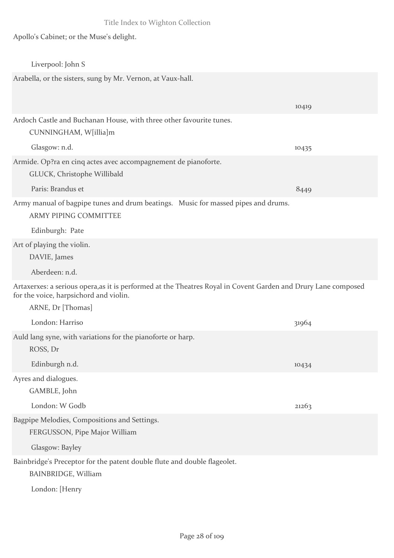Apollo's Cabinet; or the Muse's delight.

| Liverpool: John S                                                                                                                                        |       |
|----------------------------------------------------------------------------------------------------------------------------------------------------------|-------|
| Arabella, or the sisters, sung by Mr. Vernon, at Vaux-hall.                                                                                              |       |
|                                                                                                                                                          | 10419 |
| Ardoch Castle and Buchanan House, with three other favourite tunes.<br>CUNNINGHAM, W[illia]m                                                             |       |
| Glasgow: n.d.                                                                                                                                            | 10435 |
| Armide. Op?ra en cinq actes avec accompagnement de pianoforte.<br>GLUCK, Christophe Willibald                                                            |       |
| Paris: Brandus et                                                                                                                                        | 8449  |
| Army manual of bagpipe tunes and drum beatings. Music for massed pipes and drums.<br><b>ARMY PIPING COMMITTEE</b>                                        |       |
| Edinburgh: Pate                                                                                                                                          |       |
| Art of playing the violin.                                                                                                                               |       |
| DAVIE, James                                                                                                                                             |       |
| Aberdeen: n.d.                                                                                                                                           |       |
| Artaxerxes: a serious opera, as it is performed at the Theatres Royal in Covent Garden and Drury Lane composed<br>for the voice, harpsichord and violin. |       |
| ARNE, Dr [Thomas]                                                                                                                                        |       |
| London: Harriso                                                                                                                                          | 31964 |
| Auld lang syne, with variations for the pianoforte or harp.                                                                                              |       |
| ROSS, Dr                                                                                                                                                 |       |
| Edinburgh n.d.                                                                                                                                           | 10434 |
| Ayres and dialogues.                                                                                                                                     |       |
| GAMBLE, John                                                                                                                                             |       |
| London: W Godb                                                                                                                                           | 21263 |
| Bagpipe Melodies, Compositions and Settings.                                                                                                             |       |
| FERGUSSON, Pipe Major William                                                                                                                            |       |
| Glasgow: Bayley                                                                                                                                          |       |
| Bainbridge's Preceptor for the patent double flute and double flageolet.<br><b>BAINBRIDGE, William</b>                                                   |       |
| London: [Henry                                                                                                                                           |       |
|                                                                                                                                                          |       |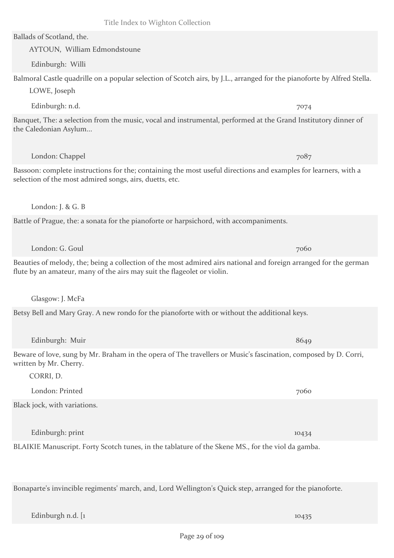Ballads of Scotland, the.

AYTOUN, William Edmondstoune

Edinburgh: Willi

Balmoral Castle quadrille on a popular selection of Scotch airs, by J.L., arranged for the pianoforte by Alfred Stella. LOWE, Joseph

Edinburgh: n.d. 7074

Banquet, The: a selection from the music, vocal and instrumental, performed at the Grand Institutory dinner of the Caledonian Asylum...

London: Chappel 7087

Bassoon: complete instructions for the; containing the most useful directions and examples for learners, with a selection of the most admired songs, airs, duetts, etc.

London: J. & G. B

Battle of Prague, the: a sonata for the pianoforte or harpsichord, with accompaniments.

London: G. Goul 7060

Beauties of melody, the; being a collection of the most admired airs national and foreign arranged for the german flute by an amateur, many of the airs may suit the flageolet or violin.

Glasgow: J. McFa

Betsy Bell and Mary Gray. A new rondo for the pianoforte with or without the additional keys.

Edinburgh: Muir 8649

Beware of love, sung by Mr. Braham in the opera of The travellers or Music's fascination, composed by D. Corri, written by Mr. Cherry.

CORRI, D.

London: Printed 7060 Black jock, with variations. Edinburgh: print 10434

BLAIKIE Manuscript. Forty Scotch tunes, in the tablature of the Skene MS., for the viol da gamba.

Bonaparte's invincible regiments' march, and, Lord Wellington's Quick step, arranged for the pianoforte.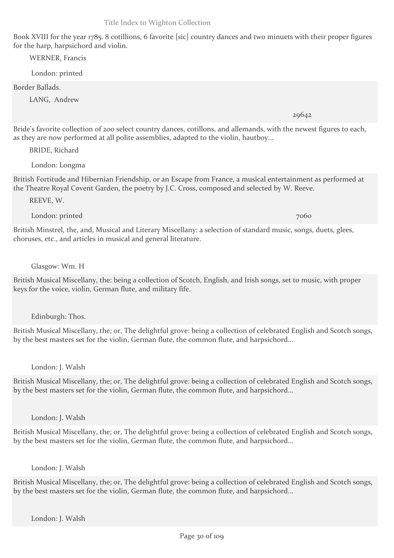Book XVIII for the year 1785. 8 cotillions, 6 favorite [sic] country dances and two minuets with their proper figures for the harp, harpsichord and violin.

WERNER, Francis

London: printed

Border Ballads.

LANG, Andrew

Bride's favorite collection of 200 select country dances, cotillons, and allemands, with the newest figures to each, as they are now performed at all polite assemblies, adapted to the violin, hautboy...

BRIDE, Richard

London: Longma

British Fortitude and Hibernian Friendship, or an Escape from France, a musical entertainment as performed at the Theatre Royal Covent Garden, the poetry by J.C. Cross, composed and selected by W. Reeve.

REEVE, W.

London: printed 7060

British Minstrel, the, and, Musical and Literary Miscellany: a selection of standard music, songs, duets, glees, choruses, etc., and articles in musical and general literature.

Glasgow: Wm. H

British Musical Miscellany, the: being a collection of Scotch, English, and Irish songs, set to music, with proper keys for the voice, violin, German flute, and military fife.

Edinburgh: Thos.

British Musical Miscellany, the; or, The delightful grove: being a collection of celebrated English and Scotch songs, by the best masters set for the violin, German flute, the common flute, and harpsichord...

London: J. Walsh

British Musical Miscellany, the; or, The delightful grove: being a collection of celebrated English and Scotch songs, by the best masters set for the violin, German flute, the common flute, and harpsichord...

London: J. Walsh

British Musical Miscellany, the; or, The delightful grove: being a collection of celebrated English and Scotch songs, by the best masters set for the violin, German flute, the common flute, and harpsichord...

## London: J. Walsh

British Musical Miscellany, the; or, The delightful grove: being a collection of celebrated English and Scotch songs, by the best masters set for the violin, German flute, the common flute, and harpsichord...

29642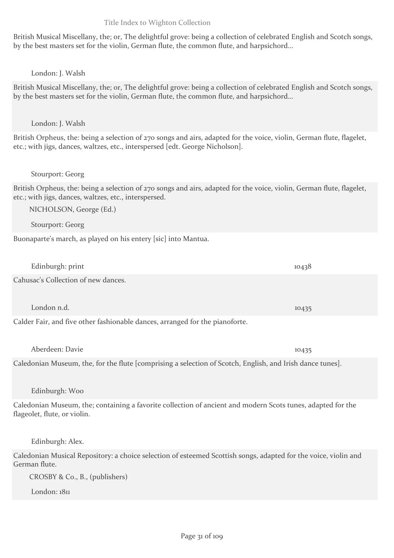British Musical Miscellany, the; or, The delightful grove: being a collection of celebrated English and Scotch songs, by the best masters set for the violin, German flute, the common flute, and harpsichord...

## London: J. Walsh

British Musical Miscellany, the; or, The delightful grove: being a collection of celebrated English and Scotch songs, by the best masters set for the violin, German flute, the common flute, and harpsichord...

#### London: J. Walsh

British Orpheus, the: being a selection of 270 songs and airs, adapted for the voice, violin, German flute, flagelet, etc.; with jigs, dances, waltzes, etc., interspersed [edt. George Nicholson].

#### Stourport: Georg

British Orpheus, the: being a selection of 270 songs and airs, adapted for the voice, violin, German flute, flagelet, etc.; with jigs, dances, waltzes, etc., interspersed.

NICHOLSON, George (Ed.)

Stourport: Georg

Buonaparte's march, as played on his entery [sic] into Mantua.

| Edinburgh: print                                                                                                                            | 10438 |
|---------------------------------------------------------------------------------------------------------------------------------------------|-------|
| Cahusac's Collection of new dances.                                                                                                         |       |
| London n.d.                                                                                                                                 | 10435 |
| Calder Fair, and five other fashionable dances, arranged for the pianoforte.                                                                |       |
| Aberdeen: Davie                                                                                                                             | 10435 |
| Caledonian Museum, the, for the flute [comprising a selection of Scotch, English, and Irish dance tunes].                                   |       |
| Edinburgh: Woo                                                                                                                              |       |
| Caledonian Museum, the; containing a favorite collection of ancient and modern Scots tunes, adapted for the<br>flageolet, flute, or violin. |       |
| Edinburgh: Alex.                                                                                                                            |       |
|                                                                                                                                             |       |

Caledonian Musical Repository: a choice selection of esteemed Scottish songs, adapted for the voice, violin and German flute.

CROSBY & Co., B., (publishers)

London: 1811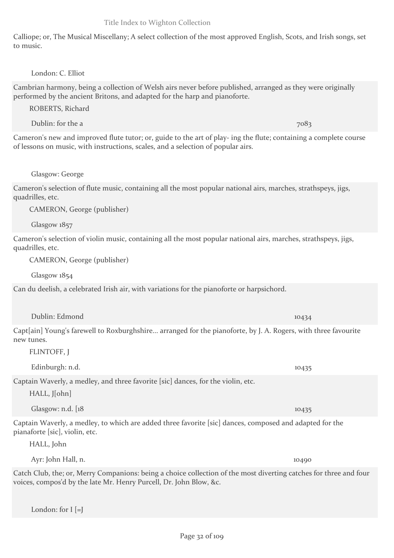Calliope; or, The Musical Miscellany; A select collection of the most approved English, Scots, and Irish songs, set to music.

#### London: C. Elliot

Cambrian harmony, being a collection of Welsh airs never before published, arranged as they were originally performed by the ancient Britons, and adapted for the harp and pianoforte.

ROBERTS, Richard

Dublin: for the a 7083

Cameron's new and improved flute tutor; or, guide to the art of play- ing the flute; containing a complete course of lessons on music, with instructions, scales, and a selection of popular airs.

#### Glasgow: George

Cameron's selection of flute music, containing all the most popular national airs, marches, strathspeys, jigs, quadrilles, etc.

CAMERON, George (publisher)

Glasgow 1857

Cameron's selection of violin music, containing all the most popular national airs, marches, strathspeys, jigs, quadrilles, etc.

CAMERON, George (publisher)

Glasgow 1854

Can du deelish, a celebrated Irish air, with variations for the pianoforte or harpsichord.

Dublin: Edmond 10434

Capt[ain] Young's farewell to Roxburghshire... arranged for the pianoforte, by J. A. Rogers, with three favourite new tunes.

FLINTOFF, J

Edinburgh: n.d. 10435

Captain Waverly, a medley, and three favorite [sic] dances, for the violin, etc.

HALL, J[ohn]

Glasgow: n.d. [18 10435] [18] 10435

Captain Waverly, a medley, to which are added three favorite [sic] dances, composed and adapted for the pianaforte [sic], violin, etc.

HALL, John

Ayr: John Hall, n. 10490

Catch Club, the; or, Merry Companions: being a choice collection of the most diverting catches for three and four voices, compos'd by the late Mr. Henry Purcell, Dr. John Blow, &c.

London: for I [=J]

Title Index to Wighton Collection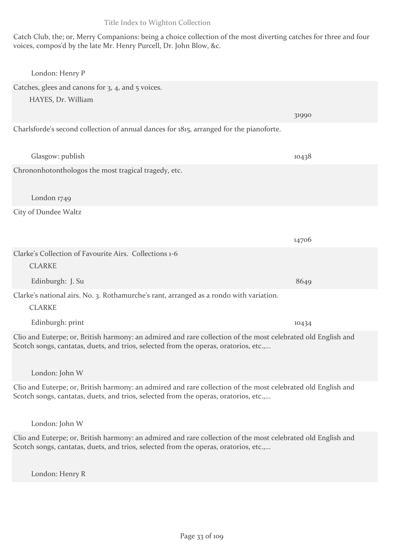Catch Club, the; or, Merry Companions: being a choice collection of the most diverting catches for three and four voices, compos'd by the late Mr. Henry Purcell, Dr. John Blow, &c.

| London: Henry P                                                                                                                                                                                      |       |
|------------------------------------------------------------------------------------------------------------------------------------------------------------------------------------------------------|-------|
| Catches, glees and canons for 3, 4, and 5 voices.<br>HAYES, Dr. William                                                                                                                              |       |
|                                                                                                                                                                                                      | 31990 |
| Charlsforde's second collection of annual dances for 1815, arranged for the pianoforte.                                                                                                              |       |
| Glasgow: publish                                                                                                                                                                                     | 10438 |
| Chrononhotonthologos the most tragical tragedy, etc.                                                                                                                                                 |       |
| London 1749                                                                                                                                                                                          |       |
| City of Dundee Waltz                                                                                                                                                                                 |       |
|                                                                                                                                                                                                      | 14706 |
| Clarke's Collection of Favourite Airs. Collections 1-6                                                                                                                                               |       |
| <b>CLARKE</b>                                                                                                                                                                                        |       |
| Edinburgh: J. Su                                                                                                                                                                                     | 8649  |
| Clarke's national airs. No. 3. Rothamurche's rant, arranged as a rondo with variation.                                                                                                               |       |
| <b>CLARKE</b>                                                                                                                                                                                        |       |
| Edinburgh: print                                                                                                                                                                                     | 10434 |
| Clio and Euterpe; or, British harmony: an admired and rare collection of the most celebrated old English and<br>Scotch songs, cantatas, duets, and trios, selected from the operas, oratorios, etc., |       |
| London: John W                                                                                                                                                                                       |       |
| Clio and Euterpe; or, British harmony: an admired and rare collection of the most celebrated old English and<br>Scotch songs, cantatas, duets, and trios, selected from the operas, oratorios, etc., |       |
| London: John W                                                                                                                                                                                       |       |

Clio and Euterpe; or, British harmony: an admired and rare collection of the most celebrated old English and Scotch songs, cantatas, duets, and trios, selected from the operas, oratorios, etc.,...

London: Henry R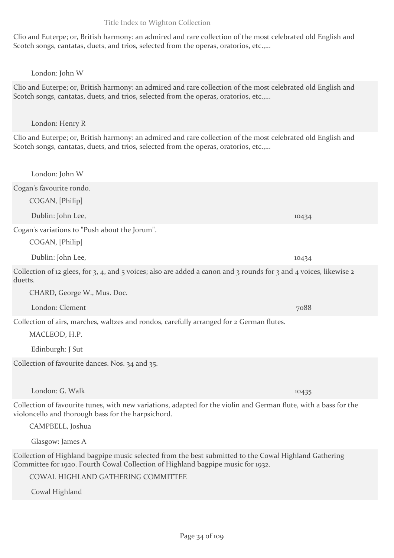Clio and Euterpe; or, British harmony: an admired and rare collection of the most celebrated old English and Scotch songs, cantatas, duets, and trios, selected from the operas, oratorios, etc.,...

## London: John W

Clio and Euterpe; or, British harmony: an admired and rare collection of the most celebrated old English and Scotch songs, cantatas, duets, and trios, selected from the operas, oratorios, etc.,...

London: Henry R

Clio and Euterpe; or, British harmony: an admired and rare collection of the most celebrated old English and Scotch songs, cantatas, duets, and trios, selected from the operas, oratorios, etc.,...

London: John W Cogan's favourite rondo. COGAN, [Philip] Dublin: John Lee, 10434 Cogan's variations to "Push about the Jorum". COGAN, [Philip] Dublin: John Lee, 10434 Collection of 12 glees, for 3, 4, and 5 voices; also are added a canon and 3 rounds for 3 and 4 voices, likewise 2 duetts. CHARD, George W., Mus. Doc. London: Clement 7088 Collection of airs, marches, waltzes and rondos, carefully arranged for 2 German flutes. MACLEOD, H.P. Edinburgh: J Sut Collection of favourite dances. Nos. 34 and 35. London: G. Walk 10435 Collection of favourite tunes, with new variations, adapted for the violin and German flute, with a bass for the violoncello and thorough bass for the harpsichord. CAMPBELL, Joshua Glasgow: James A Collection of Highland bagpipe music selected from the best submitted to the Cowal Highland Gathering

Committee for 1920. Fourth Cowal Collection of Highland bagpipe music for 1932.

COWAL HIGHLAND GATHERING COMMITTEE

Cowal Highland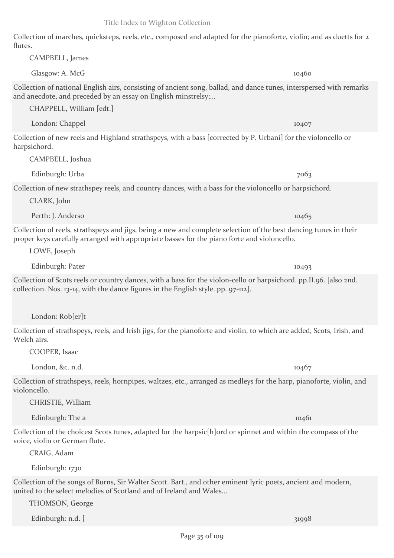Collection of marches, quicksteps, reels, etc., composed and adapted for the pianoforte, violin; and as duetts for 2 flutes. CAMPBELL, James

 $G$ lasgow: A. McG $_{104}$ 60 Collection of national English airs, consisting of ancient song, ballad, and dance tunes, interspersed with remarks and anecdote, and preceded by an essay on English minstrelsy;...

CHAPPELL, William [edt.]

Collection of new reels and Highland strathspeys, with a bass [corrected by P. Urbani] for the violoncello or harpsichord.

London: Chappel 10407

CAMPBELL, Joshua

Collection of new strathspey reels, and country dances, with a bass for the violoncello or harpsichord.

CLARK, John

Perth: J. Anderso 10465

Collection of reels, strathspeys and jigs, being a new and complete selection of the best dancing tunes in their proper keys carefully arranged with appropriate basses for the piano forte and violoncello.

LOWE, Joseph

Collection of Scots reels or country dances, with a bass for the violon-cello or harpsichord. pp.II.96. [also 2nd. collection. Nos. 13-14, with the dance figures in the English style. pp. 97-112].

London: Rob[er]t

Collection of strathspeys, reels, and Irish jigs, for the pianoforte and violin, to which are added, Scots, Irish, and Welch airs.

COOPER, Isaac

London, &c. n.d. 10467

Collection of strathspeys, reels, hornpipes, waltzes, etc., arranged as medleys for the harp, pianoforte, violin, and violoncello.

CHRISTIE, William

Edinburgh: The a 10461

Collection of the choicest Scots tunes, adapted for the harpsic[h]ord or spinnet and within the compass of the voice, violin or German flute.

CRAIG, Adam

Edinburgh: 1730

Collection of the songs of Burns, Sir Walter Scott. Bart., and other eminent lyric poets, ancient and modern, united to the select melodies of Scotland and of Ireland and Wales...

THOMSON, George

Edinburgh: n.d.  $\left[$  31998

Edinburgh: Urba 7063

Edinburgh: Pater 10493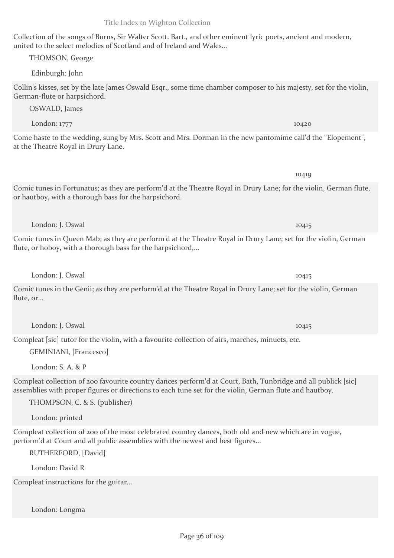Collection of the songs of Burns, Sir Walter Scott. Bart., and other eminent lyric poets, ancient and modern, united to the select melodies of Scotland and of Ireland and Wales...

THOMSON, George

Edinburgh: John

Collin's kisses, set by the late James Oswald Esqr., some time chamber composer to his majesty, set for the violin, German-flute or harpsichord.

OSWALD, James

Come haste to the wedding, sung by Mrs. Scott and Mrs. Dorman in the new pantomime call'd the "Elopement", at the Theatre Royal in Drury Lane.

Comic tunes in Fortunatus; as they are perform'd at the Theatre Royal in Drury Lane; for the violin, German flute, or hautboy, with a thorough bass for the harpsichord.

Comic tunes in Queen Mab; as they are perform'd at the Theatre Royal in Drury Lane; set for the violin, German flute, or hoboy, with a thorough bass for the harpsichord,...

London: J. Oswal 10415

Comic tunes in the Genii; as they are perform'd at the Theatre Royal in Drury Lane; set for the violin, German flute, or...

London: J. Oswal 10415

Compleat [sic] tutor for the violin, with a favourite collection of airs, marches, minuets, etc.

GEMINIANI, [Francesco]

London: S. A. & P

Compleat collection of 200 favourite country dances perform'd at Court, Bath, Tunbridge and all publick [sic] assemblies with proper figures or directions to each tune set for the violin, German flute and hautboy.

THOMPSON, C. & S. (publisher)

London: printed

Compleat collection of 200 of the most celebrated country dances, both old and new which are in vogue, perform'd at Court and all public assemblies with the newest and best figures...

RUTHERFORD, [David]

London: David R

Compleat instructions for the guitar...

London: Longma

London: J. Oswal 10415

London: 1777 10420

10419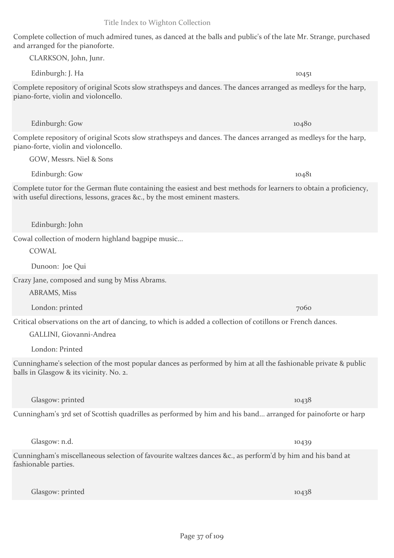Complete collection of much admired tunes, as danced at the balls and public's of the late Mr. Strange, purchased and arranged for the pianoforte.

Edinburgh: J. Ha 10451 Complete repository of original Scots slow strathspeys and dances. The dances arranged as medleys for the harp, piano-forte, violin and violoncello.

Complete repository of original Scots slow strathspeys and dances. The dances arranged as medleys for the harp, piano-forte, violin and violoncello.

GOW, Messrs. Niel & Sons

CLARKSON, John, Junr.

Complete tutor for the German flute containing the easiest and best methods for learners to obtain a proficiency, with useful directions, lessons, graces &c., by the most eminent masters.

Edinburgh: John

Cowal collection of modern highland bagpipe music...

COWAL

Dunoon: Joe Qui

Crazy Jane, composed and sung by Miss Abrams.

ABRAMS, Miss

London: printed 7060

Critical observations on the art of dancing, to which is added a collection of cotillons or French dances.

GALLINI, Giovanni-Andrea

London: Printed

Cunninghame's selection of the most popular dances as performed by him at all the fashionable private & public balls in Glasgow & its vicinity. No. 2.

Glasgow: printed 10438

Cunningham's 3rd set of Scottish quadrilles as performed by him and his band... arranged for painoforte or harp

Glasgow: n.d. 10439

Cunningham's miscellaneous selection of favourite waltzes dances &c., as perform'd by him and his band at fashionable parties.

Glasgow: printed 10438

Edinburgh: Gow 10480

Edinburgh: Gow 10481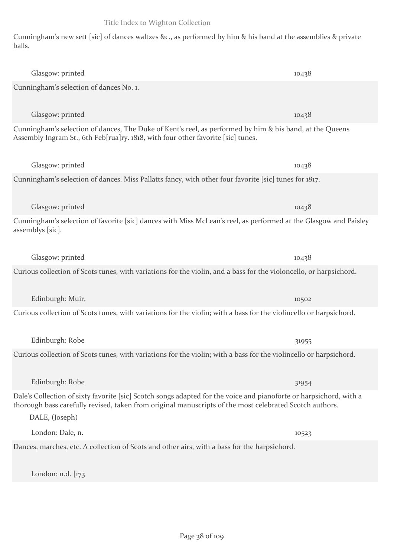Cunningham's new sett [sic] of dances waltzes &c., as performed by him & his band at the assemblies & private balls.

| Glasgow: printed                                                                                                                                                                                                                                | 10438 |
|-------------------------------------------------------------------------------------------------------------------------------------------------------------------------------------------------------------------------------------------------|-------|
| Cunningham's selection of dances No. 1.                                                                                                                                                                                                         |       |
| Glasgow: printed                                                                                                                                                                                                                                | 10438 |
| Cunningham's selection of dances, The Duke of Kent's reel, as performed by him & his band, at the Queens<br>Assembly Ingram St., 6th Feb[rua]ry. 1818, with four other favorite [sic] tunes.                                                    |       |
| Glasgow: printed                                                                                                                                                                                                                                | 10438 |
| Cunningham's selection of dances. Miss Pallatts fancy, with other four favorite [sic] tunes for 1817.                                                                                                                                           |       |
| Glasgow: printed                                                                                                                                                                                                                                | 10438 |
| Cunningham's selection of favorite [sic] dances with Miss McLean's reel, as performed at the Glasgow and Paisley<br>assemblys [sic].                                                                                                            |       |
| Glasgow: printed                                                                                                                                                                                                                                | 10438 |
| Curious collection of Scots tunes, with variations for the violin, and a bass for the violoncello, or harpsichord.                                                                                                                              |       |
| Edinburgh: Muir,                                                                                                                                                                                                                                | 10502 |
| Curious collection of Scots tunes, with variations for the violin; with a bass for the violincello or harpsichord.                                                                                                                              |       |
| Edinburgh: Robe                                                                                                                                                                                                                                 | 31955 |
| Curious collection of Scots tunes, with variations for the violin; with a bass for the violincello or harpsichord.                                                                                                                              |       |
| Edinburgh: Robe                                                                                                                                                                                                                                 | 31954 |
| Dale's Collection of sixty favorite [sic] Scotch songs adapted for the voice and pianoforte or harpsichord, with a<br>thorough bass carefully revised, taken from original manuscripts of the most celebrated Scotch authors.<br>DALE, (Joseph) |       |
| London: Dale, n.                                                                                                                                                                                                                                | 10523 |
| Dances, marches, etc. A collection of Scots and other airs, with a bass for the harpsichord.                                                                                                                                                    |       |

London: n.d. [173

Title Index to Wighton Collection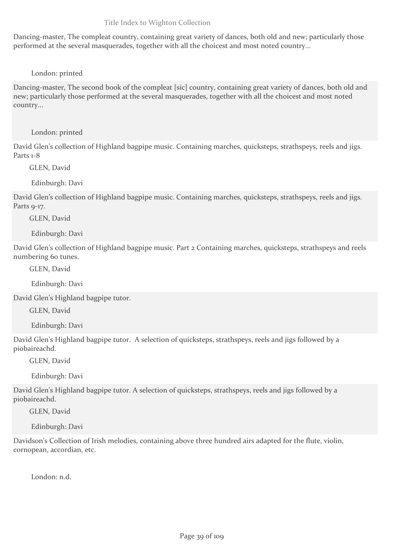Dancing-master, The compleat country, containing great variety of dances, both old and new; particularly those performed at the several masquerades, together with all the choicest and most noted country...

## London: printed

Dancing-master, The second book of the compleat [sic] country, containing great variety of dances, both old and new; particularly those performed at the several masquerades, together with all the choicest and most noted country...

#### London: printed

David Glen's collection of Highland bagpipe music. Containing marches, quicksteps, strathspeys, reels and jigs. Parts 1-8

GLEN, David

Edinburgh: Davi

David Glen's collection of Highland bagpipe music. Containing marches, quicksteps, strathspeys, reels and jigs. Parts 9-17.

GLEN, David

Edinburgh: Davi

David Glen's collection of Highland bagpipe music. Part 2 Containing marches, quicksteps, strathspeys and reels numbering 60 tunes.

GLEN, David

Edinburgh: Davi

David Glen's Highland bagpipe tutor.

GLEN, David

Edinburgh: Davi

David Glen's Highland bagpipe tutor. A selection of quicksteps, strathspeys, reels and jigs followed by a piobaireachd.

GLEN, David

Edinburgh: Davi

David Glen's Highland bagpipe tutor. A selection of quicksteps, strathspeys, reels and jigs followed by a piobaireachd.

GLEN, David

Edinburgh: Davi

Davidson's Collection of Irish melodies, containing above three hundred airs adapted for the flute, violin, cornopean, accordian, etc.

London: n.d.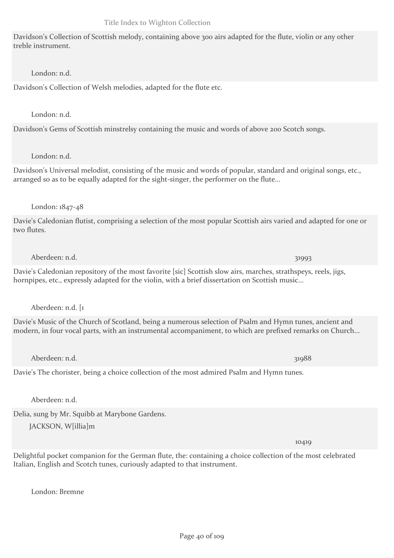Davidson's Collection of Scottish melody, containing above 300 airs adapted for the flute, violin or any other treble instrument.

## London: n.d.

Davidson's Collection of Welsh melodies, adapted for the flute etc.

#### London: n.d.

Davidson's Gems of Scottish minstrelsy containing the music and words of above 200 Scotch songs.

#### London: n.d.

Davidson's Universal melodist, consisting of the music and words of popular, standard and original songs, etc., arranged so as to be equally adapted for the sight-singer, the performer on the flute...

## London: 1847-48

Davie's Caledonian flutist, comprising a selection of the most popular Scottish airs varied and adapted for one or two flutes.

#### Aberdeen: n.d. 31993

Davie's Caledonian repository of the most favorite [sic] Scottish slow airs, marches, strathspeys, reels, jigs, hornpipes, etc., expressly adapted for the violin, with a brief dissertation on Scottish music...

Aberdeen: n.d. [1

Davie's Music of the Church of Scotland, being a numerous selection of Psalm and Hymn tunes, ancient and modern, in four vocal parts, with an instrumental accompaniment, to which are prefixed remarks on Church...

Aberdeen: n.d. 31988

Davie's The chorister, being a choice collection of the most admired Psalm and Hymn tunes.

Aberdeen: n.d.

Delia, sung by Mr. Squibb at Marybone Gardens.

JACKSON, W[illia]m

Delightful pocket companion for the German flute, the: containing a choice collection of the most celebrated Italian, English and Scotch tunes, curiously adapted to that instrument.

London: Bremne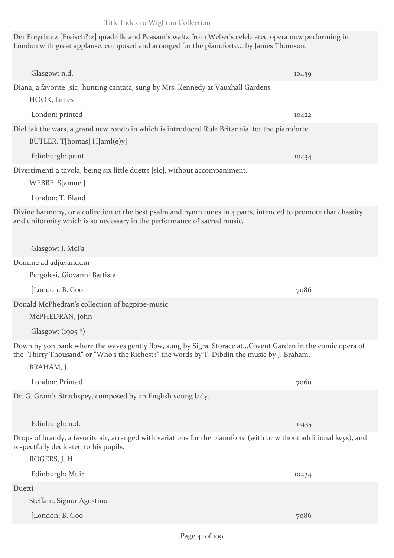Glasgow: n.d. 10439

Der Freychutz [Freisch?tz] quadrille and Peasant's waltz from Weber's celebrated opera now performing in

London: printed 10422

HOOK, James

Diel tak the wars, a grand new rondo in which is introduced Rule Britannia, for the pianoforte.

BUTLER, T[homas] H[aml(e)y]

Edinburgh: print 10434

## Divertimenti a tavola, being six little duetts [sic], without accompaniment.

WEBBE, S[amuel]

London: T. Bland

Divine harmony, or a collection of the best psalm and hymn tunes in 4 parts, intended to promote that chastity and uniformity which is so necessary in the performance of sacred music.

Glasgow: J. McFa

#### Domine ad adjuvandum

Pergolesi, Giovanni Battista

[London: B. Goo 7086

Donald McPhedran's collection of bagpipe-music

McPHEDRAN, John

Glasgow: (1905 ?)

Down by yon bank where the waves gently flow, sung by Sigra. Storace at...Covent Garden in the comic opera of the "Thirty Thousand" or "Who's the Richest?" the words by T. Dibdin the music by J. Braham.

BRAHAM, J.

Dr. G. Grant's Strathspey, composed by an English young lady.

Edinburgh: n.d. 10435

Drops of brandy, a favorite air, arranged with variations for the pianoforte (with or without additional keys), and respectfully dedicated to his pupils.

ROGERS, J. H. Edinburgh: Muir 10434 Duetti Steffani, Signor Agostino [London: B. Goo 7086

London with great applause, composed and arranged for the pianoforte... by James Thomson.

Diana, a favorite [sic] hunting cantata, sung by Mrs. Kennedy at Vauxhall Gardens

London: Printed 7060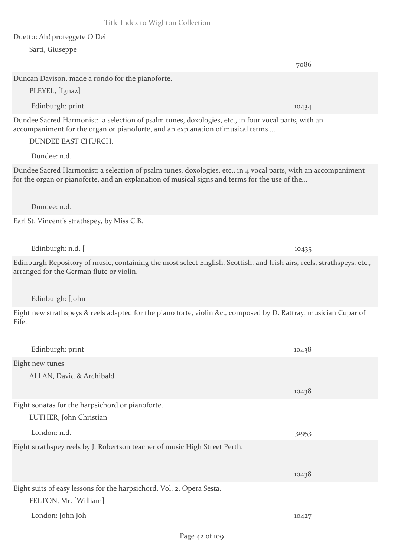7086

Duetto: Ah! proteggete O Dei Sarti, Giuseppe

PLEYEL, [Ignaz]

Duncan Davison, made a rondo for the pianoforte.

Edinburgh: print 10434 Dundee Sacred Harmonist: a selection of psalm tunes, doxologies, etc., in four vocal parts, with an accompaniment for the organ or pianoforte, and an explanation of musical terms ... DUNDEE EAST CHURCH. Dundee: n.d. Dundee Sacred Harmonist: a selection of psalm tunes, doxologies, etc., in 4 vocal parts, with an accompaniment for the organ or pianoforte, and an explanation of musical signs and terms for the use of the... Dundee: n.d. Earl St. Vincent's strathspey, by Miss C.B. Edinburgh: n.d. [ 10435 Edinburgh Repository of music, containing the most select English, Scottish, and Irish airs, reels, strathspeys, etc., arranged for the German flute or violin. Edinburgh: [John Eight new strathspeys & reels adapted for the piano forte, violin &c., composed by D. Rattray, musician Cupar of Fife. Edinburgh: print 10438 Eight new tunes ALLAN, David & Archibald 10438 Eight sonatas for the harpsichord or pianoforte. LUTHER, John Christian London: n.d. 31953 Eight strathspey reels by J. Robertson teacher of music High Street Perth. 10438 Eight suits of easy lessons for the harpsichord. Vol. 2. Opera Sesta. FELTON, Mr. [William] London: John Joh 10427 Page 42 of 109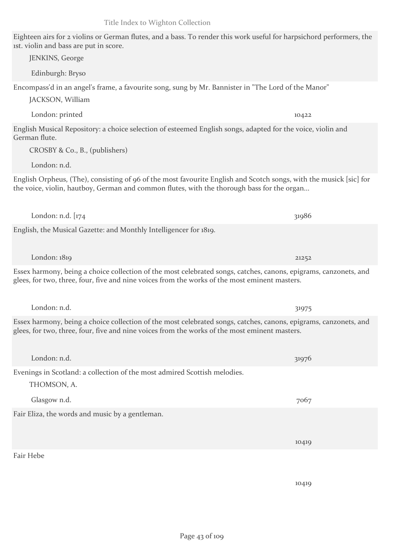## Eighteen airs for 2 violins or German flutes, and a bass. To render this work useful for harpsichord performers, the 1st. violin and bass are put in score.

Encompass'd in an angel's frame, a favourite song, sung by Mr. Bannister in "The Lord of the Manor" JACKSON, William London: printed 10422 English Musical Repository: a choice selection of esteemed English songs, adapted for the voice, violin and German flute. CROSBY & Co., B., (publishers) London: n.d. English Orpheus, (The), consisting of 96 of the most favourite English and Scotch songs, with the musick [sic] for the voice, violin, hautboy, German and common flutes, with the thorough bass for the organ... London: n.d.  $174$  31986 English, the Musical Gazette: and Monthly Intelligencer for 1819. London: 1819 21252 Essex harmony, being a choice collection of the most celebrated songs, catches, canons, epigrams, canzonets, and glees, for two, three, four, five and nine voices from the works of the most eminent masters. London: n.d. 31975 Essex harmony, being a choice collection of the most celebrated songs, catches, canons, epigrams, canzonets, and glees, for two, three, four, five and nine voices from the works of the most eminent masters. London: n.d. 31976 Evenings in Scotland: a collection of the most admired Scottish melodies.

Glasgow n.d. 7067 Fair Eliza, the words and music by a gentleman.

Fair Hebe

THOMSON, A.

JENKINS, George

Edinburgh: Bryso

10419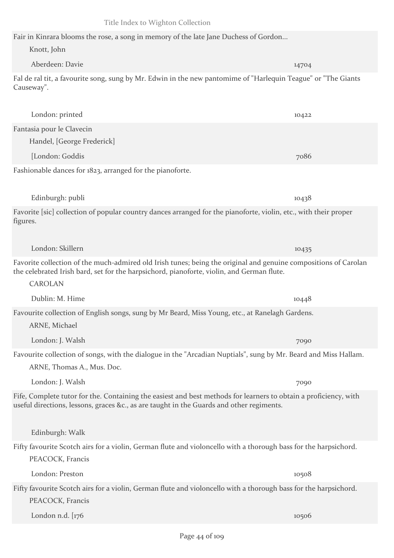Fair in Kinrara blooms the rose, a song in memory of the late Jane Duchess of Gordon...

Knott, John

Aberdeen: Davie 14704 Fal de ral tit, a favourite song, sung by Mr. Edwin in the new pantomime of "Harlequin Teague" or "The Giants Causeway".

London: printed 10422 Fantasia pour le Clavecin Handel, [George Frederick] [London: Goddis 7086

Fashionable dances for 1823, arranged for the pianoforte.

Edinburgh: publi 10438

CAROLAN

ARNE, Michael

Favorite [sic] collection of popular country dances arranged for the pianoforte, violin, etc., with their proper figures.

Favorite collection of the much-admired old Irish tunes; being the original and genuine compositions of Carolan the celebrated Irish bard, set for the harpsichord, pianoforte, violin, and German flute.

Dublin: M. Hime 10448 Favourite collection of English songs, sung by Mr Beard, Miss Young, etc., at Ranelagh Gardens.

London: Skillern 10435

Favourite collection of songs, with the dialogue in the "Arcadian Nuptials", sung by Mr. Beard and Miss Hallam.

ARNE, Thomas A., Mus. Doc.

Fifty favourite Scotch airs for a violin, German flute and violoncello with a thorough bass for the harpsichord.

Fifty favourite Scotch airs for a violin, German flute and violoncello with a thorough bass for the harpsichord. PEACOCK, Francis

London n.d. [176 10506] [176 10506] [176 10506] [176 10506] [176 10506] [176 10506] [176 10506] [176 10506] [1

London: J. Walsh 7090 Fife, Complete tutor for the. Containing the easiest and best methods for learners to obtain a proficiency, with useful directions, lessons, graces &c., as are taught in the Guards and other regiments. Edinburgh: Walk PEACOCK, Francis London: Preston 10508

London: J. Walsh 7090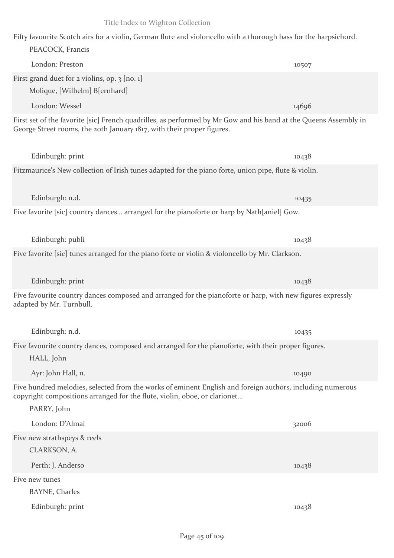| Fifty favourite Scotch airs for a violin, German flute and violoncello with a thorough bass for the harpsichord.<br>PEACOCK, Francis                                                                  |       |
|-------------------------------------------------------------------------------------------------------------------------------------------------------------------------------------------------------|-------|
| London: Preston                                                                                                                                                                                       | 10507 |
| First grand duet for 2 violins, op. 3 [no. 1]<br>Molique, [Wilhelm] B[ernhard]                                                                                                                        |       |
| London: Wessel                                                                                                                                                                                        | 14696 |
| First set of the favorite [sic] French quadrilles, as performed by Mr Gow and his band at the Queens Assembly in<br>George Street rooms, the 20th January 1817, with their proper figures.            |       |
| Edinburgh: print                                                                                                                                                                                      | 10438 |
| Fitzmaurice's New collection of Irish tunes adapted for the piano forte, union pipe, flute & violin.                                                                                                  |       |
| Edinburgh: n.d.                                                                                                                                                                                       | 10435 |
| Five favorite [sic] country dances arranged for the pianoforte or harp by Nath[aniel] Gow.                                                                                                            |       |
| Edinburgh: publi                                                                                                                                                                                      | 10438 |
| Five favorite [sic] tunes arranged for the piano forte or violin & violoncello by Mr. Clarkson.                                                                                                       |       |
| Edinburgh: print                                                                                                                                                                                      | 10438 |
| Five favourite country dances composed and arranged for the pianoforte or harp, with new figures expressly<br>adapted by Mr. Turnbull.                                                                |       |
| Edinburgh: n.d.                                                                                                                                                                                       | 10435 |
| Five favourite country dances, composed and arranged for the pianoforte, with their proper figures.<br>HALL, John                                                                                     |       |
| Ayr: John Hall, n.                                                                                                                                                                                    | 10490 |
| Five hundred melodies, selected from the works of eminent English and foreign authors, including numerous<br>copyright compositions arranged for the flute, violin, oboe, or clarionet<br>PARRY, John |       |
| London: D'Almai                                                                                                                                                                                       | 32006 |
| Five new strathspeys & reels<br>CLARKSON, A.                                                                                                                                                          |       |
| Perth: J. Anderso                                                                                                                                                                                     | 10438 |
| Five new tunes<br><b>BAYNE</b> , Charles                                                                                                                                                              |       |

Edinburgh: print 10438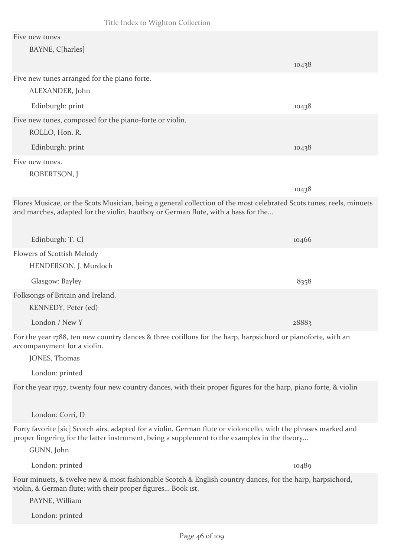#### Five new tunes

| Five new tunes                                                                                                                                                                                            |       |
|-----------------------------------------------------------------------------------------------------------------------------------------------------------------------------------------------------------|-------|
| BAYNE, C[harles]                                                                                                                                                                                          |       |
|                                                                                                                                                                                                           | 10438 |
| Five new tunes arranged for the piano forte.                                                                                                                                                              |       |
| ALEXANDER, John                                                                                                                                                                                           |       |
| Edinburgh: print                                                                                                                                                                                          | 10438 |
| Five new tunes, composed for the piano-forte or violin.                                                                                                                                                   |       |
| ROLLO, Hon. R.                                                                                                                                                                                            |       |
| Edinburgh: print                                                                                                                                                                                          | 10438 |
| Five new tunes.                                                                                                                                                                                           |       |
| ROBERTSON, J                                                                                                                                                                                              |       |
|                                                                                                                                                                                                           | 10438 |
| Flores Musicae, or the Scots Musician, being a general collection of the most celebrated Scots tunes, reels, minuets<br>and marches, adapted for the violin, hautboy or German flute, with a bass for the |       |
| Edinburgh: T. Cl                                                                                                                                                                                          | 10466 |
| Flowers of Scottish Melody                                                                                                                                                                                |       |
| HENDERSON, J. Murdoch                                                                                                                                                                                     |       |
| Glasgow: Bayley                                                                                                                                                                                           | 8358  |
| Folksongs of Britain and Ireland.                                                                                                                                                                         |       |
| KENNEDY, Peter (ed)                                                                                                                                                                                       |       |

London / New Y 28883

For the year 1788, ten new country dances & three cotillons for the harp, harpsichord or pianoforte, with an accompanyment for a violin.

JONES, Thomas

London: printed

For the year 1797, twenty four new country dances, with their proper figures for the harp, piano forte, & violin

London: Corri, D

Forty favorite [sic] Scotch airs, adapted for a violin, German flute or violoncello, with the phrases marked and proper fingering for the latter instrument, being a supplement to the examples in the theory...

GUNN, John

London: printed 10489 Four minuets, & twelve new & most fashionable Scotch & English country dances, for the harp, harpsichord,

PAYNE, William

violin, & German flute; with their proper figures... Book 1st.

London: printed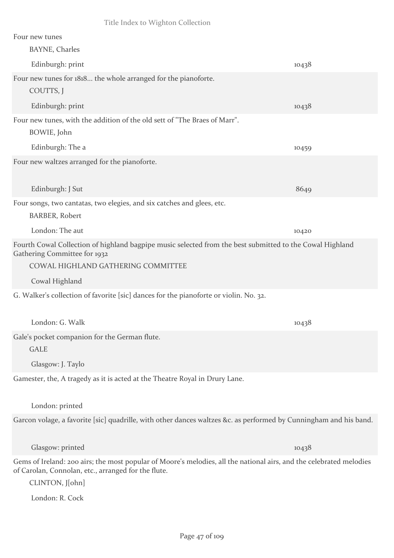| Four new tunes                                                                                                                                                             |       |
|----------------------------------------------------------------------------------------------------------------------------------------------------------------------------|-------|
| <b>BAYNE, Charles</b>                                                                                                                                                      |       |
| Edinburgh: print                                                                                                                                                           | 10438 |
| Four new tunes for 1818 the whole arranged for the pianoforte.                                                                                                             |       |
| COUTTS, J                                                                                                                                                                  |       |
| Edinburgh: print                                                                                                                                                           | 10438 |
| Four new tunes, with the addition of the old sett of "The Braes of Marr".                                                                                                  |       |
| BOWIE, John                                                                                                                                                                |       |
| Edinburgh: The a                                                                                                                                                           | 10459 |
| Four new waltzes arranged for the pianoforte.                                                                                                                              |       |
|                                                                                                                                                                            |       |
| Edinburgh: J Sut                                                                                                                                                           | 8649  |
| Four songs, two cantatas, two elegies, and six catches and glees, etc.                                                                                                     |       |
| <b>BARBER, Robert</b>                                                                                                                                                      |       |
| London: The aut                                                                                                                                                            | 10420 |
| Fourth Cowal Collection of highland bagpipe music selected from the best submitted to the Cowal Highland<br>Gathering Committee for 1932                                   |       |
| COWAL HIGHLAND GATHERING COMMITTEE                                                                                                                                         |       |
| Cowal Highland                                                                                                                                                             |       |
| G. Walker's collection of favorite [sic] dances for the pianoforte or violin. No. 32.                                                                                      |       |
| London: G. Walk                                                                                                                                                            | 10438 |
| Gale's pocket companion for the German flute.                                                                                                                              |       |
| <b>GALE</b>                                                                                                                                                                |       |
| Glasgow: J. Taylo                                                                                                                                                          |       |
| Gamester, the, A tragedy as it is acted at the Theatre Royal in Drury Lane.                                                                                                |       |
|                                                                                                                                                                            |       |
| London: printed                                                                                                                                                            |       |
| Garcon volage, a favorite [sic] quadrille, with other dances waltzes &c. as performed by Cunningham and his band.                                                          |       |
|                                                                                                                                                                            |       |
| Glasgow: printed                                                                                                                                                           | 10438 |
| Gems of Ireland: 200 airs; the most popular of Moore's melodies, all the national airs, and the celebrated melodies<br>of Carolan, Connolan, etc., arranged for the flute. |       |
| CLINTON, J[ohn]                                                                                                                                                            |       |
| London: R. Cock                                                                                                                                                            |       |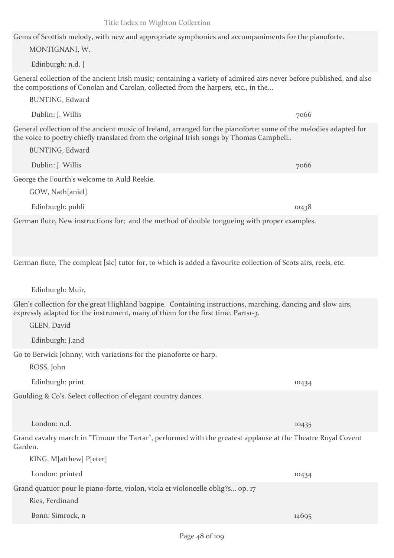Gems of Scottish melody, with new and appropriate symphonies and accompaniments for the pianoforte. MONTIGNANI, W.

Edinburgh: n.d. [

General collection of the ancient Irish music; containing a variety of admired airs never before published, and also the compositions of Conolan and Carolan, collected from the harpers, etc., in the...

BUNTING, Edward

General collection of the ancient music of Ireland, arranged for the pianoforte; some of the melodies adapted for the voice to poetry chiefly translated from the original Irish songs by Thomas Campbell..

George the Fourth's welcome to Auld Reekie.

Dublin: J. Willis 7066

GOW, Nath[aniel]

BUNTING, Edward

Edinburgh: publi 10438

German flute, New instructions for; and the method of double tongueing with proper examples.

German flute, The compleat [sic] tutor for, to which is added a favourite collection of Scots airs, reels, etc.

Edinburgh: Muir,

Glen's collection for the great Highland bagpipe. Containing instructions, marching, dancing and slow airs, expressly adapted for the instrument, many of them for the first time. Parts1-3.

GLEN, David

Edinburgh: J.and

Go to Berwick Johnny, with variations for the pianoforte or harp.

ROSS, John

Goulding & Co's. Select collection of elegant country dances.

London: n.d. 10435

Grand cavalry march in "Timour the Tartar", performed with the greatest applause at the Theatre Royal Covent Garden.

KING, M[atthew] P[eter]

London: printed 10434 Grand quatuor pour le piano-forte, violon, viola et violoncelle oblig?s... op. 17

Ries, Ferdinand

Bonn: Simrock, n 14695

Edinburgh: print 10434

Dublin: J. Willis 7066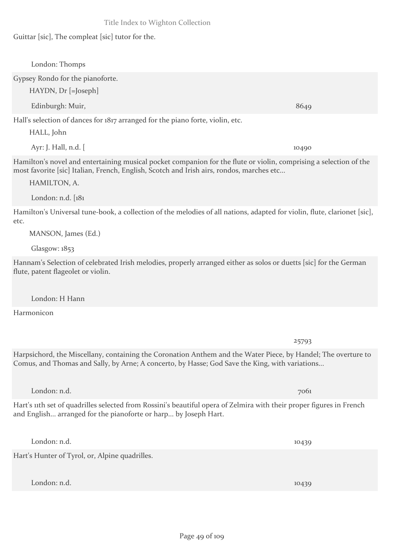Guittar [sic], The compleat [sic] tutor for the.

London: Thomps Gypsey Rondo for the pianoforte. HAYDN, Dr [=Joseph] Edinburgh: Muir, 8649 Hall's selection of dances for 1817 arranged for the piano forte, violin, etc. HALL, John Ayr: J. Hall, n.d. [ 10490 Hamilton's novel and entertaining musical pocket companion for the flute or violin, comprising a selection of the most favorite [sic] Italian, French, English, Scotch and Irish airs, rondos, marches etc... HAMILTON, A. London: n.d. [181 Hamilton's Universal tune-book, a collection of the melodies of all nations, adapted for violin, flute, clarionet [sic], etc. MANSON, James (Ed.) Glasgow: 1853 Hannam's Selection of celebrated Irish melodies, properly arranged either as solos or duetts [sic] for the German flute, patent flageolet or violin. London: H Hann Harmonicon 25793 Harpsichord, the Miscellany, containing the Coronation Anthem and the Water Piece, by Handel; The overture to Comus, and Thomas and Sally, by Arne; A concerto, by Hasse; God Save the King, with variations... London: n.d. 7061 Hart's 11th set of quadrilles selected from Rossini's beautiful opera of Zelmira with their proper figures in French and English... arranged for the pianoforte or harp... by Joseph Hart.

Hart's Hunter of Tyrol, or, Alpine quadrilles.

London: n.d. 10439

London: n.d. 10439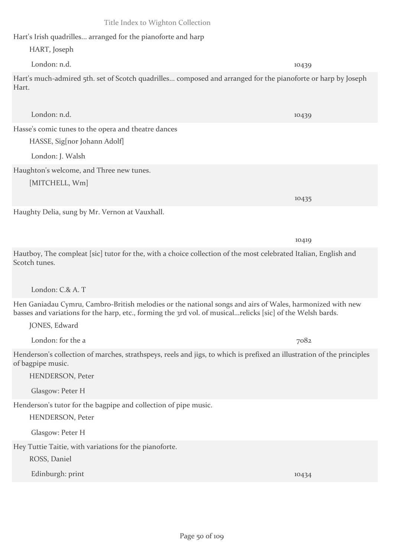Hart's Irish quadrilles... arranged for the pianoforte and harp

Hasse's comic tunes to the opera and theatre dances

HASSE, Sig[nor Johann Adolf]

HART, Joseph

London: n.d. 10439

Hart's much-admired 5th. set of Scotch quadrilles... composed and arranged for the pianoforte or harp by Joseph Hart.

London: n.d. 10439

London: J. Walsh Haughton's welcome, and Three new tunes. [MITCHELL, Wm] 10435 Haughty Delia, sung by Mr. Vernon at Vauxhall. 10419 Hautboy, The compleat [sic] tutor for the, with a choice collection of the most celebrated Italian, English and Scotch tunes. London: C.& A. T Hen Ganiadau Cymru, Cambro-British melodies or the national songs and airs of Wales, harmonized with new basses and variations for the harp, etc., forming the 3rd vol. of musical...relicks [sic] of the Welsh bards. JONES, Edward London: for the a 7082 Henderson's collection of marches, strathspeys, reels and jigs, to which is prefixed an illustration of the principles of bagpipe music. HENDERSON, Peter Glasgow: Peter H Henderson's tutor for the bagpipe and collection of pipe music. HENDERSON, Peter Glasgow: Peter H Hey Tuttie Taitie, with variations for the pianoforte. ROSS, Daniel

Edinburgh: print 10434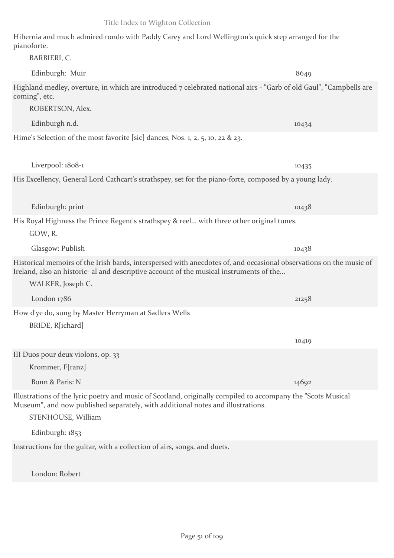Hibernia and much admired rondo with Paddy Carey and Lord Wellington's quick step arranged for the pianoforte.

| BARBIERI, C.                                                                                                                                                                                                           |       |
|------------------------------------------------------------------------------------------------------------------------------------------------------------------------------------------------------------------------|-------|
| Edinburgh: Muir                                                                                                                                                                                                        | 8649  |
| Highland medley, overture, in which are introduced 7 celebrated national airs - "Garb of old Gaul", "Campbells are<br>coming", etc.<br>ROBERTSON, Alex.                                                                |       |
| Edinburgh n.d.                                                                                                                                                                                                         | 10434 |
| Hime's Selection of the most favorite [sic] dances, Nos. 1, 2, 5, 10, 22 & 23.                                                                                                                                         |       |
| Liverpool: 1808-1                                                                                                                                                                                                      | 10435 |
| His Excellency, General Lord Cathcart's strathspey, set for the piano-forte, composed by a young lady.                                                                                                                 |       |
| Edinburgh: print                                                                                                                                                                                                       | 10438 |
| His Royal Highness the Prince Regent's strathspey & reel with three other original tunes.                                                                                                                              |       |
| GOW, R.                                                                                                                                                                                                                |       |
| Glasgow: Publish                                                                                                                                                                                                       | 10438 |
| Historical memoirs of the Irish bards, interspersed with anecdotes of, and occasional observations on the music of<br>Ireland, also an historic- al and descriptive account of the musical instruments of the          |       |
| WALKER, Joseph C.                                                                                                                                                                                                      |       |
| London 1786                                                                                                                                                                                                            | 21258 |
| How d'ye do, sung by Master Herryman at Sadlers Wells                                                                                                                                                                  |       |
| BRIDE, R[ichard]                                                                                                                                                                                                       |       |
|                                                                                                                                                                                                                        | 10419 |
| III Duos pour deux violons, op. 33                                                                                                                                                                                     |       |
| Krommer, F[ranz]                                                                                                                                                                                                       |       |
| Bonn & Paris: N                                                                                                                                                                                                        | 14692 |
| Illustrations of the lyric poetry and music of Scotland, originally compiled to accompany the "Scots Musical"<br>Museum", and now published separately, with additional notes and illustrations.<br>STENHOUSE, William |       |
|                                                                                                                                                                                                                        |       |
| Edinburgh: 1853                                                                                                                                                                                                        |       |
| Instructions for the guitar, with a collection of airs, songs, and duets.                                                                                                                                              |       |

London: Robert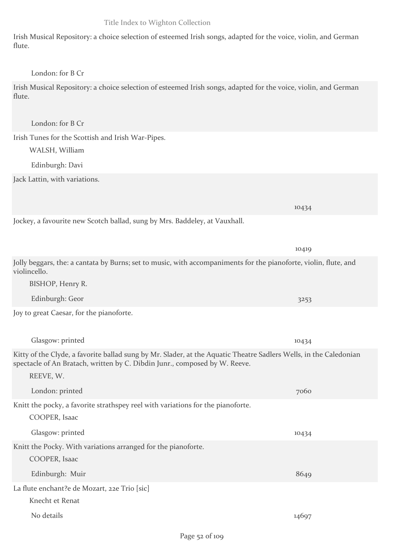Irish Musical Repository: a choice selection of esteemed Irish songs, adapted for the voice, violin, and German flute.

#### London: for B Cr

Irish Musical Repository: a choice selection of esteemed Irish songs, adapted for the voice, violin, and German flute.

London: for B Cr

Irish Tunes for the Scottish and Irish War-Pipes. WALSH, William

Edinburgh: Davi

Jack Lattin, with variations.

Jockey, a favourite new Scotch ballad, sung by Mrs. Baddeley, at Vauxhall.

10419 Jolly beggars, the: a cantata by Burns; set to music, with accompaniments for the pianoforte, violin, flute, and violincello. BISHOP, Henry R. Edinburgh: Geor 3253 Joy to great Caesar, for the pianoforte. Glasgow: printed 10434 Kitty of the Clyde, a favorite ballad sung by Mr. Slader, at the Aquatic Theatre Sadlers Wells, in the Caledonian spectacle of An Bratach, written by C. Dibdin Junr., composed by W. Reeve. REEVE, W. London: printed 7060 Knitt the pocky, a favorite strathspey reel with variations for the pianoforte. COOPER, Isaac Glasgow: printed 10434 Knitt the Pocky. With variations arranged for the pianoforte. COOPER, Isaac Edinburgh: Muir 8649 La flute enchant?e de Mozart, 22e Trio [sic] Knecht et Renat No details 14697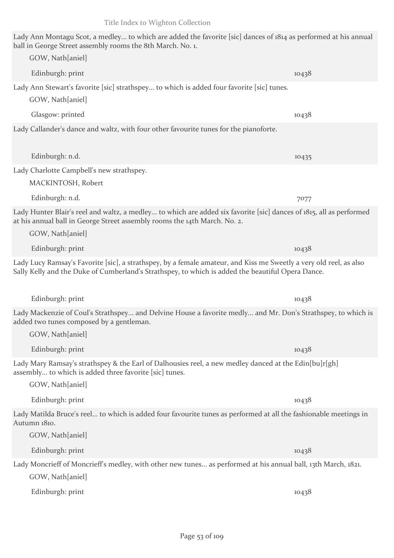Lady Ann Montagu Scot, a medley... to which are added the favorite [sic] dances of 1814 as performed at his annual ball in George Street assembly rooms the 8th March. No. 1. GOW, Nath[aniel] Edinburgh: print 10438 Lady Ann Stewart's favorite [sic] strathspey... to which is added four favorite [sic] tunes. GOW, Nath[aniel] Glasgow: printed 10438 Lady Callander's dance and waltz, with four other favourite tunes for the pianoforte. Edinburgh: n.d. 10435 Lady Charlotte Campbell's new strathspey. MACKINTOSH, Robert Edinburgh: n.d. 7077 Lady Hunter Blair's reel and waltz, a medley... to which are added six favorite [sic] dances of 1815, all as performed at his annual ball in George Street assembly rooms the 14th March. No. 2. GOW, Nath[aniel] Edinburgh: print 10438 Lady Lucy Ramsay's Favorite [sic], a strathspey, by a female amateur, and Kiss me Sweetly a very old reel, as also Sally Kelly and the Duke of Cumberland's Strathspey, to which is added the beautiful Opera Dance. Edinburgh: print 10438 Lady Mackenzie of Coul's Strathspey... and Delvine House a favorite medly... and Mr. Don's Strathspey, to which is added two tunes composed by a gentleman. GOW, Nath[aniel] Edinburgh: print 10438 Lady Mary Ramsay's strathspey & the Earl of Dalhousies reel, a new medley danced at the Edin[bu]r[gh] assembly... to which is added three favorite [sic] tunes. GOW, Nath[aniel] Edinburgh: print 10438 Lady Matilda Bruce's reel... to which is added four favourite tunes as performed at all the fashionable meetings in Autumn 1810. GOW, Nath[aniel] Edinburgh: print 10438 Lady Moncrieff of Moncrieff's medley, with other new tunes... as performed at his annual ball, 13th March, 1821. GOW, Nath[aniel] Edinburgh: print 10438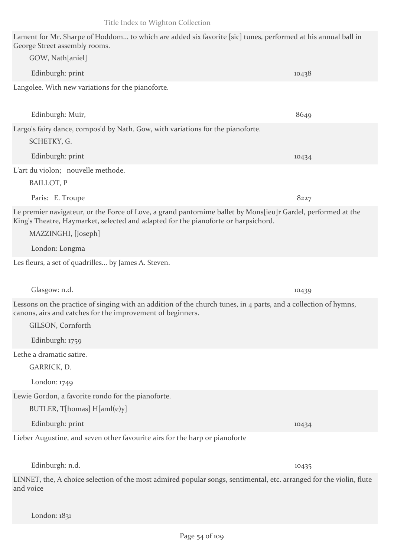| Lament for Mr. Sharpe of Hoddom to which are added six favorite [sic] tunes, performed at his annual ball in<br>George Street assembly rooms.                                                                             |       |
|---------------------------------------------------------------------------------------------------------------------------------------------------------------------------------------------------------------------------|-------|
| GOW, Nath[aniel]                                                                                                                                                                                                          |       |
| Edinburgh: print                                                                                                                                                                                                          | 10438 |
| Langolee. With new variations for the pianoforte.                                                                                                                                                                         |       |
| Edinburgh: Muir,                                                                                                                                                                                                          | 8649  |
| Largo's fairy dance, compos'd by Nath. Gow, with variations for the pianoforte.<br>SCHETKY, G.                                                                                                                            |       |
| Edinburgh: print                                                                                                                                                                                                          | 10434 |
| L'art du violon; nouvelle methode.<br>BAILLOT, P                                                                                                                                                                          |       |
| Paris: E. Troupe                                                                                                                                                                                                          | 8227  |
| Le premier navigateur, or the Force of Love, a grand pantomime ballet by Mons[ieu]r Gardel, performed at the<br>King's Theatre, Haymarket, selected and adapted for the pianoforte or harpsichord.<br>MAZZINGHI, [Joseph] |       |
| London: Longma                                                                                                                                                                                                            |       |
| Les fleurs, a set of quadrilles by James A. Steven.                                                                                                                                                                       |       |
| Glasgow: n.d.                                                                                                                                                                                                             | 10439 |
| Lessons on the practice of singing with an addition of the church tunes, in 4 parts, and a collection of hymns,<br>canons, airs and catches for the improvement of beginners.<br>GILSON, Cornforth                        |       |
| Edinburgh: 1759                                                                                                                                                                                                           |       |
| Lethe a dramatic satire.<br>GARRICK, D.                                                                                                                                                                                   |       |
| London: $1749$                                                                                                                                                                                                            |       |
| Lewie Gordon, a favorite rondo for the pianoforte.<br>BUTLER, T[homas] H[aml(e)y]                                                                                                                                         |       |
| Edinburgh: print                                                                                                                                                                                                          | 10434 |
| Lieber Augustine, and seven other favourite airs for the harp or pianoforte                                                                                                                                               |       |
| Edinburgh: n.d.                                                                                                                                                                                                           | 10435 |
| LINNET, the, A choice selection of the most admired popular songs, sentimental, etc. arranged for the violin, flute<br>and voice                                                                                          |       |

London: 1831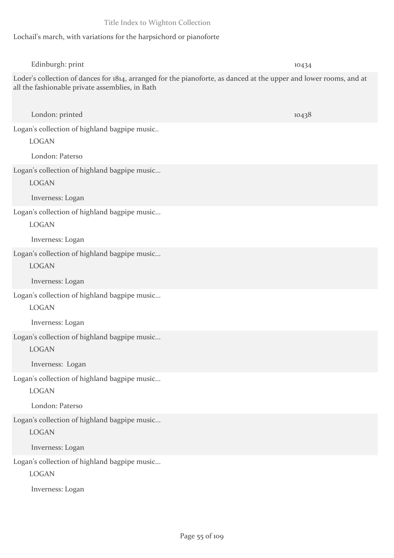# Lochail's march, with variations for the harpsichord or pianoforte

| Edinburgh: print                                                                                                                                                      | 10434 |
|-----------------------------------------------------------------------------------------------------------------------------------------------------------------------|-------|
| Loder's collection of dances for 1814, arranged for the pianoforte, as danced at the upper and lower rooms, and at<br>all the fashionable private assemblies, in Bath |       |
| London: printed                                                                                                                                                       | 10438 |
| Logan's collection of highland bagpipe music                                                                                                                          |       |
| <b>LOGAN</b>                                                                                                                                                          |       |
| London: Paterso                                                                                                                                                       |       |
| Logan's collection of highland bagpipe music                                                                                                                          |       |
| <b>LOGAN</b>                                                                                                                                                          |       |
| Inverness: Logan                                                                                                                                                      |       |
| Logan's collection of highland bagpipe music<br><b>LOGAN</b>                                                                                                          |       |
| Inverness: Logan                                                                                                                                                      |       |
| Logan's collection of highland bagpipe music                                                                                                                          |       |
| <b>LOGAN</b>                                                                                                                                                          |       |
| Inverness: Logan                                                                                                                                                      |       |
| Logan's collection of highland bagpipe music                                                                                                                          |       |
| <b>LOGAN</b>                                                                                                                                                          |       |
| Inverness: Logan                                                                                                                                                      |       |
| Logan's collection of highland bagpipe music                                                                                                                          |       |
| <b>LOGAN</b>                                                                                                                                                          |       |
| Inverness: Logan                                                                                                                                                      |       |
| Logan's collection of highland bagpipe music                                                                                                                          |       |
| <b>LOGAN</b>                                                                                                                                                          |       |
| London: Paterso                                                                                                                                                       |       |
| Logan's collection of highland bagpipe music                                                                                                                          |       |
| <b>LOGAN</b>                                                                                                                                                          |       |
| Inverness: Logan                                                                                                                                                      |       |
| Logan's collection of highland bagpipe music                                                                                                                          |       |
| <b>LOGAN</b>                                                                                                                                                          |       |
| Inverness: Logan                                                                                                                                                      |       |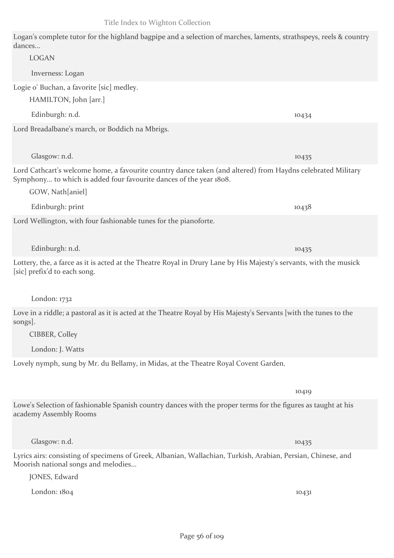Logan's complete tutor for the highland bagpipe and a selection of marches, laments, strathspeys, reels & country dances...

| <b>LOGAN</b>                                                                                                                                                                      |       |
|-----------------------------------------------------------------------------------------------------------------------------------------------------------------------------------|-------|
| Inverness: Logan                                                                                                                                                                  |       |
| Logie o' Buchan, a favorite [sic] medley.                                                                                                                                         |       |
| HAMILTON, John [arr.]                                                                                                                                                             |       |
| Edinburgh: n.d.                                                                                                                                                                   | 10434 |
| Lord Breadalbane's march, or Boddich na Mbrigs.                                                                                                                                   |       |
|                                                                                                                                                                                   |       |
| Glasgow: n.d.                                                                                                                                                                     | 10435 |
| Lord Cathcart's welcome home, a favourite country dance taken (and altered) from Haydns celebrated Military<br>Symphony to which is added four favourite dances of the year 1808. |       |
| GOW, Nath[aniel]                                                                                                                                                                  |       |
| Edinburgh: print                                                                                                                                                                  | 10438 |
| Lord Wellington, with four fashionable tunes for the pianoforte.                                                                                                                  |       |
|                                                                                                                                                                                   |       |
| Edinburgh: n.d.                                                                                                                                                                   | 10435 |
| Lottery, the, a farce as it is acted at the Theatre Royal in Drury Lane by His Majesty's servants, with the musick<br>[sic] prefix'd to each song.                                |       |
| London: $1732$                                                                                                                                                                    |       |
| Love in a riddle; a pastoral as it is acted at the Theatre Royal by His Majesty's Servants [with the tunes to the<br>songs.<br>CIBBER, Colley                                     |       |
| London: J. Watts                                                                                                                                                                  |       |
| Lovely nymph, sung by Mr. du Bellamy, in Midas, at the Theatre Royal Covent Garden.                                                                                               |       |
|                                                                                                                                                                                   |       |
|                                                                                                                                                                                   | 10419 |
| Lowe's Selection of fashionable Spanish country dances with the proper terms for the figures as taught at his<br>academy Assembly Rooms                                           |       |
|                                                                                                                                                                                   |       |
| Glasgow: n.d.                                                                                                                                                                     | 10435 |
| Lyrics airs: consisting of specimens of Greek, Albanian, Wallachian, Turkish, Arabian, Persian, Chinese, and<br>Moorish national songs and melodies<br>JONES, Edward              |       |
| London: 1804                                                                                                                                                                      | 10431 |
|                                                                                                                                                                                   |       |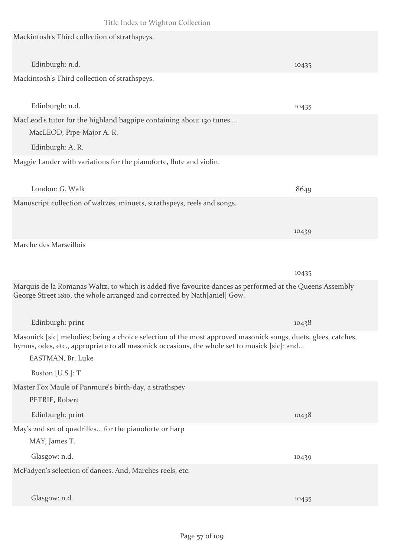| Mackintosh's Third collection of strathspeys.                                                                                                                                                                                      |       |
|------------------------------------------------------------------------------------------------------------------------------------------------------------------------------------------------------------------------------------|-------|
| Edinburgh: n.d.                                                                                                                                                                                                                    | 10435 |
| Mackintosh's Third collection of strathspeys.                                                                                                                                                                                      |       |
| Edinburgh: n.d.                                                                                                                                                                                                                    | 10435 |
| MacLeod's tutor for the highland bagpipe containing about 130 tunes<br>MacLEOD, Pipe-Major A. R.                                                                                                                                   |       |
| Edinburgh: A. R.                                                                                                                                                                                                                   |       |
| Maggie Lauder with variations for the pianoforte, flute and violin.                                                                                                                                                                |       |
| London: G. Walk                                                                                                                                                                                                                    | 8649  |
| Manuscript collection of waltzes, minuets, strathspeys, reels and songs.                                                                                                                                                           |       |
|                                                                                                                                                                                                                                    | 10439 |
| Marche des Marseillois                                                                                                                                                                                                             |       |
|                                                                                                                                                                                                                                    | 10435 |
| Marquis de la Romanas Waltz, to which is added five favourite dances as performed at the Queens Assembly<br>George Street 1810, the whole arranged and corrected by Nath[aniel] Gow.                                               |       |
| Edinburgh: print                                                                                                                                                                                                                   | 10438 |
| Masonick [sic] melodies; being a choice selection of the most approved masonick songs, duets, glees, catches,<br>hymns, odes, etc., appropriate to all masonick occasions, the whole set to musick [sic]: and<br>EASTMAN, Br. Luke |       |
| Boston [U.S.]: T                                                                                                                                                                                                                   |       |
| Master Fox Maule of Panmure's birth-day, a strathspey<br>PETRIE, Robert                                                                                                                                                            |       |
| Edinburgh: print                                                                                                                                                                                                                   | 10438 |
| May's 2nd set of quadrilles for the pianoforte or harp<br>MAY, James T.                                                                                                                                                            |       |
| Glasgow: n.d.                                                                                                                                                                                                                      | 10439 |
| McFadyen's selection of dances. And, Marches reels, etc.                                                                                                                                                                           |       |
| Glasgow: n.d.                                                                                                                                                                                                                      | 10435 |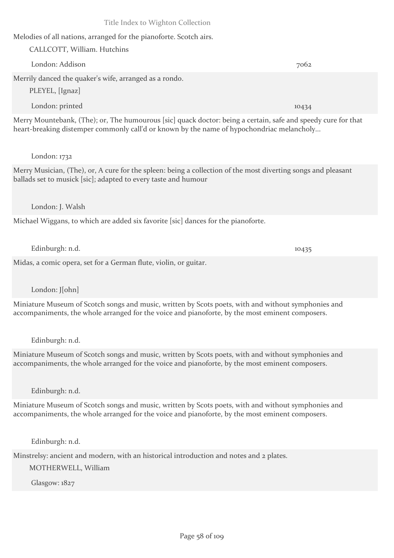Melodies of all nations, arranged for the pianoforte. Scotch airs.

CALLCOTT, William. Hutchins London: Addison 7062 Merrily danced the quaker's wife, arranged as a rondo. PLEYEL, [Ignaz] London: printed 10434

Merry Mountebank, (The); or, The humourous [sic] quack doctor: being a certain, safe and speedy cure for that heart-breaking distemper commonly call'd or known by the name of hypochondriac melancholy...

## London: 1732

Merry Musician, (The), or, A cure for the spleen: being a collection of the most diverting songs and pleasant ballads set to musick [sic]; adapted to every taste and humour

#### London: J. Walsh

Michael Wiggans, to which are added six favorite [sic] dances for the pianoforte.

Edinburgh: n.d. 10435

Midas, a comic opera, set for a German flute, violin, or guitar.

London: J[ohn]

Miniature Museum of Scotch songs and music, written by Scots poets, with and without symphonies and accompaniments, the whole arranged for the voice and pianoforte, by the most eminent composers.

Edinburgh: n.d.

Miniature Museum of Scotch songs and music, written by Scots poets, with and without symphonies and accompaniments, the whole arranged for the voice and pianoforte, by the most eminent composers.

Edinburgh: n.d.

Miniature Museum of Scotch songs and music, written by Scots poets, with and without symphonies and accompaniments, the whole arranged for the voice and pianoforte, by the most eminent composers.

Edinburgh: n.d.

Minstrelsy: ancient and modern, with an historical introduction and notes and 2 plates.

MOTHERWELL, William

Glasgow: 1827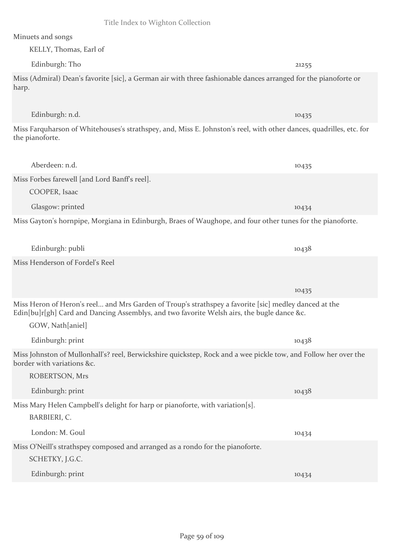#### Minuets and songs

KELLY, Thomas, Earl of

GOW, Nath[aniel]

Edinburgh: Tho 21255 Miss (Admiral) Dean's favorite [sic], a German air with three fashionable dances arranged for the pianoforte or harp.

Miss Farquharson of Whitehouses's strathspey, and, Miss E. Johnston's reel, with other dances, quadrilles, etc. for the pianoforte.

| Aberdeen: n.d.                                |  | 10435 |  |
|-----------------------------------------------|--|-------|--|
| Miss Forbes farewell [and Lord Banff's reel]. |  |       |  |
| COOPER, Isaac                                 |  |       |  |
| Glasgow: printed                              |  | 10434 |  |
|                                               |  |       |  |

Miss Gayton's hornpipe, Morgiana in Edinburgh, Braes of Waughope, and four other tunes for the pianoforte.

|                                 | .     |  |
|---------------------------------|-------|--|
| Miss Henderson of Fordel's Reel |       |  |
|                                 |       |  |
|                                 | 10435 |  |

Miss Heron of Heron's reel... and Mrs Garden of Troup's strathspey a favorite [sic] medley danced at the Edin[bu]r[gh] Card and Dancing Assemblys, and two favorite Welsh airs, the bugle dance &c.

Edinburgh: publi 10438

Edinburgh: print 10438 Miss Johnston of Mullonhall's? reel, Berwickshire quickstep, Rock and a wee pickle tow, and Follow her over the border with variations &c. ROBERTSON, Mrs Edinburgh: print 10438 Miss Mary Helen Campbell's delight for harp or pianoforte, with variation[s]. BARBIERI, C. London: M. Goul 10434 Miss O'Neill's strathspey composed and arranged as a rondo for the pianoforte.

SCHETKY, J.G.C. Edinburgh: print 10434

Edinburgh: n.d. 10435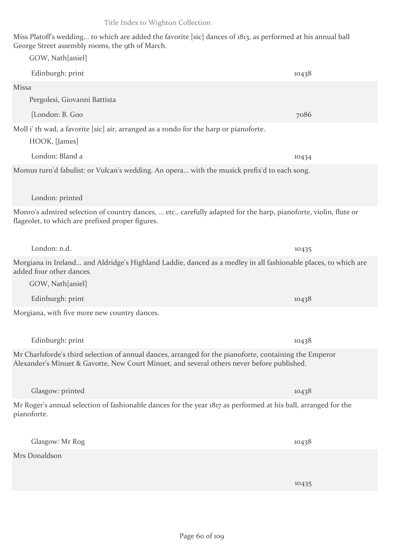| Edinburgh: print<br>10438<br>Missa<br>Pergolesi, Giovanni Battista<br>[London: B. Goo<br>7086<br>Moll i' th wad, a favorite [sic] air, arranged as a rondo for the harp or pianoforte.<br>HOOK, [James]<br>London: Bland a<br>10434<br>Momus turn'd fabulist: or Vulcan's wedding. An opera with the musick prefix'd to each song.<br>London: printed |  |
|-------------------------------------------------------------------------------------------------------------------------------------------------------------------------------------------------------------------------------------------------------------------------------------------------------------------------------------------------------|--|
|                                                                                                                                                                                                                                                                                                                                                       |  |
|                                                                                                                                                                                                                                                                                                                                                       |  |
|                                                                                                                                                                                                                                                                                                                                                       |  |
|                                                                                                                                                                                                                                                                                                                                                       |  |
|                                                                                                                                                                                                                                                                                                                                                       |  |
|                                                                                                                                                                                                                                                                                                                                                       |  |
|                                                                                                                                                                                                                                                                                                                                                       |  |
| Monro's admired selection of country dances,  etc., carefully adapted for the harp, pianoforte, violin, flute or<br>flageolet, to which are prefixed proper figures.                                                                                                                                                                                  |  |
| London: n.d.<br>10435                                                                                                                                                                                                                                                                                                                                 |  |
| Morgiana in Ireland and Aldridge's Highland Laddie, danced as a medley in all fashionable places, to which<br>added four other dances.                                                                                                                                                                                                                |  |
| GOW, Nath[aniel]                                                                                                                                                                                                                                                                                                                                      |  |
| Edinburgh: print<br>10438                                                                                                                                                                                                                                                                                                                             |  |
| Morgiana, with five more new country dances.                                                                                                                                                                                                                                                                                                          |  |
| Edinburgh: print<br>10438                                                                                                                                                                                                                                                                                                                             |  |
| Mr Charlsforde's third selection of annual dances, arranged for the pianoforte, containing the Emperor<br>Alexander's Minuet & Gavotte, New Court Minuet, and several others never before published.                                                                                                                                                  |  |
| Glasgow: printed<br>10438                                                                                                                                                                                                                                                                                                                             |  |
| Mr Roger's annual selection of fashionable dances for the year 1817 as performed at his ball, arranged for the<br>pianoforte.                                                                                                                                                                                                                         |  |
| Glasgow: Mr Rog<br>10438                                                                                                                                                                                                                                                                                                                              |  |
| Mrs Donaldson                                                                                                                                                                                                                                                                                                                                         |  |

Miss Platoff's wedding... to which are added the favorite [sic] dances of 1813, as performed at his annual ball

George Street assembly rooms, the 9th of March. GOW, Nath[aniel]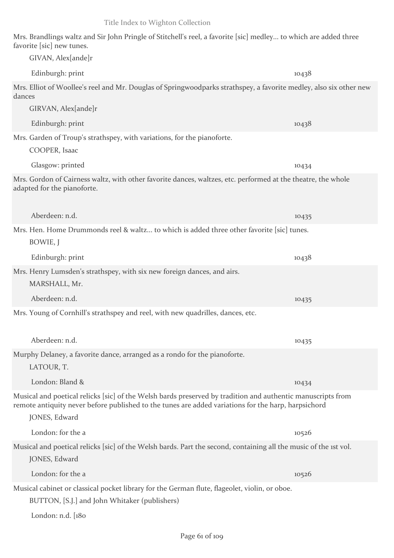GIVAN, Alex[ande]r Edinburgh: print 10438

Mrs. Elliot of Woollee's reel and Mr. Douglas of Springwoodparks strathspey, a favorite medley, also six other new dances

Mrs. Brandlings waltz and Sir John Pringle of Stitchell's reel, a favorite [sic] medley... to which are added three

Edinburgh: print 10438 Mrs. Garden of Troup's strathspey, with variations, for the pianoforte.

Glasgow: printed 10434

Mrs. Gordon of Cairness waltz, with other favorite dances, waltzes, etc. performed at the theatre, the whole adapted for the pianoforte.

Aberdeen: n.d. 10435 Mrs. Hen. Home Drummonds reel & waltz... to which is added three other favorite [sic] tunes. BOWIE, J Edinburgh: print 10438 Mrs. Henry Lumsden's strathspey, with six new foreign dances, and airs. MARSHALL, Mr.

Aberdeen: n.d. 10435

Mrs. Young of Cornhill's strathspey and reel, with new quadrilles, dances, etc.

| Aberdeen: n.d.                                                                                              | 10435 |  |
|-------------------------------------------------------------------------------------------------------------|-------|--|
| Murphy Delaney, a favorite dance, arranged as a rondo for the pianoforte.                                   |       |  |
| LATOUR, T.                                                                                                  |       |  |
| London: Bland &                                                                                             | 10434 |  |
| Musical and poetical relicks [sic] of the Welsh bards preserved by tradition and authentic manuscripts from |       |  |

remote antiquity never before published to the tunes are added variations for the harp, harpsichord JONES, Edward

London: for the a 10526 Musical and poetical relicks [sic] of the Welsh bards. Part the second, containing all the music of the 1st vol.

JONES, Edward

favorite [sic] new tunes.

GIRVAN, Alex[ande]r

COOPER, Isaac

London: for the a 10526 Musical cabinet or classical pocket library for the German flute, flageolet, violin, or oboe.

BUTTON, [S.J.] and John Whitaker (publishers)

London: n.d. [180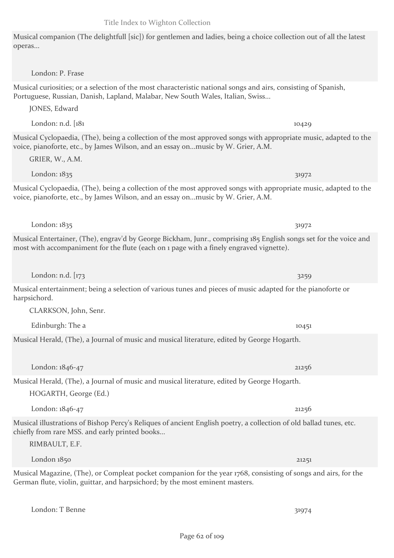Musical companion (The delightfull [sic]) for gentlemen and ladies, being a choice collection out of all the latest operas...

London: P. Frase

Musical curiosities; or a selection of the most characteristic national songs and airs, consisting of Spanish, Portuguese, Russian, Danish, Lapland, Malabar, New South Wales, Italian, Swiss...

London: n.d. [181 10429]

London: 1835 31972

London: 1835 31972

London: n.d. [173] 3259

JONES, Edward

GRIER, W., A.M.

Musical Cyclopaedia, (The), being a collection of the most approved songs with appropriate music, adapted to the voice, pianoforte, etc., by James Wilson, and an essay on...music by W. Grier, A.M.

Musical Cyclopaedia, (The), being a collection of the most approved songs with appropriate music, adapted to the voice, pianoforte, etc., by James Wilson, and an essay on...music by W. Grier, A.M.

Musical Entertainer, (The), engrav'd by George Bickham, Junr., comprising 185 English songs set for the voice and most with accompaniment for the flute (each on 1 page with a finely engraved vignette).

Musical entertainment; being a selection of various tunes and pieces of music adapted for the pianoforte or harpsichord.

CLARKSON, John, Senr.

Musical Herald, (The), a Journal of music and musical literature, edited by George Hogarth.

Musical Herald, (The), a Journal of music and musical literature, edited by George Hogarth.

HOGARTH, George (Ed.)

Musical illustrations of Bishop Percy's Reliques of ancient English poetry, a collection of old ballad tunes, etc. chiefly from rare MSS. and early printed books...

Musical Magazine, (The), or Compleat pocket companion for the year 1768, consisting of songs and airs, for the German flute, violin, guittar, and harpsichord; by the most eminent masters.

London: T Benne 31974

RIMBAULT, E.F.

Edinburgh: The a 10451

London: 1846-47 21256

London: 1846-47 21256

London 1850 21251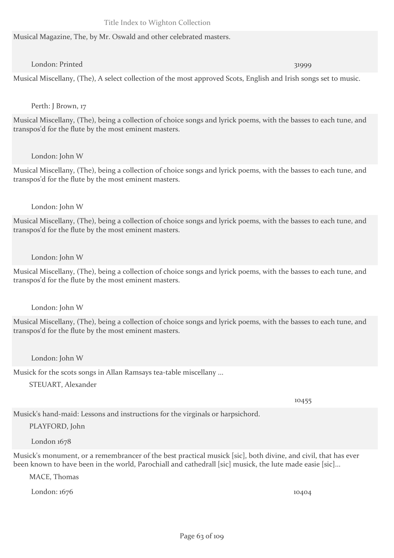#### Musical Magazine, The, by Mr. Oswald and other celebrated masters.

## London: Printed 31999

Musical Miscellany, (The), A select collection of the most approved Scots, English and Irish songs set to music.

## Perth: J Brown, 17

Musical Miscellany, (The), being a collection of choice songs and lyrick poems, with the basses to each tune, and transpos'd for the flute by the most eminent masters.

#### London: John W

Musical Miscellany, (The), being a collection of choice songs and lyrick poems, with the basses to each tune, and transpos'd for the flute by the most eminent masters.

#### London: John W

Musical Miscellany, (The), being a collection of choice songs and lyrick poems, with the basses to each tune, and transpos'd for the flute by the most eminent masters.

#### London: John W

Musical Miscellany, (The), being a collection of choice songs and lyrick poems, with the basses to each tune, and transpos'd for the flute by the most eminent masters.

## London: John W

Musical Miscellany, (The), being a collection of choice songs and lyrick poems, with the basses to each tune, and transpos'd for the flute by the most eminent masters.

## London: John W

Musick for the scots songs in Allan Ramsays tea-table miscellany ...

STEUART, Alexander

10455

Musick's hand-maid: Lessons and instructions for the virginals or harpsichord.

## PLAYFORD, John

London 1678

Musick's monument, or a remembrancer of the best practical musick [sic], both divine, and civil, that has ever been known to have been in the world, Parochiall and cathedrall [sic] musick, the lute made easie [sic]...

MACE, Thomas

London: 1676 10404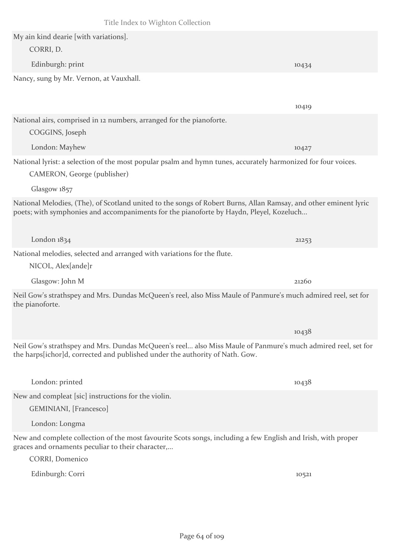Title Index to Wighton Collection My ain kind dearie [with variations]. CORRI, D. Edinburgh: print 10434 Nancy, sung by Mr. Vernon, at Vauxhall. 10419 National airs, comprised in 12 numbers, arranged for the pianoforte. COGGINS, Joseph London: Mayhew 10427 National lyrist: a selection of the most popular psalm and hymn tunes, accurately harmonized for four voices. CAMERON, George (publisher) Glasgow 1857 National Melodies, (The), of Scotland united to the songs of Robert Burns, Allan Ramsay, and other eminent lyric poets; with symphonies and accompaniments for the pianoforte by Haydn, Pleyel, Kozeluch... London 1834 21253 National melodies, selected and arranged with variations for the flute. NICOL, Alex[ande]r Glasgow: John M 21260 10438

London: Longma New and complete collection of the most favourite Scots songs, including a few English and Irish, with proper graces and ornaments peculiar to their character,...

CORRI, Domenico

Edinburgh: Corri 10521

London: printed 10438

New and compleat [sic] instructions for the violin.

GEMINIANI, [Francesco]

Neil Gow's strathspey and Mrs. Dundas McQueen's reel, also Miss Maule of Panmure's much admired reel, set for the pianoforte.

Neil Gow's strathspey and Mrs. Dundas McQueen's reel... also Miss Maule of Panmure's much admired reel, set for

the harps[ichor]d, corrected and published under the authority of Nath. Gow.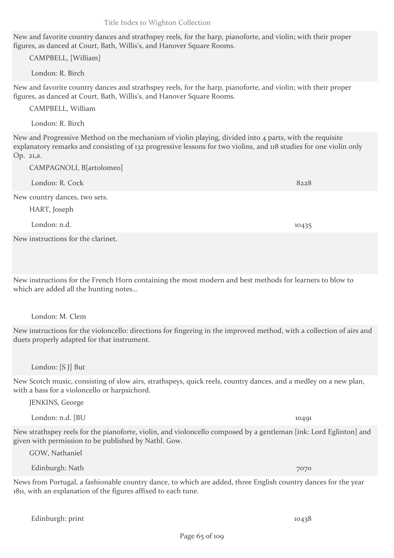Page 65 of 109

Title Index to Wighton Collection

New and favorite country dances and strathspey reels, for the harp, pianoforte, and violin; with their proper figures, as danced at Court, Bath, Willis's, and Hanover Square Rooms.

CAMPBELL, [William]

London: R. Birch

New and favorite country dances and strathspey reels, for the harp, pianoforte, and violin; with their proper figures, as danced at Court, Bath, Willis's, and Hanover Square Rooms.

CAMPBELL, William

London: R. Birch

New and Progressive Method on the mechanism of violin playing, divided into 4 parts, with the requisite explanatory remarks and consisting of 132 progressive lessons for two violins, and 118 studies for one violin only Op. 21,a.

CAMPAGNOLI, B[artolomeo]

| London: R. Cock               | 8228  |
|-------------------------------|-------|
| New country dances, two sets. |       |
| HART, Joseph                  |       |
| London: n.d.                  | 10435 |
|                               |       |

New instructions for the clarinet.

New instructions for the French Horn containing the most modern and best methods for learners to blow to which are added all the hunting notes...

London: M. Clem

New instructions for the violoncello: directions for fingering in the improved method, with a collection of airs and duets properly adapted for that instrument.

London: [S J] But

New Scotch music, consisting of slow airs, strathspeys, quick reels, country dances, and a medley on a new plan, with a bass for a violoncello or harpsichord.

JENKINS, George

London: n.d. [BU 1049]

New strathspey reels for the pianoforte, violin, and violoncello composed by a gentleman [ink: Lord Eglinton] and given with permission to be published by Nathl. Gow.

GOW, Nathaniel

Edinburgh: Nath 7070

News from Portugal, a fashionable country dance, to which are added, three English country dances for the year 1811, with an explanation of the figures affixed to each tune.

Edinburgh: print 10438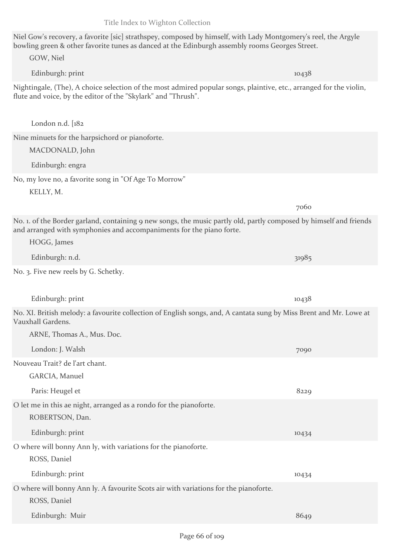Edinburgh: Muir 8649

# Niel Gow's recovery, a favorite [sic] strathspey, composed by himself, with Lady Montgomery's reel, the Argyle bowling green & other favorite tunes as danced at the Edinburgh assembly rooms Georges Street.

| GOW, Niel                                                                                                                                                                                                 |       |  |
|-----------------------------------------------------------------------------------------------------------------------------------------------------------------------------------------------------------|-------|--|
| Edinburgh: print                                                                                                                                                                                          | 10438 |  |
| Nightingale, (The), A choice selection of the most admired popular songs, plaintive, etc., arranged for the violin,<br>flute and voice, by the editor of the "Skylark" and "Thrush".                      |       |  |
| London n.d. $[182]$                                                                                                                                                                                       |       |  |
| Nine minuets for the harpsichord or pianoforte.                                                                                                                                                           |       |  |
| MACDONALD, John                                                                                                                                                                                           |       |  |
| Edinburgh: engra                                                                                                                                                                                          |       |  |
| No, my love no, a favorite song in "Of Age To Morrow"                                                                                                                                                     |       |  |
| KELLY, M.                                                                                                                                                                                                 |       |  |
|                                                                                                                                                                                                           | 7060  |  |
| No. 1. of the Border garland, containing 9 new songs, the music partly old, partly composed by himself and friends<br>and arranged with symphonies and accompaniments for the piano forte.<br>HOGG, James |       |  |
| Edinburgh: n.d.                                                                                                                                                                                           |       |  |
| No. 3. Five new reels by G. Schetky.                                                                                                                                                                      | 31985 |  |
|                                                                                                                                                                                                           |       |  |
| Edinburgh: print                                                                                                                                                                                          | 10438 |  |
| No. XI. British melody: a favourite collection of English songs, and, A cantata sung by Miss Brent and Mr. Lowe at<br>Vauxhall Gardens.                                                                   |       |  |
| ARNE, Thomas A., Mus. Doc.                                                                                                                                                                                |       |  |
| London: J. Walsh                                                                                                                                                                                          |       |  |
|                                                                                                                                                                                                           | 7090  |  |
| Nouveau Trait? de l'art chant.                                                                                                                                                                            |       |  |
| GARCIA, Manuel                                                                                                                                                                                            |       |  |
| Paris: Heugel et                                                                                                                                                                                          | 8229  |  |
| O let me in this ae night, arranged as a rondo for the pianoforte.<br>ROBERTSON, Dan.                                                                                                                     |       |  |
| Edinburgh: print                                                                                                                                                                                          | 10434 |  |
| O where will bonny Ann ly, with variations for the pianoforte.<br>ROSS, Daniel                                                                                                                            |       |  |
| Edinburgh: print                                                                                                                                                                                          | 10434 |  |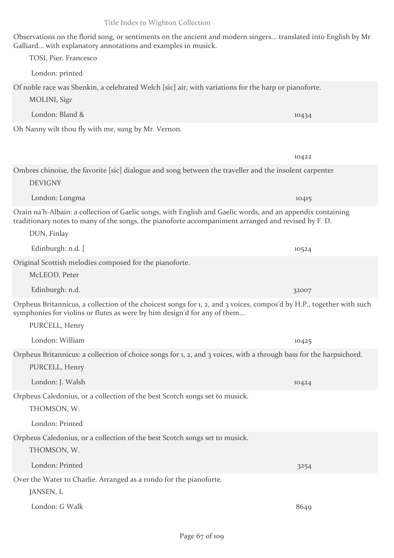Observations on the florid song, or sentiments on the ancient and modern singers... translated into English by Mr

Galliard... with explanatory annotations and examples in musick. TOSI, Pier. Francesco London: printed Of noble race was Shenkin, a celebrated Welch [sic] air, with variations for the harp or pianoforte. MOLINI, Sigr London: Bland & 10434 Oh Nanny wilt thou fly with me, sung by Mr. Vernon. 10422 Ombres chinoise, the favorite [sic] dialogue and song between the traveller and the insolent carpenter DEVIGNY London: Longma 10415 Orain na'h-Albain: a collection of Gaelic songs, with English and Gaelic words, and an appendix containing traditionary notes to many of the songs, the pianoforte accompaniment arranged and revised by F. D. DUN, Finlay Edinburgh: n.d.  $\begin{bmatrix} 10524 & 10524 \end{bmatrix}$ Original Scottish melodies composed for the pianoforte. McLEOD, Peter Edinburgh: n.d. 32007 Orpheus Britannicus, a collection of the choicest songs for 1, 2, and 3 voices, compos'd by H.P., together with such symphonies for violins or flutes as were by him design'd for any of them... PURCELL, Henry London: William 10425 Orpheus Britannicus: a collection of choice songs for 1, 2, and 3 voices, with a through bass for the harpsichord. PURCELL, Henry London: J. Walsh 10424 Orpheus Caledonius, or a collection of the best Scotch songs set to musick. THOMSON, W. London: Printed Orpheus Caledonius, or a collection of the best Scotch songs set to musick. THOMSON, W. London: Printed 3254 Over the Water to Charlie. Arranged as a rondo for the pianoforte. JANSEN, L

London: G Walk 8649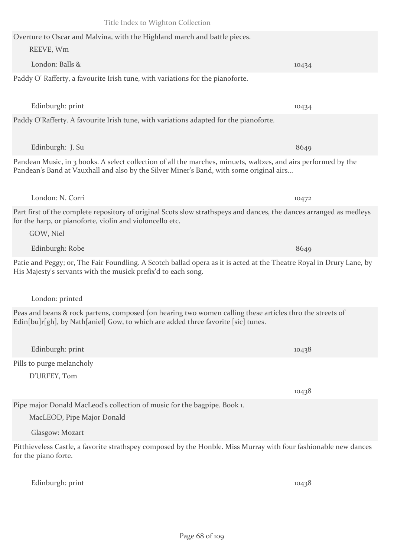Overture to Oscar and Malvina, with the Highland march and battle pieces. REEVE, Wm London: Balls & 10434 Paddy O' Rafferty, a favourite Irish tune, with variations for the pianoforte.

Edinburgh: print 10434 Paddy O'Rafferty. A favourite Irish tune, with variations adapted for the pianoforte.

Edinburgh: J. Su 8649 Pandean Music, in 3 books. A select collection of all the marches, minuets, waltzes, and airs performed by the Pandean's Band at Vauxhall and also by the Silver Miner's Band, with some original airs...

London: N. Corri 10472 Part first of the complete repository of original Scots slow strathspeys and dances, the dances arranged as medleys for the harp, or pianoforte, violin and violoncello etc.

Patie and Peggy; or, The Fair Foundling. A Scotch ballad opera as it is acted at the Theatre Royal in Drury Lane, by His Majesty's servants with the musick prefix'd to each song.

London: printed

GOW, Niel

Peas and beans & rock partens, composed (on hearing two women calling these articles thro the streets of Edin[bu]r[gh], by Nath[aniel] Gow, to which are added three favorite [sic] tunes.

Edinburgh: print 10438 Pills to purge melancholy D'URFEY, Tom

Pipe major Donald MacLeod's collection of music for the bagpipe. Book 1.

MacLEOD, Pipe Major Donald

Glasgow: Mozart

Pitthieveless Castle, a favorite strathspey composed by the Honble. Miss Murray with four fashionable new dances for the piano forte.

Edinburgh: print 10438

Edinburgh: Robe 8649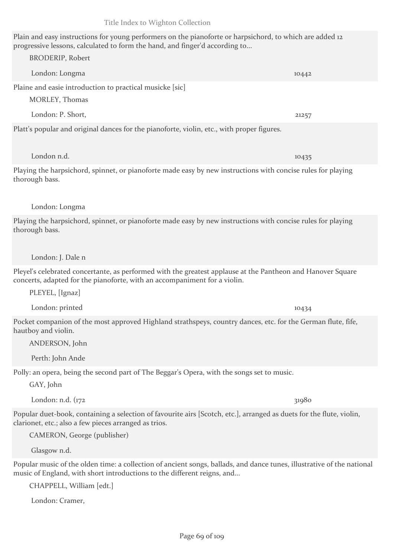## Plain and easy instructions for young performers on the pianoforte or harpsichord, to which are added 12 progressive lessons, calculated to form the hand, and finger'd according to...

London: Longma 10442 Plaine and easie introduction to practical musicke [sic] MORLEY, Thomas

London: P. Short, 21257

London n.d. 10435

Platt's popular and original dances for the pianoforte, violin, etc., with proper figures.

Playing the harpsichord, spinnet, or pianoforte made easy by new instructions with concise rules for playing thorough bass.

## London: Longma

BRODERIP, Robert

Playing the harpsichord, spinnet, or pianoforte made easy by new instructions with concise rules for playing thorough bass.

## London: J. Dale n

Pleyel's celebrated concertante, as performed with the greatest applause at the Pantheon and Hanover Square concerts, adapted for the pianoforte, with an accompaniment for a violin.

PLEYEL, [Ignaz]

London: printed 10434

Pocket companion of the most approved Highland strathspeys, country dances, etc. for the German flute, fife, hautboy and violin.

ANDERSON, John

Perth: John Ande

Polly: an opera, being the second part of The Beggar's Opera, with the songs set to music.

GAY, John

London: n.d. (172 31980)

Popular duet-book, containing a selection of favourite airs [Scotch, etc.], arranged as duets for the flute, violin, clarionet, etc.; also a few pieces arranged as trios.

CAMERON, George (publisher)

Glasgow n.d.

Popular music of the olden time: a collection of ancient songs, ballads, and dance tunes, illustrative of the national music of England, with short introductions to the different reigns, and...

CHAPPELL, William [edt.]

London: Cramer,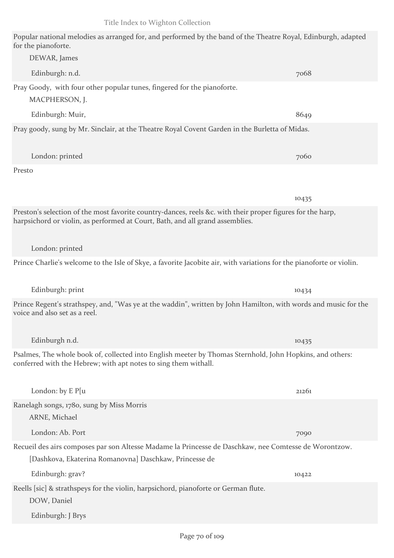Popular national melodies as arranged for, and performed by the band of the Theatre Royal, Edinburgh, adapted for the pianoforte. DEWAR, James

| Edinburgh: n.d.                                                                                                                                                                             | 7068  |
|---------------------------------------------------------------------------------------------------------------------------------------------------------------------------------------------|-------|
| Pray Goody, with four other popular tunes, fingered for the pianoforte.<br>MACPHERSON, J.                                                                                                   |       |
| Edinburgh: Muir,                                                                                                                                                                            | 8649  |
| Pray goody, sung by Mr. Sinclair, at the Theatre Royal Covent Garden in the Burletta of Midas.                                                                                              |       |
| London: printed                                                                                                                                                                             | 7060  |
| Presto                                                                                                                                                                                      |       |
|                                                                                                                                                                                             | 10435 |
| Preston's selection of the most favorite country-dances, reels &c. with their proper figures for the harp,<br>harpsichord or violin, as performed at Court, Bath, and all grand assemblies. |       |
| London: printed                                                                                                                                                                             |       |
| Prince Charlie's welcome to the Isle of Skye, a favorite Jacobite air, with variations for the pianoforte or violin.                                                                        |       |
| Edinburgh: print                                                                                                                                                                            | 10434 |
| Prince Regent's strathspey, and, "Was ye at the waddin", written by John Hamilton, with words and music for the<br>voice and also set as a reel.                                            |       |
| Edinburgh n.d.                                                                                                                                                                              | 10435 |
| Psalmes, The whole book of, collected into English meeter by Thomas Sternhold, John Hopkins, and others:<br>conferred with the Hebrew; with apt notes to sing them withall.                 |       |
| London: by E P[u                                                                                                                                                                            | 21261 |
| Ranelagh songs, 1780, sung by Miss Morris<br>ARNE, Michael                                                                                                                                  |       |
| London: Ab. Port                                                                                                                                                                            | 7090  |
| Recueil des airs composes par son Altesse Madame la Princesse de Daschkaw, nee Comtesse de Worontzow.<br>[Dashkova, Ekaterina Romanovna] Daschkaw, Princesse de                             |       |
| Edinburgh: grav?                                                                                                                                                                            | 10422 |
| Reells [sic] & strathspeys for the violin, harpsichord, pianoforte or German flute.<br>DOW, Daniel                                                                                          |       |
| Edinburgh: J Brys                                                                                                                                                                           |       |

Edinburgh: J Brys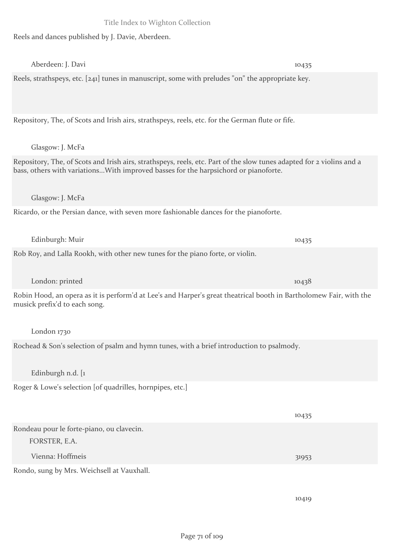Reels and dances published by J. Davie, Aberdeen.

| Aberdeen: J. Davi                                                                                                                                                                                            | 10435 |  |
|--------------------------------------------------------------------------------------------------------------------------------------------------------------------------------------------------------------|-------|--|
| Reels, strathspeys, etc. [241] tunes in manuscript, some with preludes "on" the appropriate key.                                                                                                             |       |  |
| Repository, The, of Scots and Irish airs, strathspeys, reels, etc. for the German flute or fife.                                                                                                             |       |  |
| Glasgow: J. McFa                                                                                                                                                                                             |       |  |
| Repository, The, of Scots and Irish airs, strathspeys, reels, etc. Part of the slow tunes adapted for 2 violins and a<br>bass, others with variationsWith improved basses for the harpsichord or pianoforte. |       |  |
| Glasgow: J. McFa                                                                                                                                                                                             |       |  |
| Ricardo, or the Persian dance, with seven more fashionable dances for the pianoforte.                                                                                                                        |       |  |
| Edinburgh: Muir                                                                                                                                                                                              | 10435 |  |
| Rob Roy, and Lalla Rookh, with other new tunes for the piano forte, or violin.                                                                                                                               |       |  |
| London: printed                                                                                                                                                                                              | 10438 |  |
| Robin Hood, an opera as it is perform'd at Lee's and Harper's great theatrical booth in Bartholomew Fair, with the<br>musick prefix'd to each song.                                                          |       |  |
| London 1730                                                                                                                                                                                                  |       |  |
| Rochead & Son's selection of psalm and hymn tunes, with a brief introduction to psalmody.<br>Edinburgh n.d. [1]                                                                                              |       |  |
| Roger & Lowe's selection [of quadrilles, hornpipes, etc.]                                                                                                                                                    |       |  |
|                                                                                                                                                                                                              |       |  |
|                                                                                                                                                                                                              | 10435 |  |
| Rondeau pour le forte-piano, ou clavecin.<br>FORSTER, E.A.                                                                                                                                                   |       |  |
| Vienna: Hoffmeis                                                                                                                                                                                             | 31953 |  |
| Rondo, sung by Mrs. Weichsell at Vauxhall.                                                                                                                                                                   |       |  |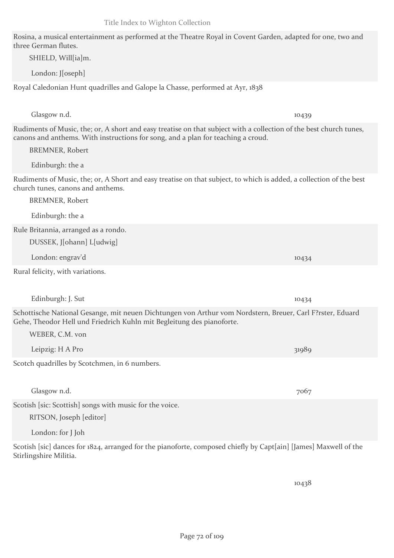Rosina, a musical entertainment as performed at the Theatre Royal in Covent Garden, adapted for one, two and three German flutes.

SHIELD, Will[ia]m.

London: J[oseph]

Royal Caledonian Hunt quadrilles and Galope la Chasse, performed at Ayr, 1838

Rudiments of Music, the; or, A short and easy treatise on that subject with a collection of the best church tunes, canons and anthems. With instructions for song, and a plan for teaching a croud. BREMNER, Robert Edinburgh: the a Rudiments of Music, the; or, A Short and easy treatise on that subject, to which is added, a collection of the best church tunes, canons and anthems. BREMNER, Robert Edinburgh: the a Rule Britannia, arranged as a rondo. DUSSEK, J[ohann] L[udwig] London: engrav'd 10434 Rural felicity, with variations. Edinburgh: J. Sut 10434 Schottische National Gesange, mit neuen Dichtungen von Arthur vom Nordstern, Breuer, Carl F?rster, Eduard Gehe, Theodor Hell und Friedrich Kuhln mit Begleitung des pianoforte. WEBER, C.M. von Leipzig: H A Pro 31989 Scotch quadrilles by Scotchmen, in 6 numbers. Glasgow n.d. 7067 Scotish [sic: Scottish] songs with music for the voice. RITSON, Joseph [editor] London: for J Joh

Scotish [sic] dances for 1824, arranged for the pianoforte, composed chiefly by Capt[ain] [James] Maxwell of the Stirlingshire Militia.

10438

Glasgow n.d. 10439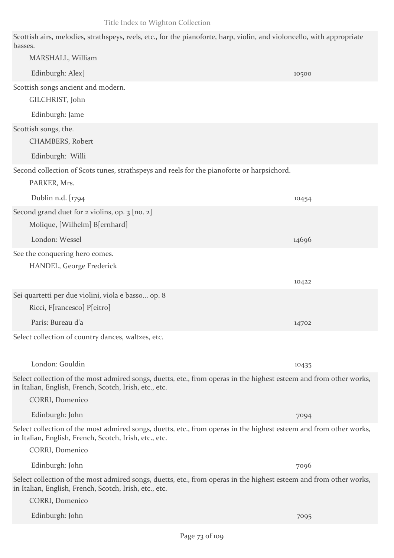Scottish airs, melodies, strathspeys, reels, etc., for the pianoforte, harp, violin, and violoncello, with appropriate basses.

| MARSHALL, William                                                                                                                                                            |       |
|------------------------------------------------------------------------------------------------------------------------------------------------------------------------------|-------|
| Edinburgh: Alex[                                                                                                                                                             | 10500 |
| Scottish songs ancient and modern.                                                                                                                                           |       |
| GILCHRIST, John                                                                                                                                                              |       |
| Edinburgh: Jame                                                                                                                                                              |       |
| Scottish songs, the.<br><b>CHAMBERS, Robert</b>                                                                                                                              |       |
| Edinburgh: Willi                                                                                                                                                             |       |
| Second collection of Scots tunes, strathspeys and reels for the pianoforte or harpsichord.<br>PARKER, Mrs.                                                                   |       |
| Dublin n.d. [1794                                                                                                                                                            | 10454 |
| Second grand duet for 2 violins, op. 3 [no. 2]                                                                                                                               |       |
| Molique, [Wilhelm] B[ernhard]                                                                                                                                                |       |
| London: Wessel                                                                                                                                                               | 14696 |
| See the conquering hero comes.                                                                                                                                               |       |
| <b>HANDEL, George Frederick</b>                                                                                                                                              |       |
|                                                                                                                                                                              | 10422 |
| Sei quartetti per due violini, viola e basso op. 8                                                                                                                           |       |
| Ricci, F[rancesco] P[eitro]                                                                                                                                                  |       |
| Paris: Bureau d'a                                                                                                                                                            | 14702 |
| Select collection of country dances, waltzes, etc.                                                                                                                           |       |
| London: Gouldin                                                                                                                                                              | 10435 |
| Select collection of the most admired songs, duetts, etc., from operas in the highest esteem and from other works,<br>in Italian, English, French, Scotch, Irish, etc., etc. |       |
| CORRI, Domenico                                                                                                                                                              |       |
| Edinburgh: John                                                                                                                                                              | 7094  |
| Select collection of the most admired songs, duetts, etc., from operas in the highest esteem and from other works,<br>in Italian, English, French, Scotch, Irish, etc., etc. |       |
| CORRI, Domenico                                                                                                                                                              |       |
| Edinburgh: John                                                                                                                                                              | 7096  |
| Select collection of the most admired songs, duetts, etc., from operas in the highest esteem and from other works,<br>in Italian, English, French, Scotch, Irish, etc., etc. |       |
| CORRI, Domenico                                                                                                                                                              |       |
| Edinburgh: John                                                                                                                                                              | 7095  |
|                                                                                                                                                                              |       |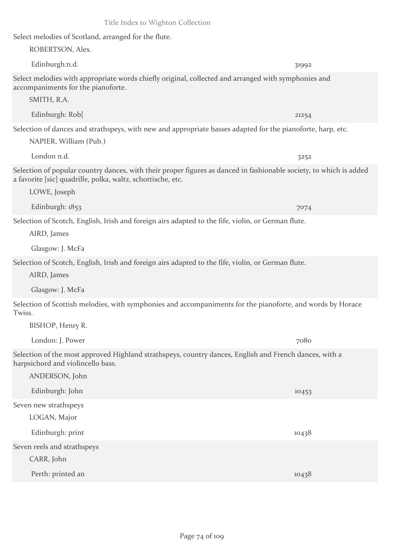Select melodies of Scotland, arranged for the flute.

ROBERTSON, Alex.

Select melodies with appropriate words chiefly original, collected and arranged with symphonies and accompaniments for the pianoforte.

Edinburgh:n.d. 31992

SMITH, R.A.

Edinburgh: Rob[ 21254

Selection of dances and strathspeys, with new and appropriate basses adapted for the pianoforte, harp, etc. NAPIER, William (Pub.)

London n.d. 3252

Selection of popular country dances, with their proper figures as danced in fashionable society, to which is added a favorite [sic] quadrille, polka, waltz, schottische, etc.

LOWE, Joseph

Edinburgh: 1853 7074

Selection of Scotch, English, Irish and foreign airs adapted to the fife, violin, or German flute.

AIRD, James

Glasgow: J. McFa

Selection of Scotch, English, Irish and foreign airs adapted to the fife, violin, or German flute.

AIRD, James

Glasgow: J. McFa

Selection of Scottish melodies, with symphonies and accompaniments for the pianoforte, and words by Horace Twiss.

BISHOP, Henry R.

London: J. Power 7080

Selection of the most approved Highland strathspeys, country dances, English and French dances, with a harpsichord and violincello bass.

| ANDERSON, John              |       |
|-----------------------------|-------|
| Edinburgh: John             | 10453 |
| Seven new strathspeys       |       |
| LOGAN, Major                |       |
| Edinburgh: print            | 10438 |
| Seven reels and strathspeys |       |
| CARR, John                  |       |
| Perth: printed an           | 10438 |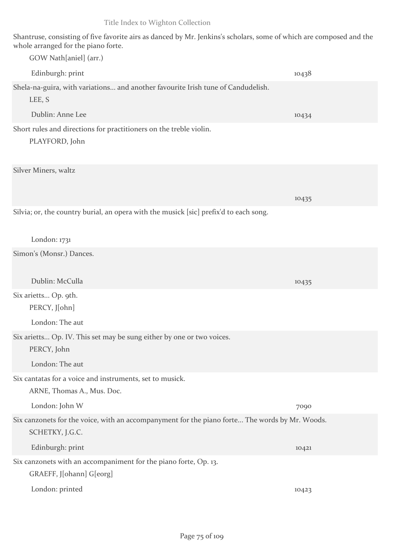Shantruse, consisting of five favorite airs as danced by Mr. Jenkins's scholars, some of which are composed and the whole arranged for the piano forte.

| GOW Nath[aniel] (arr.)                                                                                            |       |
|-------------------------------------------------------------------------------------------------------------------|-------|
| Edinburgh: print                                                                                                  | 10438 |
| Shela-na-guira, with variations and another favourite Irish tune of Candudelish.<br>LEE, S                        |       |
| Dublin: Anne Lee                                                                                                  | 10434 |
| Short rules and directions for practitioners on the treble violin.<br>PLAYFORD, John                              |       |
| Silver Miners, waltz                                                                                              | 10435 |
| Silvia; or, the country burial, an opera with the musick [sic] prefix'd to each song.<br>London: $1731$           |       |
| Simon's (Monsr.) Dances.                                                                                          |       |
| Dublin: McCulla                                                                                                   | 10435 |
| Six arietts Op. 9th.<br>PERCY, J[ohn]                                                                             |       |
| London: The aut                                                                                                   |       |
| Six arietts Op. IV. This set may be sung either by one or two voices.<br>PERCY, John                              |       |
| London: The aut                                                                                                   |       |
| Six cantatas for a voice and instruments, set to musick.<br>ARNE, Thomas A., Mus. Doc.                            |       |
| London: John W                                                                                                    | 7090  |
| Six canzonets for the voice, with an accompanyment for the piano forte The words by Mr. Woods.<br>SCHETKY, J.G.C. |       |
| Edinburgh: print                                                                                                  | 10421 |
| Six canzonets with an accompaniment for the piano forte, Op. 13.                                                  |       |
| GRAEFF, J[ohann] G[eorg]                                                                                          |       |
| London: printed                                                                                                   | 10423 |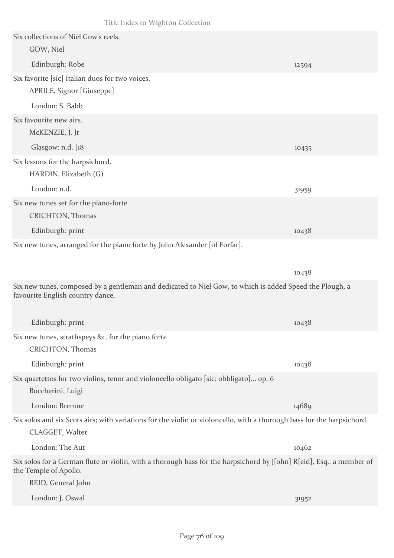| Six collections of Niel Gow's reels.                                       |                                                                                                                        |       |
|----------------------------------------------------------------------------|------------------------------------------------------------------------------------------------------------------------|-------|
| GOW, Niel                                                                  |                                                                                                                        |       |
| Edinburgh: Robe                                                            |                                                                                                                        | 12594 |
| Six favorite [sic] Italian duos for two voices.                            |                                                                                                                        |       |
| APRILE, Signor [Giuseppe]                                                  |                                                                                                                        |       |
| London: S. Babb                                                            |                                                                                                                        |       |
| Six favourite new airs.                                                    |                                                                                                                        |       |
| McKENZIE, J. Jr                                                            |                                                                                                                        |       |
| Glasgow: n.d. [18]                                                         |                                                                                                                        | 10435 |
| Six lessons for the harpsichord.                                           |                                                                                                                        |       |
| HARDIN, Elizabeth (G)                                                      |                                                                                                                        |       |
| London: n.d.                                                               |                                                                                                                        | 31959 |
| Six new tunes set for the piano-forte<br>CRICHTON, Thomas                  |                                                                                                                        |       |
| Edinburgh: print                                                           |                                                                                                                        | 10438 |
| Six new tunes, arranged for the piano forte by John Alexander [of Forfar]. |                                                                                                                        |       |
|                                                                            |                                                                                                                        |       |
|                                                                            |                                                                                                                        | 10438 |
| favourite English country dance.                                           | Six new tunes, composed by a gentleman and dedicated to Niel Gow, to which is added Speed the Plough, a                |       |
| Edinburgh: print                                                           |                                                                                                                        | 10438 |
| Six new tunes, strathspeys &c. for the piano forte                         |                                                                                                                        |       |
| CRICHTON, Thomas                                                           |                                                                                                                        |       |
| Edinburgh: print                                                           |                                                                                                                        | 10438 |
| Boccherini, Luigi                                                          | Six quartettos for two violins, tenor and violoncello obligato [sic: obbligato] op. 6                                  |       |
| London: Bremne                                                             |                                                                                                                        | 14689 |
|                                                                            | Six solos and six Scots airs; with variations for the violin or violoncello, with a thorough bass for the harpsichord. |       |
| CLAGGET, Walter                                                            |                                                                                                                        |       |
| London: The Aut                                                            |                                                                                                                        | 10462 |
| the Temple of Apollo.                                                      | Six solos for a German flute or violin, with a thorough bass for the harpsichord by J[ohn] R[eid], Esq., a member of   |       |
| REID, General John                                                         |                                                                                                                        |       |
| London: J. Oswal                                                           |                                                                                                                        | 31952 |
|                                                                            |                                                                                                                        |       |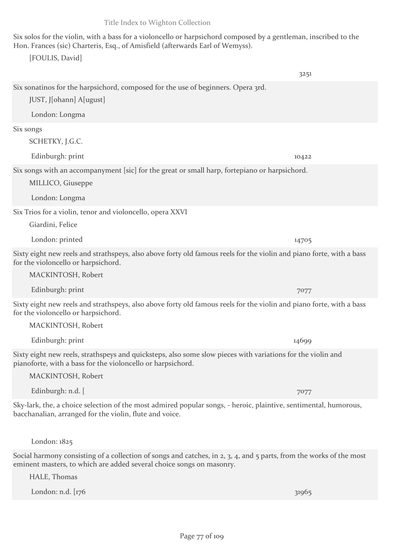Six solos for the violin, with a bass for a violoncello or harpsichord composed by a gentleman, inscribed to the Hon. Frances (sic) Charteris, Esq., of Amisfield (afterwards Earl of Wemyss).

[FOULIS, David]

3251 Six sonatinos for the harpsichord, composed for the use of beginners. Opera 3rd. JUST, J[ohann] A[ugust] London: Longma Six songs SCHETKY, J.G.C. Edinburgh: print 10422 Six songs with an accompanyment [sic] for the great or small harp, fortepiano or harpsichord. MILLICO, Giuseppe London: Longma Six Trios for a violin, tenor and violoncello, opera XXVI Giardini, Felice London: printed 14705 Sixty eight new reels and strathspeys, also above forty old famous reels for the violin and piano forte, with a bass for the violoncello or harpsichord. MACKINTOSH, Robert Edinburgh: print 7077 Sixty eight new reels and strathspeys, also above forty old famous reels for the violin and piano forte, with a bass for the violoncello or harpsichord. MACKINTOSH, Robert Edinburgh: print 14699 Sixty eight new reels, strathspeys and quicksteps, also some slow pieces with variations for the violin and pianoforte, with a bass for the violoncello or harpsichord. MACKINTOSH, Robert Edinburgh: n.d. [ 7077 Sky-lark, the, a choice selection of the most admired popular songs, - heroic, plaintive, sentimental, humorous, bacchanalian, arranged for the violin, flute and voice. London: 1825

Social harmony consisting of a collection of songs and catches, in 2, 3, 4, and 5 parts, from the works of the most eminent masters, to which are added several choice songs on masonry.

HALE, Thomas

London: n.d. [176 31965]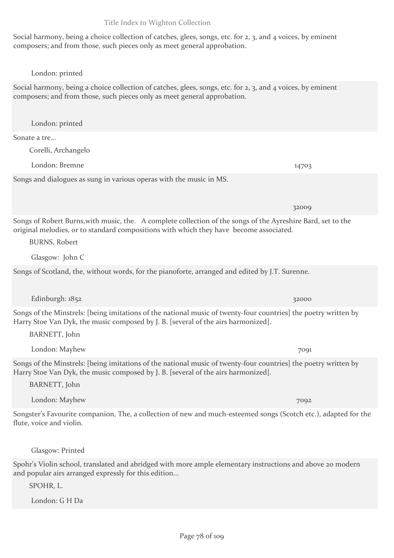Social harmony, being a choice collection of catches, glees, songs, etc. for 2, 3, and 4 voices, by eminent composers; and from those, such pieces only as meet general approbation.

London: printed

London: printed

Corelli, Archangelo

Sonate a tre...

Social harmony, being a choice collection of catches, glees, songs, etc. for 2, 3, and 4 voices, by eminent composers; and from those, such pieces only as meet general approbation.

London: Bremne 14703

Songs and dialogues as sung in various operas with the music in MS. 32009

Songs of Robert Burns,with music, the. A complete collection of the songs of the Ayreshire Bard, set to the original melodies, or to standard compositions with which they have become associated.

BURNS, Robert

Glasgow: John C

Songs of Scotland, the, without words, for the pianoforte, arranged and edited by J.T. Surenne.

Edinburgh: 1852 32000 32000 32000 32000 32000 32000 32000 32000 32000 32000 32000 32000 32000 32000 32000 3200

Songs of the Minstrels: [being imitations of the national music of twenty-four countries] the poetry written by Harry Stoe Van Dyk, the music composed by J. B. [several of the airs harmonized].

BARNETT, John

London: Mayhew 7091

Songs of the Minstrels: [being imitations of the national music of twenty-four countries] the poetry written by Harry Stoe Van Dyk, the music composed by J. B. [several of the airs harmonized].

BARNETT, John

London: Mayhew 7092

Songster's Favourite companion, The, a collection of new and much-esteemed songs (Scotch etc.), adapted for the flute, voice and violin.

Glasgow: Printed

Spohr's Violin school, translated and abridged with more ample elementary instructions and above 20 modern and popular airs arranged expressly for this edition...

SPOHR, L.

London: G H Da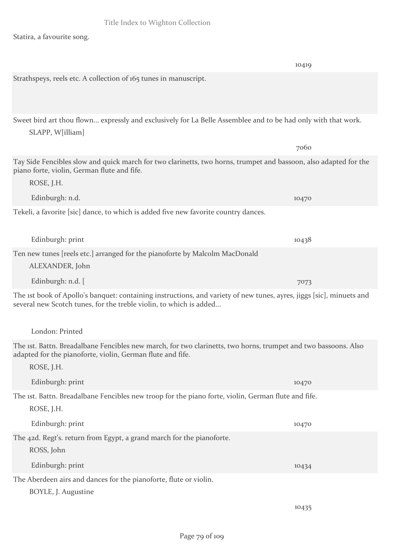Statira, a favourite song.

|                                                                                                                                                                                            | 10419 |
|--------------------------------------------------------------------------------------------------------------------------------------------------------------------------------------------|-------|
| Strathspeys, reels etc. A collection of 165 tunes in manuscript.                                                                                                                           |       |
| Sweet bird art thou flown expressly and exclusively for La Belle Assemblee and to be had only with that work.<br>SLAPP, W[illiam]                                                          |       |
|                                                                                                                                                                                            | 7060  |
| Tay Side Fencibles slow and quick march for two clarinetts, two horns, trumpet and bassoon, also adapted for the<br>piano forte, violin, German flute and fife.                            |       |
| ROSE, J.H.                                                                                                                                                                                 |       |
| Edinburgh: n.d.                                                                                                                                                                            | 10470 |
| Tekeli, a favorite [sic] dance, to which is added five new favorite country dances.                                                                                                        |       |
| Edinburgh: print                                                                                                                                                                           | 10438 |
| Ten new tunes [reels etc.] arranged for the pianoforte by Malcolm MacDonald                                                                                                                |       |
| ALEXANDER, John                                                                                                                                                                            |       |
| Edinburgh: n.d. [                                                                                                                                                                          | 7073  |
| The 1st book of Apollo's banquet: containing instructions, and variety of new tunes, ayres, jiggs [sic], minuets and<br>several new Scotch tunes, for the treble violin, to which is added |       |
| London: Printed                                                                                                                                                                            |       |
| The ist. Battn. Breadalbane Fencibles new march, for two clarinetts, two horns, trumpet and two bassoons. Also<br>adapted for the pianoforte, violin, German flute and fife.<br>ROSE, J.H. |       |
| Edinburgh: print                                                                                                                                                                           | 10470 |
| The ist. Battn. Breadalbane Fencibles new troop for the piano forte, violin, German flute and fife.<br>ROSE, J.H.                                                                          |       |
| Edinburgh: print                                                                                                                                                                           | 10470 |
| The 42d. Regt's. return from Egypt, a grand march for the pianoforte.<br>ROSS, John                                                                                                        |       |
| Edinburgh: print                                                                                                                                                                           | 10434 |
| The Aberdeen airs and dances for the pianoforte, flute or violin.<br>BOYLE, J. Augustine                                                                                                   |       |
|                                                                                                                                                                                            | 10435 |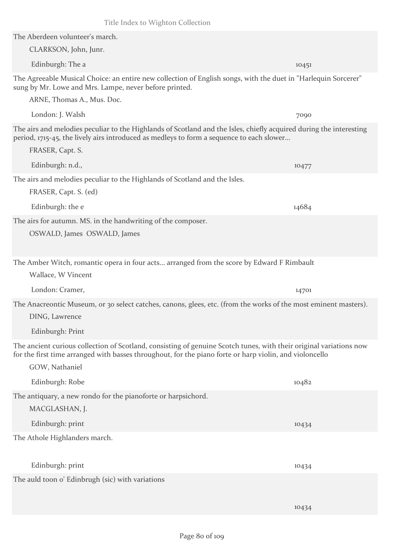10434

Title Index to Wighton Collection

The Aberdeen volunteer's march. CLARKSON, John, Junr. Edinburgh: The a 10451 The Agreeable Musical Choice: an entire new collection of English songs, with the duet in "Harlequin Sorcerer" sung by Mr. Lowe and Mrs. Lampe, never before printed. ARNE, Thomas A., Mus. Doc. London: J. Walsh 7090 The airs and melodies peculiar to the Highlands of Scotland and the Isles, chiefly acquired during the interesting period, 1715-45, the lively airs introduced as medleys to form a sequence to each slower... FRASER, Capt. S. Edinburgh: n.d., 10477 The airs and melodies peculiar to the Highlands of Scotland and the Isles. FRASER, Capt. S. (ed) Edinburgh: the e 14684 The airs for autumn. MS. in the handwriting of the composer. OSWALD, James OSWALD, James The Amber Witch, romantic opera in four acts... arranged from the score by Edward F Rimbault Wallace, W Vincent London: Cramer, 14701 The Anacreontic Museum, or 30 select catches, canons, glees, etc. (from the works of the most eminent masters). DING, Lawrence Edinburgh: Print The ancient curious collection of Scotland, consisting of genuine Scotch tunes, with their original variations now for the first time arranged with basses throughout, for the piano forte or harp violin, and violoncello GOW, Nathaniel Edinburgh: Robe 10482 The antiquary, a new rondo for the pianoforte or harpsichord. MACGLASHAN, J. Edinburgh: print 10434 The Athole Highlanders march. Edinburgh: print 10434

The auld toon o' Edinbrugh (sic) with variations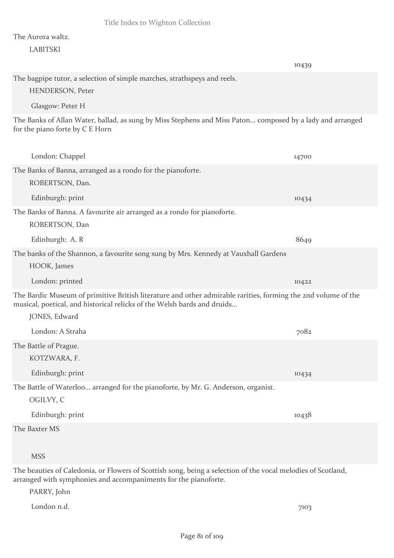#### The Aurora waltz.

#### LABITSKI

|                                                                                                                                                                                                           | 10439 |
|-----------------------------------------------------------------------------------------------------------------------------------------------------------------------------------------------------------|-------|
| The bagpipe tutor, a selection of simple marches, strathspeys and reels.<br><b>HENDERSON, Peter</b>                                                                                                       |       |
| Glasgow: Peter H                                                                                                                                                                                          |       |
| The Banks of Allan Water, ballad, as sung by Miss Stephens and Miss Paton composed by a lady and arranged<br>for the piano forte by C E Horn                                                              |       |
| London: Chappel                                                                                                                                                                                           | 14700 |
| The Banks of Banna, arranged as a rondo for the pianoforte.<br>ROBERTSON, Dan.                                                                                                                            |       |
| Edinburgh: print                                                                                                                                                                                          | 10434 |
| The Banks of Banna. A favourite air arranged as a rondo for pianoforte.<br>ROBERTSON, Dan                                                                                                                 |       |
| Edinburgh: A. R                                                                                                                                                                                           | 8649  |
| The banks of the Shannon, a favourite song sung by Mrs. Kennedy at Vauxhall Gardens<br>HOOK, James                                                                                                        |       |
| London: printed                                                                                                                                                                                           | 10422 |
| The Bardic Museum of primitive British literature and other admirable rarities, forming the 2nd volume of the<br>musical, poetical, and historical relicks of the Welsh bards and druids<br>JONES, Edward |       |
| London: A Straha                                                                                                                                                                                          | 7082  |
| The Battle of Prague.<br>KOTZWARA, F.                                                                                                                                                                     |       |
| Edinburgh: print                                                                                                                                                                                          | 10434 |
| The Battle of Waterloo arranged for the pianoforte, by Mr. G. Anderson, organist.<br>OGILVY, C                                                                                                            |       |
| Edinburgh: print                                                                                                                                                                                          | 10438 |
| The Baxter MS                                                                                                                                                                                             |       |
| <b>MSS</b>                                                                                                                                                                                                |       |

The beauties of Caledonia, or Flowers of Scottish song, being a selection of the vocal melodies of Scotland, arranged with symphonies and accompaniments for the pianoforte.

PARRY, John

London n.d. 7103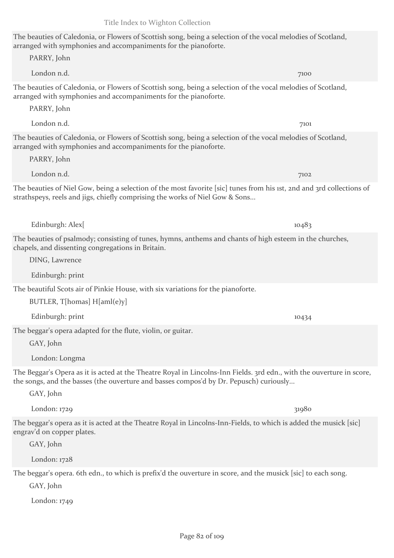# The beauties of Caledonia, or Flowers of Scottish song, being a selection of the vocal melodies of Scotland, arranged with symphonies and accompaniments for the pianoforte.

London n.d. 7100 The beauties of Caledonia, or Flowers of Scottish song, being a selection of the vocal melodies of Scotland, arranged with symphonies and accompaniments for the pianoforte.

PARRY, John

PARRY, John

PARRY, John

The beauties of Caledonia, or Flowers of Scottish song, being a selection of the vocal melodies of Scotland, arranged with symphonies and accompaniments for the pianoforte.

London n.d. 7101

London n.d. 7102

The beauties of Niel Gow, being a selection of the most favorite [sic] tunes from his 1st, 2nd and 3rd collections of strathspeys, reels and jigs, chiefly comprising the works of Niel Gow & Sons...

The beauties of psalmody; consisting of tunes, hymns, anthems and chants of high esteem in the churches, chapels, and dissenting congregations in Britain.

DING, Lawrence

Edinburgh: print

The beautiful Scots air of Pinkie House, with six variations for the pianoforte.

BUTLER, T[homas] H[aml(e)y]

The beggar's opera adapted for the flute, violin, or guitar.

GAY, John

GAY, John

London: Longma

The Beggar's Opera as it is acted at the Theatre Royal in Lincolns-Inn Fields. 3rd edn., with the ouverture in score, the songs, and the basses (the ouverture and basses compos'd by Dr. Pepusch) curiously...

 $London: 1729$  31980

The beggar's opera as it is acted at the Theatre Royal in Lincolns-Inn-Fields, to which is added the musick [sic] engrav'd on copper plates.

GAY, John

London: 1728

The beggar's opera. 6th edn., to which is prefix'd the ouverture in score, and the musick [sic] to each song.

GAY, John

London: 1749

Edinburgh: Alex[ 10483

Edinburgh: print 10434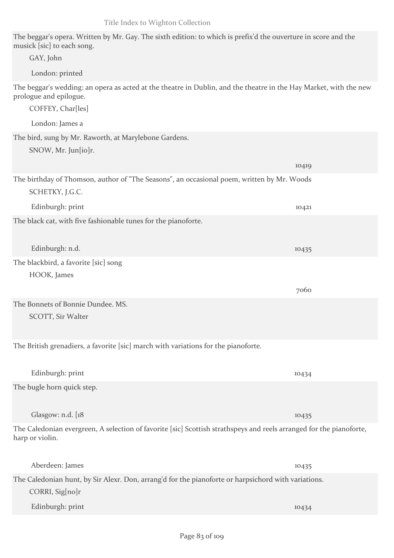The beggar's opera. Written by Mr. Gay. The sixth edition: to which is prefix'd the ouverture in score and the musick [sic] to each song.

| GAY, John                                                                                                                                                        |       |
|------------------------------------------------------------------------------------------------------------------------------------------------------------------|-------|
| London: printed                                                                                                                                                  |       |
| The beggar's wedding: an opera as acted at the theatre in Dublin, and the theatre in the Hay Market, with the new<br>prologue and epilogue.<br>COFFEY, Char[les] |       |
| London: James a                                                                                                                                                  |       |
| The bird, sung by Mr. Raworth, at Marylebone Gardens.<br>SNOW, Mr. Jun[io]r.                                                                                     |       |
|                                                                                                                                                                  | 10419 |
| The birthday of Thomson, author of "The Seasons", an occasional poem, written by Mr. Woods<br>SCHETKY, J.G.C.                                                    |       |
| Edinburgh: print                                                                                                                                                 | 10421 |
| The black cat, with five fashionable tunes for the pianoforte.                                                                                                   |       |
| Edinburgh: n.d.                                                                                                                                                  | 10435 |
| The blackbird, a favorite [sic] song<br>HOOK, James                                                                                                              |       |
|                                                                                                                                                                  | 7060  |
| The Bonnets of Bonnie Dundee. MS.<br>SCOTT, Sir Walter                                                                                                           |       |
| The British grenadiers, a favorite [sic] march with variations for the pianoforte.                                                                               |       |
| Edinburgh: print                                                                                                                                                 | 10434 |
| The bugle horn quick step.                                                                                                                                       |       |
| Glasgow: n.d. [18                                                                                                                                                | 10435 |
| The Caledonian evergreen, A selection of favorite [sic] Scottish strathspeys and reels arranged for the pianoforte,<br>harp or violin.                           |       |
| Aberdeen: James                                                                                                                                                  | 10435 |
| The Caledonian hunt, by Sir Alexr. Don, arrang'd for the pianoforte or harpsichord with variations.<br>CORRI, Sig[no]r                                           |       |
| Edinburgh: print                                                                                                                                                 | 10434 |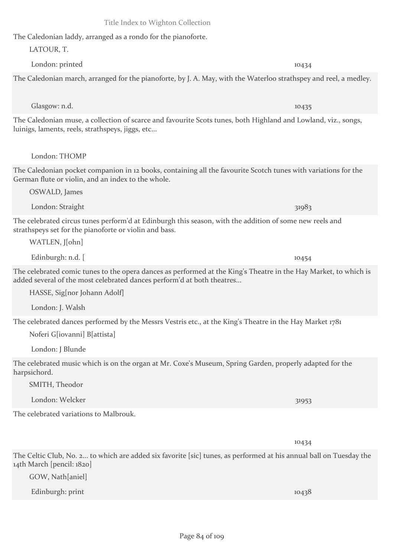The Caledonian laddy, arranged as a rondo for the pianoforte. LATOUR, T.

The Caledonian march, arranged for the pianoforte, by J. A. May, with the Waterloo strathspey and reel, a medley.

London: printed 10434

Glasgow: n.d. 10435

The Caledonian muse, a collection of scarce and favourite Scots tunes, both Highland and Lowland, viz., songs, luinigs, laments, reels, strathspeys, jiggs, etc...

London: THOMP

The Caledonian pocket companion in 12 books, containing all the favourite Scotch tunes with variations for the German flute or violin, and an index to the whole.

OSWALD, James

London: Straight 31983

The celebrated circus tunes perform'd at Edinburgh this season, with the addition of some new reels and strathspeys set for the pianoforte or violin and bass.

WATLEN, J[ohn]

Edinburgh: n.d.  $\lceil$ 

The celebrated comic tunes to the opera dances as performed at the King's Theatre in the Hay Market, to which is added several of the most celebrated dances perform'd at both theatres...

HASSE, Sig[nor Johann Adolf]

London: J. Walsh

The celebrated dances performed by the Messrs Vestris etc., at the King's Theatre in the Hay Market 1781

Noferi G[iovanni] B[attista]

London: J Blunde

The celebrated music which is on the organ at Mr. Coxe's Museum, Spring Garden, properly adapted for the harpsichord.

SMITH, Theodor

London: Welcker 31953

The celebrated variations to Malbrouk.

The Celtic Club, No. 2... to which are added six favorite [sic] tunes, as performed at his annual ball on Tuesday the 14th March [pencil: 1820]

GOW, Nath[aniel]

Edinburgh: print 10438

10434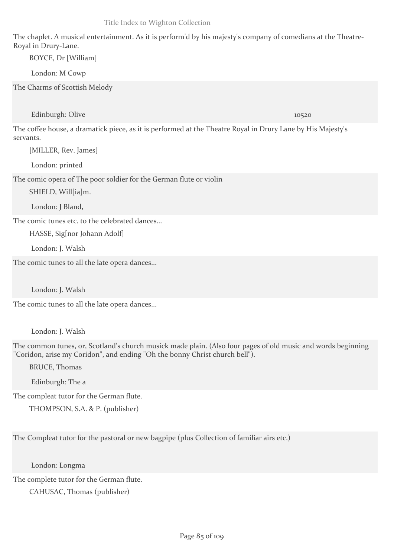The chaplet. A musical entertainment. As it is perform'd by his majesty's company of comedians at the Theatre-Royal in Drury-Lane.

BOYCE, Dr [William]

London: M Cowp

The Charms of Scottish Melody

Edinburgh: Olive 10520

The coffee house, a dramatick piece, as it is performed at the Theatre Royal in Drury Lane by His Majesty's servants.

[MILLER, Rev. James]

London: printed

The comic opera of The poor soldier for the German flute or violin

SHIELD, Will[ia]m.

London: J Bland,

The comic tunes etc. to the celebrated dances...

HASSE, Sig[nor Johann Adolf]

London: J. Walsh

The comic tunes to all the late opera dances...

London: J. Walsh

The comic tunes to all the late opera dances...

London: J. Walsh

The common tunes, or, Scotland's church musick made plain. (Also four pages of old music and words beginning "Coridon, arise my Coridon", and ending "Oh the bonny Christ church bell").

BRUCE, Thomas

Edinburgh: The a

The compleat tutor for the German flute.

THOMPSON, S.A. & P. (publisher)

The Compleat tutor for the pastoral or new bagpipe (plus Collection of familiar airs etc.)

London: Longma

The complete tutor for the German flute.

CAHUSAC, Thomas (publisher)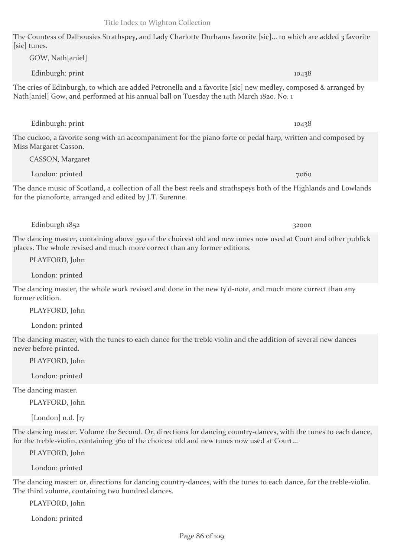The Countess of Dalhousies Strathspey, and Lady Charlotte Durhams favorite [sic]... to which are added 3 favorite [sic] tunes.

The cries of Edinburgh, to which are added Petronella and a favorite [sic] new medley, composed & arranged by Nath[aniel] Gow, and performed at his annual ball on Tuesday the 14th March 1820. No. 1

Edinburgh: print 10438

The cuckoo, a favorite song with an accompaniment for the piano forte or pedal harp, written and composed by Miss Margaret Casson.

The dance music of Scotland, a collection of all the best reels and strathspeys both of the Highlands and Lowlands for the pianoforte, arranged and edited by J.T. Surenne.

The dancing master, containing above 350 of the choicest old and new tunes now used at Court and other publick places. The whole revised and much more correct than any former editions.

PLAYFORD, John

CASSON, Margaret

GOW, Nath[aniel]

London: printed

The dancing master, the whole work revised and done in the new ty'd-note, and much more correct than any former edition.

PLAYFORD, John

London: printed

The dancing master, with the tunes to each dance for the treble violin and the addition of several new dances never before printed.

PLAYFORD, John

London: printed

The dancing master.

PLAYFORD, John

[London]  $n.d.$  [ $17$ ]

The dancing master. Volume the Second. Or, directions for dancing country-dances, with the tunes to each dance, for the treble-violin, containing 360 of the choicest old and new tunes now used at Court...

PLAYFORD, John

London: printed

The dancing master: or, directions for dancing country-dances, with the tunes to each dance, for the treble-violin. The third volume, containing two hundred dances.

PLAYFORD, John

London: printed

Edinburgh: print 10438

London: printed 7060

Edinburgh  $1852$  32000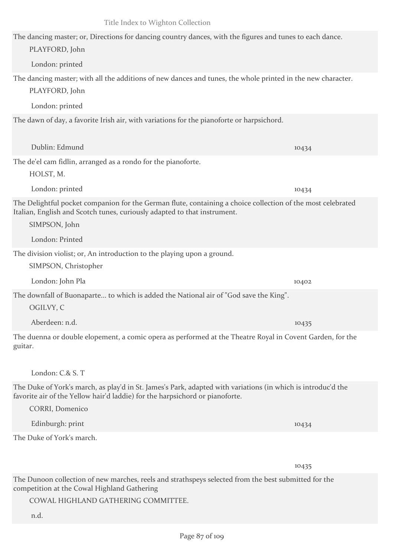The dancing master; or, Directions for dancing country dances, with the figures and tunes to each dance. PLAYFORD, John London: printed The dancing master; with all the additions of new dances and tunes, the whole printed in the new character. PLAYFORD, John London: printed The dawn of day, a favorite Irish air, with variations for the pianoforte or harpsichord. Dublin: Edmund 10434 The de'el cam fidlin, arranged as a rondo for the pianoforte. HOLST, M. London: printed 10434 The Delightful pocket companion for the German flute, containing a choice collection of the most celebrated Italian, English and Scotch tunes, curiously adapted to that instrument. SIMPSON, John London: Printed The division violist; or, An introduction to the playing upon a ground. SIMPSON, Christopher London: John Pla 10402 The downfall of Buonaparte... to which is added the National air of "God save the King". OGILVY, C Aberdeen: n.d. 10435 The duenna or double elopement, a comic opera as performed at the Theatre Royal in Covent Garden, for the guitar. London: C.& S. T The Duke of York's march, as play'd in St. James's Park, adapted with variations (in which is introduc'd the favorite air of the Yellow hair'd laddie) for the harpsichord or pianoforte. CORRI, Domenico Edinburgh: print 10434 The Duke of York's march. 10435 The Dunoon collection of new marches, reels and strathspeys selected from the best submitted for the competition at the Cowal Highland Gathering

COWAL HIGHLAND GATHERING COMMITTEE.

n.d.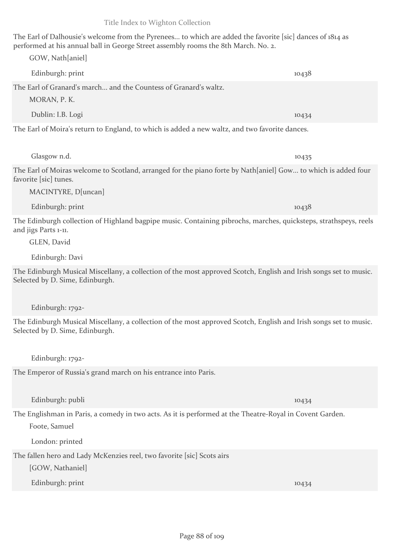The Earl of Dalhousie's welcome from the Pyrenees... to which are added the favorite [sic] dances of 1814 as performed at his annual ball in George Street assembly rooms the 8th March. No. 2.

Edinburgh: print 10438

| The Earl of Granard's march and the Countess of Granard's waltz.<br>MORAN, P. K.                                                                                         |       |
|--------------------------------------------------------------------------------------------------------------------------------------------------------------------------|-------|
| Dublin: I.B. Logi                                                                                                                                                        | 10434 |
| The Earl of Moira's return to England, to which is added a new waltz, and two favorite dances.                                                                           |       |
| Glasgow n.d.                                                                                                                                                             | 10435 |
| The Earl of Moiras welcome to Scotland, arranged for the piano forte by Nath[aniel] Gow to which is added four<br>favorite [sic] tunes.<br>MACINTYRE, D[uncan]           |       |
| Edinburgh: print                                                                                                                                                         | 10438 |
| The Edinburgh collection of Highland bagpipe music. Containing pibrochs, marches, quicksteps, strathspeys, reels<br>and jigs Parts 1-11.<br>GLEN, David                  |       |
| Edinburgh: Davi                                                                                                                                                          |       |
| The Edinburgh Musical Miscellany, a collection of the most approved Scotch, English and Irish songs set to music.<br>Selected by D. Sime, Edinburgh.<br>Edinburgh: 1792- |       |
| The Edinburgh Musical Miscellany, a collection of the most approved Scotch, English and Irish songs set to music.<br>Selected by D. Sime, Edinburgh.<br>Edinburgh: 1792- |       |
| The Emperor of Russia's grand march on his entrance into Paris.                                                                                                          |       |
|                                                                                                                                                                          |       |
| Edinburgh: publi                                                                                                                                                         | 10434 |
| The Englishman in Paris, a comedy in two acts. As it is performed at the Theatre-Royal in Covent Garden.<br>Foote, Samuel                                                |       |
| London: printed                                                                                                                                                          |       |
| The fallen hero and Lady McKenzies reel, two favorite [sic] Scots airs<br>[GOW, Nathaniel]                                                                               |       |
| Edinburgh: print                                                                                                                                                         | 10434 |
|                                                                                                                                                                          |       |

Title Index to Wighton Collection

GOW, Nath[aniel]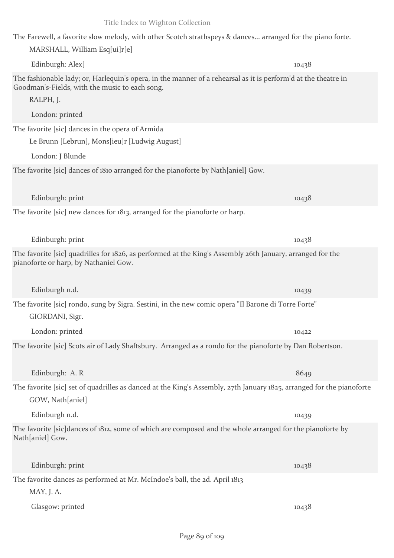| The Farewell, a favorite slow melody, with other Scotch strathspeys & dances arranged for the piano forte.<br>MARSHALL, William Esq[ui]r[e]                                                      |       |
|--------------------------------------------------------------------------------------------------------------------------------------------------------------------------------------------------|-------|
| Edinburgh: Alex[                                                                                                                                                                                 | 10438 |
| The fashionable lady; or, Harlequin's opera, in the manner of a rehearsal as it is perform'd at the theatre in<br>Goodman's-Fields, with the music to each song.<br>RALPH, J.<br>London: printed |       |
| The favorite [sic] dances in the opera of Armida                                                                                                                                                 |       |
| Le Brunn [Lebrun], Mons[ieu]r [Ludwig August]                                                                                                                                                    |       |
| London: J Blunde                                                                                                                                                                                 |       |
| The favorite [sic] dances of 1810 arranged for the pianoforte by Nath[aniel] Gow.                                                                                                                |       |
| Edinburgh: print                                                                                                                                                                                 | 10438 |
| The favorite [sic] new dances for 1813, arranged for the pianoforte or harp.                                                                                                                     |       |
| Edinburgh: print                                                                                                                                                                                 | 10438 |
| The favorite [sic] quadrilles for 1826, as performed at the King's Assembly 26th January, arranged for the<br>pianoforte or harp, by Nathaniel Gow.                                              |       |
| Edinburgh n.d.                                                                                                                                                                                   | 10439 |
| The favorite [sic] rondo, sung by Sigra. Sestini, in the new comic opera "Il Barone di Torre Forte"<br>GIORDANI, Sigr.                                                                           |       |
| London: printed                                                                                                                                                                                  | 10422 |
| The favorite [sic] Scots air of Lady Shaftsbury. Arranged as a rondo for the pianoforte by Dan Robertson.                                                                                        |       |
| Edinburgh: A.R.                                                                                                                                                                                  | 8649  |
| The favorite [sic] set of quadrilles as danced at the King's Assembly, 27th January 1825, arranged for the pianoforte<br>GOW, Nath[aniel]                                                        |       |
| Edinburgh n.d.                                                                                                                                                                                   | 10439 |
| The favorite [sic]dances of 1812, some of which are composed and the whole arranged for the pianoforte by<br>Nath[aniel] Gow.                                                                    |       |
| Edinburgh: print                                                                                                                                                                                 | 10438 |
| The favorite dances as performed at Mr. McIndoe's ball, the 2d. April 1813<br>MAY, J. A.                                                                                                         |       |
| Glasgow: printed                                                                                                                                                                                 | 10438 |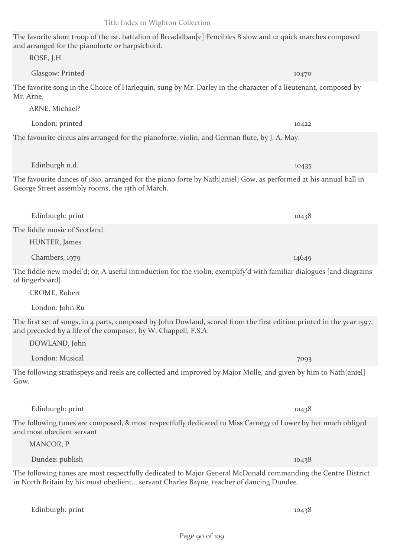### The favorite short troop of the 1st. battalion of Breadalban[e] Fencibles 8 slow and 12 quick marches composed and arranged for the pianoforte or harpsichord. ROSE, J.H.

Glasgow: Printed 10470

London: printed 10422

Edinburgh n.d. 10435

The favorite song in the Choice of Harlequin, sung by Mr. Darley in the character of a lieutenant, composed by Mr. Arne.

ARNE, Michael?

The favourite circus airs arranged for the pianoforte, violin, and German flute, by J. A. May.

The favourite dances of 1810, arranged for the piano forte by Nath[aniel] Gow, as performed at his annual ball in George Street assembly rooms, the 13th of March.

HUNTER, James Chambers, 1979 14649

The fiddle new model'd; or, A useful introduction for the violin, exemplify'd with familiar dialogues [and diagrams of fingerboard].

CROME, Robert

The fiddle music of Scotland.

London: John Ru

DOWLAND, John

The first set of songs, in 4 parts, composed by John Dowland, scored from the first edition printed in the year 1597, and preceded by a life of the composer, by W. Chappell, F.S.A.

London: Musical 7093 The following strathspeys and reels are collected and improved by Major Molle, and given by him to Nath[aniel] Gow.

The following tunes are composed, & most respectfully dedicated to Miss Carnegy of Lower by her much obliged and most obedient servant

The following tunes are most respectfully dedicated to Major General McDonald commanding the Centre District in North Britain by his most obedient... servant Charles Bayne, teacher of dancing Dundee.

Edinburgh: print 10438

MANCOR, P

Edinburgh: print 10438

Dundee: publish 10438

Edinburgh: print 10438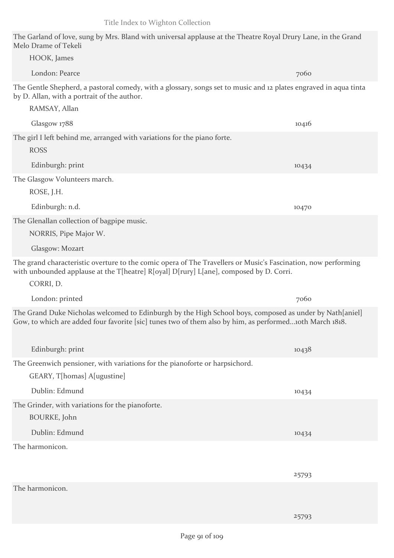25793

| HOOK, James                                                                                                                                                                                                          |       |
|----------------------------------------------------------------------------------------------------------------------------------------------------------------------------------------------------------------------|-------|
| London: Pearce                                                                                                                                                                                                       | 7060  |
| The Gentle Shepherd, a pastoral comedy, with a glossary, songs set to music and 12 plates engraved in aqua tinta<br>by D. Allan, with a portrait of the author.                                                      |       |
| RAMSAY, Allan                                                                                                                                                                                                        |       |
| Glasgow 1788                                                                                                                                                                                                         | 10416 |
| The girl I left behind me, arranged with variations for the piano forte.<br><b>ROSS</b>                                                                                                                              |       |
| Edinburgh: print                                                                                                                                                                                                     | 10434 |
| The Glasgow Volunteers march.<br>ROSE, J.H.                                                                                                                                                                          |       |
| Edinburgh: n.d.                                                                                                                                                                                                      | 10470 |
| The Glenallan collection of bagpipe music.<br>NORRIS, Pipe Major W.                                                                                                                                                  |       |
| Glasgow: Mozart                                                                                                                                                                                                      |       |
| The grand characteristic overture to the comic opera of The Travellers or Music's Fascination, now performing<br>with unbounded applause at the T[heatre] R[oyal] D[rury] L[ane], composed by D. Corri.<br>CORRI, D. |       |
| London: printed                                                                                                                                                                                                      | 7060  |
| The Grand Duke Nicholas welcomed to Edinburgh by the High School boys, composed as under by Nath[aniel]<br>Gow, to which are added four favorite [sic] tunes two of them also by him, as performed10th March 1818.   |       |
| Edinburgh: print                                                                                                                                                                                                     | 10438 |
| The Greenwich pensioner, with variations for the pianoforte or harpsichord.<br>GEARY, T[homas] A[ugustine]                                                                                                           |       |
| Dublin: Edmund                                                                                                                                                                                                       | 10434 |
| The Grinder, with variations for the pianoforte.<br>BOURKE, John                                                                                                                                                     |       |
| Dublin: Edmund                                                                                                                                                                                                       | 10434 |
| The harmonicon.                                                                                                                                                                                                      |       |
|                                                                                                                                                                                                                      | 25793 |
| The harmonicon.                                                                                                                                                                                                      |       |

Melo Drame of Tekeli

The Garland of love, sung by Mrs. Bland with universal applause at the Theatre Royal Drury Lane, in the Grand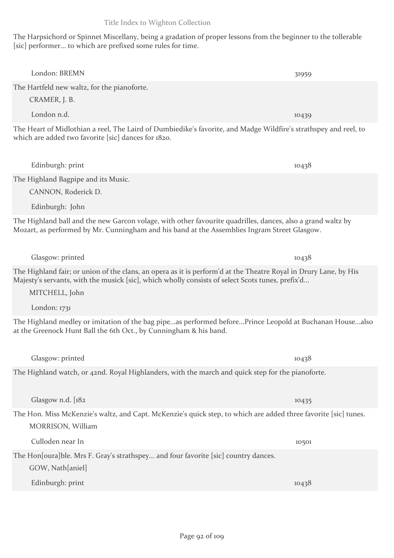The Harpsichord or Spinnet Miscellany, being a gradation of proper lessons from the beginner to the tollerable [sic] performer... to which are prefixed some rules for time.

London: BREMN 31959

| The Hartfeld new waltz, for the pianoforte.                                                                                                                                                                 |       |
|-------------------------------------------------------------------------------------------------------------------------------------------------------------------------------------------------------------|-------|
| CRAMER, J. B.                                                                                                                                                                                               |       |
| London n.d.                                                                                                                                                                                                 | 10439 |
| The Heart of Midlothian a reel, The Laird of Dumbiedike's favorite, and Madge Wildfire's strathspey and reel, to<br>which are added two favorite [sic] dances for 1820.                                     |       |
| Edinburgh: print                                                                                                                                                                                            | 10438 |
| The Highland Bagpipe and its Music.                                                                                                                                                                         |       |
| CANNON, Roderick D.                                                                                                                                                                                         |       |
| Edinburgh: John                                                                                                                                                                                             |       |
| The Highland ball and the new Garcon volage, with other favourite quadrilles, dances, also a grand waltz by<br>Mozart, as performed by Mr. Cunningham and his band at the Assemblies Ingram Street Glasgow. |       |
| Glasgow: printed                                                                                                                                                                                            | 10438 |

The Highland fair; or union of the clans, an opera as it is perform'd at the Theatre Royal in Drury Lane, by His Majesty's servants, with the musick [sic], which wholly consists of select Scots tunes, prefix'd...

MITCHELL, John

London: 1731

The Highland medley or imitation of the bag pipe...as performed before...Prince Leopold at Buchanan House...also at the Greenock Hunt Ball the 6th Oct., by Cunningham & his band.

The Highland watch, or 42nd. Royal Highlanders, with the march and quick step for the pianoforte.

Glasgow n.d. [182 10435]

The Hon. Miss McKenzie's waltz, and Capt. McKenzie's quick step, to which are added three favorite [sic] tunes. MORRISON, William

Culloden near In 10501

The Hon[oura]ble. Mrs F. Gray's strathspey... and four favorite [sic] country dances. GOW, Nath[aniel]

Edinburgh: print 10438

Glasgow: printed 10438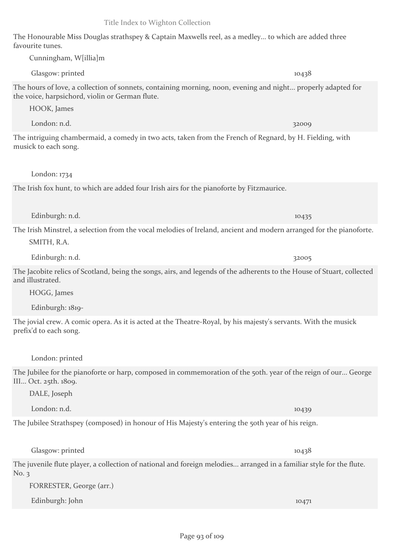The Honourable Miss Douglas strathspey & Captain Maxwells reel, as a medley... to which are added three favourite tunes.

Glasgow: printed 10438 The hours of love, a collection of sonnets, containing morning, noon, evening and night... properly adapted for the voice, harpsichord, violin or German flute.

HOOK, James

The intriguing chambermaid, a comedy in two acts, taken from the French of Regnard, by H. Fielding, with musick to each song.

London: 1734

The Irish fox hunt, to which are added four Irish airs for the pianoforte by Fitzmaurice.

Edinburgh: n.d. 10435

The Irish Minstrel, a selection from the vocal melodies of Ireland, ancient and modern arranged for the pianoforte. SMITH, R.A.

Edinburgh: n.d. 32005

The Jacobite relics of Scotland, being the songs, airs, and legends of the adherents to the House of Stuart, collected and illustrated.

HOGG, James

Edinburgh: 1819-

The jovial crew. A comic opera. As it is acted at the Theatre-Royal, by his majesty's servants. With the musick prefix'd to each song.

London: printed

The Jubilee for the pianoforte or harp, composed in commemoration of the 50th, year of the reign of our... George III... Oct. 25th. 1809.

DALE, Joseph

London: n.d. 10439

The Jubilee Strathspey (composed) in honour of His Majesty's entering the 50th year of his reign.

The juvenile flute player, a collection of national and foreign melodies... arranged in a familiar style for the flute. No. 3

FORRESTER, George (arr.)

Edinburgh: John 10471

Glasgow: printed 10438

London: n.d. 32009

Cunningham, W[illia]m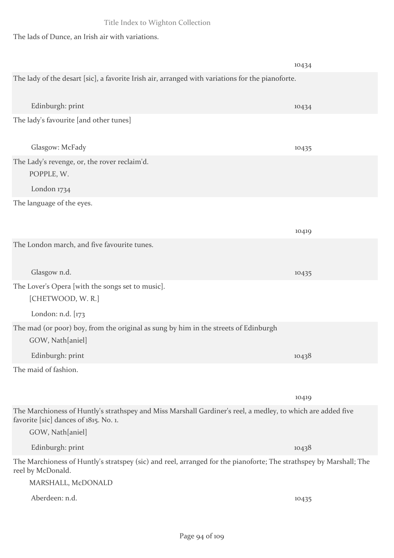The lads of Dunce, an Irish air with variations.

|                                                                                                                                                      | 10434 |
|------------------------------------------------------------------------------------------------------------------------------------------------------|-------|
| The lady of the desart [sic], a favorite Irish air, arranged with variations for the pianoforte.                                                     |       |
| Edinburgh: print                                                                                                                                     | 10434 |
| The lady's favourite [and other tunes]                                                                                                               |       |
| Glasgow: McFady                                                                                                                                      | 10435 |
| The Lady's revenge, or, the rover reclaim'd.<br>POPPLE, W.                                                                                           |       |
| London 1734                                                                                                                                          |       |
| The language of the eyes.                                                                                                                            |       |
|                                                                                                                                                      | 10419 |
| The London march, and five favourite tunes.                                                                                                          |       |
| Glasgow n.d.                                                                                                                                         | 10435 |
| The Lover's Opera [with the songs set to music].<br>[CHETWOOD, W.R.]                                                                                 |       |
| London: n.d. [173                                                                                                                                    |       |
| The mad (or poor) boy, from the original as sung by him in the streets of Edinburgh<br>GOW, Nath[aniel]                                              |       |
| Edinburgh: print                                                                                                                                     | 10438 |
| The maid of fashion.                                                                                                                                 |       |
|                                                                                                                                                      | 10419 |
| The Marchioness of Huntly's strathspey and Miss Marshall Gardiner's reel, a medley, to which are added five<br>favorite [sic] dances of 1815. No. 1. |       |
| GOW, Nath[aniel]                                                                                                                                     |       |
| Edinburgh: print                                                                                                                                     | 10438 |
| The Marchioness of Huntly's stratspey (sic) and reel, arranged for the pianoforte; The strathspey by Marshall; The<br>reel by McDonald.              |       |
| MARSHALL, McDONALD                                                                                                                                   |       |
| Aberdeen: n.d.                                                                                                                                       | 10435 |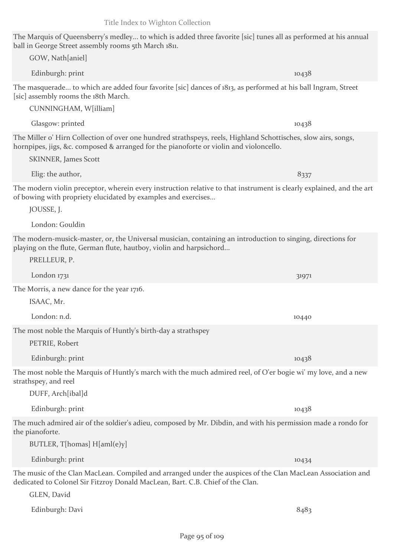# The Marquis of Queensberry's medley... to which is added three favorite [sic] tunes all as performed at his annual ball in George Street assembly rooms 5th March 1811.

| Dall III George Street assembly rooms 5th March Ion.<br>GOW, Nath[aniel]                                                                                                                                     |       |
|--------------------------------------------------------------------------------------------------------------------------------------------------------------------------------------------------------------|-------|
|                                                                                                                                                                                                              |       |
| Edinburgh: print                                                                                                                                                                                             | 10438 |
| The masquerade to which are added four favorite [sic] dances of 1813, as performed at his ball Ingram, Street<br>[sic] assembly rooms the 18th March.<br>CUNNINGHAM, W[illiam]                               |       |
| Glasgow: printed                                                                                                                                                                                             | 10438 |
| The Miller o' Hirn Collection of over one hundred strathspeys, reels, Highland Schottisches, slow airs, songs,                                                                                               |       |
| hornpipes, jigs, &c. composed & arranged for the pianoforte or violin and violoncello.<br><b>SKINNER</b> , James Scott                                                                                       |       |
| Elig: the author,                                                                                                                                                                                            | 8337  |
| The modern violin preceptor, wherein every instruction relative to that instrument is clearly explained, and the art<br>of bowing with propriety elucidated by examples and exercises<br>JOUSSE, J.          |       |
| London: Gouldin                                                                                                                                                                                              |       |
| The modern-musick-master, or, the Universal musician, containing an introduction to singing, directions for<br>playing on the flute, German flute, hautboy, violin and harpsichord<br>PRELLEUR, P.           |       |
| London 1731                                                                                                                                                                                                  | 31971 |
| The Morris, a new dance for the year 1716.                                                                                                                                                                   |       |
| ISAAC, Mr.                                                                                                                                                                                                   |       |
| London: n.d.                                                                                                                                                                                                 | 10440 |
| The most noble the Marquis of Huntly's birth-day a strathspey<br>PETRIE, Robert                                                                                                                              |       |
| Edinburgh: print                                                                                                                                                                                             | 10438 |
| The most noble the Marquis of Huntly's march with the much admired reel, of O'er bogie wi' my love, and a new<br>strathspey, and reel<br>DUFF, Arch[ibal]d                                                   |       |
| Edinburgh: print                                                                                                                                                                                             | 10438 |
| The much admired air of the soldier's adieu, composed by Mr. Dibdin, and with his permission made a rondo for<br>the pianoforte.                                                                             |       |
| BUTLER, T[homas] H[aml(e)y]                                                                                                                                                                                  |       |
| Edinburgh: print                                                                                                                                                                                             | 10434 |
| The music of the Clan MacLean. Compiled and arranged under the auspices of the Clan MacLean Association and<br>dedicated to Colonel Sir Fitzroy Donald MacLean, Bart. C.B. Chief of the Clan.<br>GLEN, David |       |
| Edinburgh: Davi                                                                                                                                                                                              | 8483  |
|                                                                                                                                                                                                              |       |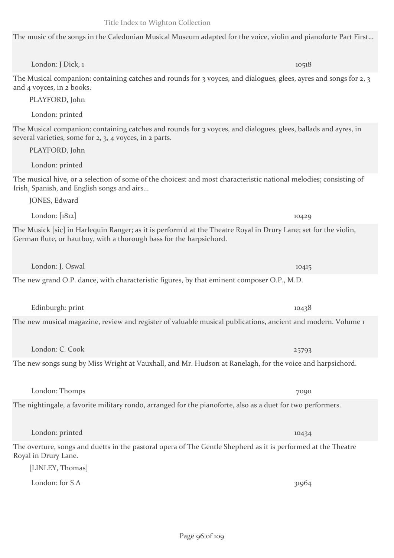London: J Dick, 1 10518

The music of the songs in the Caledonian Musical Museum adapted for the voice, violin and pianoforte Part First...

The Musical companion: containing catches and rounds for 3 voyces, and dialogues, glees, ayres and songs for 2, 3 and 4 voyces, in 2 books.

PLAYFORD, John

London: printed

The Musical companion: containing catches and rounds for 3 voyces, and dialogues, glees, ballads and ayres, in several varieties, some for 2, 3, 4 voyces, in 2 parts.

PLAYFORD, John

London: printed

The musical hive, or a selection of some of the choicest and most characteristic national melodies; consisting of Irish, Spanish, and English songs and airs...

JONES, Edward

The Musick [sic] in Harlequin Ranger; as it is perform'd at the Theatre Royal in Drury Lane; set for the violin, German flute, or hautboy, with a thorough bass for the harpsichord.

The new grand O.P. dance, with characteristic figures, by that eminent composer O.P., M.D.

Edinburgh: print 10438

The new musical magazine, review and register of valuable musical publications, ancient and modern. Volume 1

London: C. Cook 25793

The new songs sung by Miss Wright at Vauxhall, and Mr. Hudson at Ranelagh, for the voice and harpsichord.

London: Thomps 7090

The nightingale, a favorite military rondo, arranged for the pianoforte, also as a duet for two performers.

The overture, songs and duetts in the pastoral opera of The Gentle Shepherd as it is performed at the Theatre Royal in Drury Lane.

[LINLEY, Thomas]

London: for  $S A$  31964

London: J. Oswal 10415

London: printed 10434

London: [1812] 10429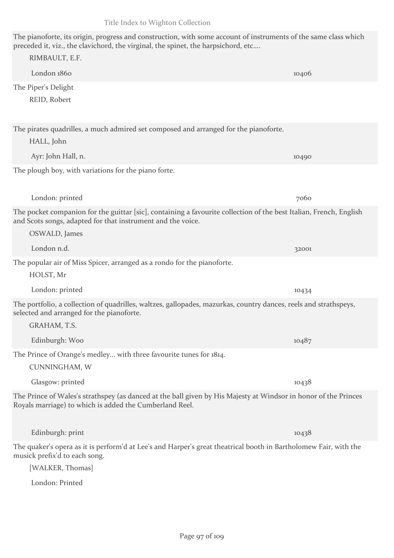| The pianoforte, its origin, progress and construction, with some account of instruments of the same class which<br>preceded it, viz., the clavichord, the virginal, the spinet, the harpsichord, etc |       |  |
|------------------------------------------------------------------------------------------------------------------------------------------------------------------------------------------------------|-------|--|
| RIMBAULT, E.F.                                                                                                                                                                                       |       |  |
| London 1860                                                                                                                                                                                          | 10406 |  |
| The Piper's Delight                                                                                                                                                                                  |       |  |
| REID, Robert                                                                                                                                                                                         |       |  |
| The pirates quadrilles, a much admired set composed and arranged for the pianoforte.                                                                                                                 |       |  |
| HALL, John                                                                                                                                                                                           |       |  |
| Ayr: John Hall, n.                                                                                                                                                                                   | 10490 |  |
| The plough boy, with variations for the piano forte.                                                                                                                                                 |       |  |
| London: printed                                                                                                                                                                                      | 7060  |  |
| The pocket companion for the guittar [sic], containing a favourite collection of the best Italian, French, English<br>and Scots songs, adapted for that instrument and the voice.<br>OSWALD, James   |       |  |
| London n.d.                                                                                                                                                                                          | 32001 |  |
| The popular air of Miss Spicer, arranged as a rondo for the pianoforte.                                                                                                                              |       |  |
| HOLST, Mr                                                                                                                                                                                            |       |  |
| London: printed                                                                                                                                                                                      | 10434 |  |
| The portfolio, a collection of quadrilles, waltzes, gallopades, mazurkas, country dances, reels and strathspeys,<br>selected and arranged for the pianoforte.<br>GRAHAM, T.S.                        |       |  |
| Edinburgh: Woo                                                                                                                                                                                       | 10487 |  |
| The Prince of Orange's medley with three favourite tunes for 1814.                                                                                                                                   |       |  |
| CUNNINGHAM, W                                                                                                                                                                                        |       |  |
| Glasgow: printed                                                                                                                                                                                     | 10438 |  |
| The Prince of Wales's strathspey (as danced at the ball given by His Majesty at Windsor in honor of the Princes<br>Royals marriage) to which is added the Cumberland Reel.                           |       |  |
| Edinburgh: print                                                                                                                                                                                     | 10438 |  |
| The quaker's opera as it is perform'd at Lee's and Harper's great theatrical booth in Bartholomew Fair, with the<br>musick prefix'd to each song.                                                    |       |  |
| [WALKER, Thomas]                                                                                                                                                                                     |       |  |
| London: Printed                                                                                                                                                                                      |       |  |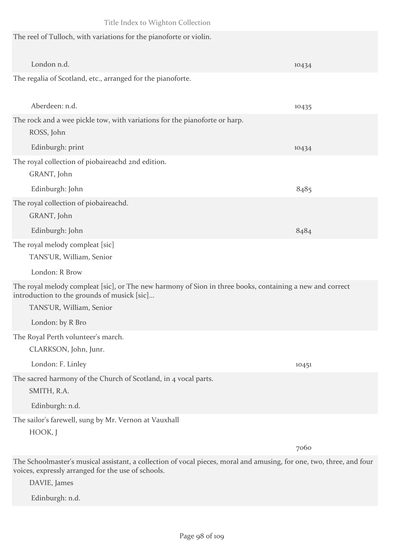| Title Index to Wighton Collection                                                                                                                                                   |       |  |
|-------------------------------------------------------------------------------------------------------------------------------------------------------------------------------------|-------|--|
| The reel of Tulloch, with variations for the pianoforte or violin.                                                                                                                  |       |  |
| London n.d.                                                                                                                                                                         | 10434 |  |
| The regalia of Scotland, etc., arranged for the pianoforte.                                                                                                                         |       |  |
| Aberdeen: n.d.                                                                                                                                                                      | 10435 |  |
| The rock and a wee pickle tow, with variations for the pianoforte or harp.<br>ROSS, John                                                                                            |       |  |
| Edinburgh: print                                                                                                                                                                    | 10434 |  |
| The royal collection of piobaireachd 2nd edition.<br>GRANT, John                                                                                                                    |       |  |
| Edinburgh: John                                                                                                                                                                     | 8485  |  |
| The royal collection of piobaireachd.                                                                                                                                               |       |  |
| GRANT, John                                                                                                                                                                         |       |  |
| Edinburgh: John                                                                                                                                                                     | 8484  |  |
| The royal melody compleat [sic]                                                                                                                                                     |       |  |
| TANS'UR, William, Senior                                                                                                                                                            |       |  |
| London: R Brow                                                                                                                                                                      |       |  |
| The royal melody compleat [sic], or The new harmony of Sion in three books, containing a new and correct<br>introduction to the grounds of musick [sic]<br>TANS'UR, William, Senior |       |  |
| London: by R Bro                                                                                                                                                                    |       |  |
| The Royal Perth volunteer's march.                                                                                                                                                  |       |  |
| CLARKSON, John, Junr.                                                                                                                                                               |       |  |
| London: F. Linley                                                                                                                                                                   | 10451 |  |
| The sacred harmony of the Church of Scotland, in 4 vocal parts.<br>SMITH, R.A.                                                                                                      |       |  |
| Edinburgh: n.d.                                                                                                                                                                     |       |  |
| The sailor's farewell, sung by Mr. Vernon at Vauxhall<br>HOOK, J                                                                                                                    |       |  |
|                                                                                                                                                                                     | 7060  |  |

The Schoolmaster's musical assistant, a collection of vocal pieces, moral and amusing, for one, two, three, and four voices, expressly arranged for the use of schools.

DAVIE, James

Edinburgh: n.d.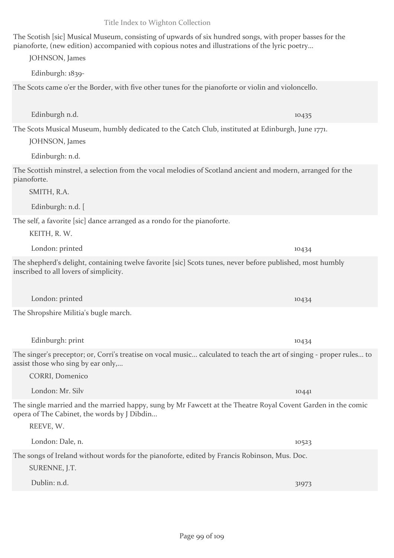The Scotish [sic] Musical Museum, consisting of upwards of six hundred songs, with proper basses for the pianoforte, (new edition) accompanied with copious notes and illustrations of the lyric poetry...

JOHNSON, James

Edinburgh: 1839-

The Scots came o'er the Border, with five other tunes for the pianoforte or violin and violoncello.

The Scots Musical Museum, humbly dedicated to the Catch Club, instituted at Edinburgh, June 1771.

JOHNSON, James

Edinburgh: n.d.

The Scottish minstrel, a selection from the vocal melodies of Scotland ancient and modern, arranged for the pianoforte.

SMITH, R.A.

Edinburgh: n.d. [

The self, a favorite [sic] dance arranged as a rondo for the pianoforte.

KEITH, R. W.

London: printed 10434

The shepherd's delight, containing twelve favorite [sic] Scots tunes, never before published, most humbly inscribed to all lovers of simplicity.

London: printed 10434

The Shropshire Militia's bugle march.

Edinburgh: print 10434 The singer's preceptor; or, Corri's treatise on vocal music... calculated to teach the art of singing - proper rules... to assist those who sing by ear only,...

CORRI, Domenico

REEVE, W.

The single married and the married happy, sung by Mr Fawcett at the Theatre Royal Covent Garden in the comic opera of The Cabinet, the words by J Dibdin...

The songs of Ireland without words for the pianoforte, edited by Francis Robinson, Mus. Doc. SURENNE, J.T.

| Dublin: n.d. | 31973 |
|--------------|-------|
|              |       |

Edinburgh n.d. 10435

London: Mr. Silv 10441

London: Dale, n. 10523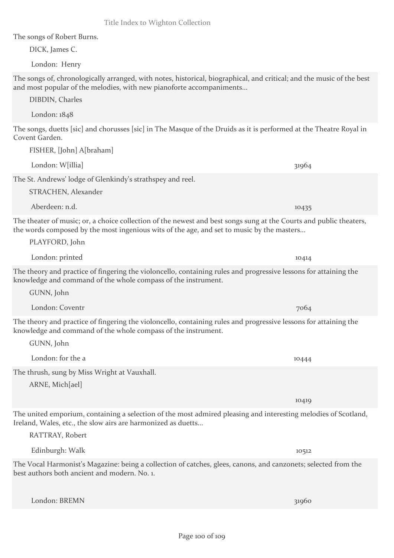The songs of Robert Burns.

DICK, James C.

London: Henry

The songs of, chronologically arranged, with notes, historical, biographical, and critical; and the music of the best and most popular of the melodies, with new pianoforte accompaniments...

DIBDIN, Charles

London: 1848

The songs, duetts [sic] and chorusses [sic] in The Masque of the Druids as it is performed at the Theatre Royal in Covent Garden.

London: W[illia] 31964

FISHER, [John] A[braham]

The St. Andrews' lodge of Glenkindy's strathspey and reel.

STRACHEN, Alexander

Aberdeen: n.d. 10435

The theater of music; or, a choice collection of the newest and best songs sung at the Courts and public theaters, the words composed by the most ingenious wits of the age, and set to music by the masters...

PLAYFORD, John

London: printed 10414

The theory and practice of fingering the violoncello, containing rules and progressive lessons for attaining the knowledge and command of the whole compass of the instrument.

GUNN, John

London: Coventr 7064

The theory and practice of fingering the violoncello, containing rules and progressive lessons for attaining the knowledge and command of the whole compass of the instrument.

GUNN, John

London: for the a 10444

The thrush, sung by Miss Wright at Vauxhall.

ARNE, Mich[ael]

The united emporium, containing a selection of the most admired pleasing and interesting melodies of Scotland, Ireland, Wales, etc., the slow airs are harmonized as duetts...

RATTRAY, Robert

Edinburgh: Walk 10512

The Vocal Harmonist's Magazine: being a collection of catches, glees, canons, and canzonets; selected from the best authors both ancient and modern. No. 1.

London: BREMN 31960

10419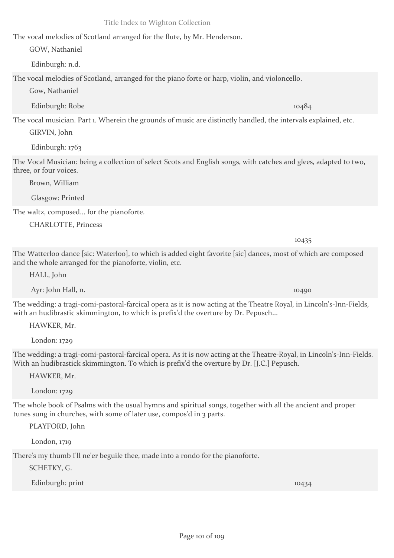The vocal melodies of Scotland arranged for the flute, by Mr. Henderson.

GOW, Nathaniel

Edinburgh: n.d.

The vocal melodies of Scotland, arranged for the piano forte or harp, violin, and violoncello.

Gow, Nathaniel

Edinburgh: Robe 10484

The vocal musician. Part 1. Wherein the grounds of music are distinctly handled, the intervals explained, etc.

GIRVIN, John

Edinburgh: 1763

The Vocal Musician: being a collection of select Scots and English songs, with catches and glees, adapted to two, three, or four voices.

Brown, William

Glasgow: Printed

The waltz, composed... for the pianoforte.

CHARLOTTE, Princess

The Watterloo dance [sic: Waterloo], to which is added eight favorite [sic] dances, most of which are composed and the whole arranged for the pianoforte, violin, etc.

HALL, John

Ayr: John Hall, n. 10490

The wedding: a tragi-comi-pastoral-farcical opera as it is now acting at the Theatre Royal, in Lincoln's-Inn-Fields, with an hudibrastic skimmington, to which is prefix'd the overture by Dr. Pepusch...

HAWKER, Mr.

London: 1729

The wedding: a tragi-comi-pastoral-farcical opera. As it is now acting at the Theatre-Royal, in Lincoln's-Inn-Fields. With an hudibrastick skimmington. To which is prefix'd the overture by Dr. [J.C.] Pepusch.

HAWKER, Mr.

London: 1729

The whole book of Psalms with the usual hymns and spiritual songs, together with all the ancient and proper tunes sung in churches, with some of later use, compos'd in 3 parts.

PLAYFORD, John

London, 1719

There's my thumb I'll ne'er beguile thee, made into a rondo for the pianoforte.

SCHETKY, G.

Edinburgh: print 10434

10435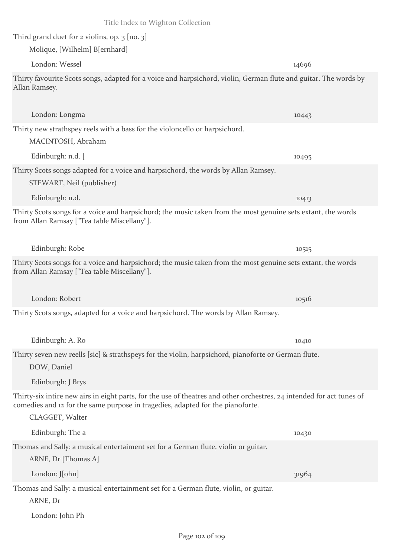| Title Index to Wighton Collection                                                                                                                                                                                          |       |
|----------------------------------------------------------------------------------------------------------------------------------------------------------------------------------------------------------------------------|-------|
| Third grand duet for $2$ violins, op. $3$ [no. $3$ ]                                                                                                                                                                       |       |
| Molique, [Wilhelm] B[ernhard]                                                                                                                                                                                              |       |
| London: Wessel                                                                                                                                                                                                             | 14696 |
| Thirty favourite Scots songs, adapted for a voice and harpsichord, violin, German flute and guitar. The words by<br>Allan Ramsey.                                                                                          |       |
| London: Longma                                                                                                                                                                                                             | 10443 |
| Thirty new strathspey reels with a bass for the violoncello or harpsichord.<br>MACINTOSH, Abraham                                                                                                                          |       |
| Edinburgh: n.d. [                                                                                                                                                                                                          | 10495 |
| Thirty Scots songs adapted for a voice and harpsichord, the words by Allan Ramsey.<br>STEWART, Neil (publisher)                                                                                                            |       |
| Edinburgh: n.d.                                                                                                                                                                                                            | 10413 |
| Thirty Scots songs for a voice and harpsichord; the music taken from the most genuine sets extant, the words<br>from Allan Ramsay ["Tea table Miscellany"].                                                                |       |
| Edinburgh: Robe                                                                                                                                                                                                            | 10515 |
| Thirty Scots songs for a voice and harpsichord; the music taken from the most genuine sets extant, the words<br>from Allan Ramsay ["Tea table Miscellany"].                                                                |       |
| London: Robert                                                                                                                                                                                                             | 10516 |
| Thirty Scots songs, adapted for a voice and harpsichord. The words by Allan Ramsey.                                                                                                                                        |       |
| Edinburgh: A. Ro                                                                                                                                                                                                           | 10410 |
| Thirty seven new reells [sic] & strathspeys for the violin, harpsichord, pianoforte or German flute.<br>DOW, Daniel                                                                                                        |       |
| Edinburgh: J Brys                                                                                                                                                                                                          |       |
| Thirty-six intire new airs in eight parts, for the use of theatres and other orchestres, 24 intended for act tunes of<br>comedies and 12 for the same purpose in tragedies, adapted for the pianoforte.<br>CLAGGET, Walter |       |
| Edinburgh: The a                                                                                                                                                                                                           | 10430 |
| Thomas and Sally: a musical entertaiment set for a German flute, violin or guitar.<br>ARNE, Dr [Thomas A]                                                                                                                  |       |
| London: J[ohn]                                                                                                                                                                                                             | 31964 |
| Thomas and Sally: a musical entertainment set for a German flute, violin, or guitar.<br>ARNE, Dr                                                                                                                           |       |
| London: John Ph                                                                                                                                                                                                            |       |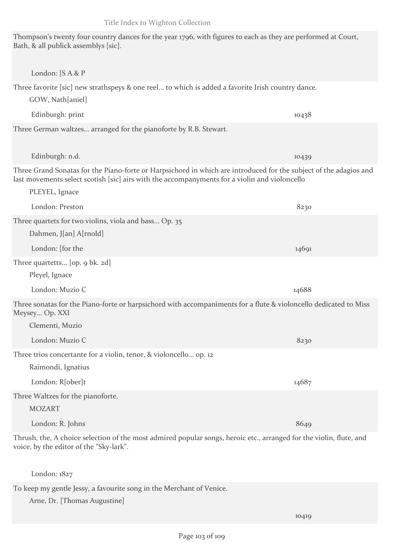Edinburgh: print 10438

Three favorite [sic] new strathspeys & one reel... to which is added a favorite Irish country dance.

Thompson's twenty four country dances for the year 1796, with figures to each as they are performed at Court,

Three German waltzes... arranged for the pianoforte by R.B. Stewart.

Bath, & all publick assemblys [sic].

London: [S A & P

GOW, Nath[aniel]

Edinburgh: n.d. 10439 Three Grand Sonatas for the Piano-forte or Harpsichord in which are introduced for the subject of the adagios and last movements select scotish [sic] airs with the accompanyments for a violin and violoncello

| PLEYEL, Ignace                                                                                                                     |       |  |
|------------------------------------------------------------------------------------------------------------------------------------|-------|--|
| London: Preston                                                                                                                    | 8230  |  |
| Three quartets for two violins, viola and bass Op. 35                                                                              |       |  |
| Dahmen, J[an] A[rnold]                                                                                                             |       |  |
| London: [for the                                                                                                                   | 14691 |  |
| Three quartetts [op. 9 bk. 2d]                                                                                                     |       |  |
| Pleyel, Ignace                                                                                                                     |       |  |
| London: Muzio C                                                                                                                    | 14688 |  |
| Three sonatas for the Piano-forte or harpsichord with accompaniments for a flute & violoncello dedicated to Miss<br>Meysey Op. XXI |       |  |
| Clementi, Muzio                                                                                                                    |       |  |
| London: Muzio C                                                                                                                    | 8230  |  |
| Three trios concertante for a violin, tenor, & violoncello op. 12                                                                  |       |  |
| Raimondi, Ignatius                                                                                                                 |       |  |
| London: R[ober]t                                                                                                                   | 14687 |  |

Three Waltzes for the pianoforte.

MOZART

London: R. Johns 8649

Thrush, the, A choice selection of the most admired popular songs, heroic etc., arranged for the violin, flute, and voice, by the editor of the "Sky-lark".

London: 1827

To keep my gentle Jessy, a favourite song in the Merchant of Venice.

Arne, Dr. [Thomas Augustine]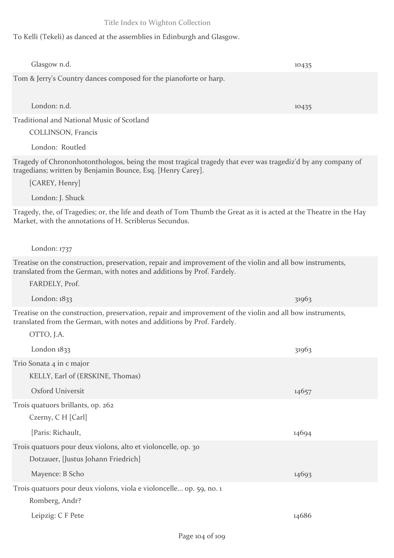To Kelli (Tekeli) as danced at the assemblies in Edinburgh and Glasgow.

| Glasgow n.d.                                                                                                                                                                        | 10435 |  |
|-------------------------------------------------------------------------------------------------------------------------------------------------------------------------------------|-------|--|
| Tom & Jerry's Country dances composed for the pianoforte or harp.                                                                                                                   |       |  |
|                                                                                                                                                                                     |       |  |
| London: n.d.                                                                                                                                                                        | 10435 |  |
| Traditional and National Music of Scotland                                                                                                                                          |       |  |
| <b>COLLINSON</b> , Francis                                                                                                                                                          |       |  |
| London: Routled                                                                                                                                                                     |       |  |
| Tragedy of Chrononhotonthologos, being the most tragical tragedy that ever was tragediz'd by any company of<br>tragedians; written by Benjamin Bounce, Esq. [Henry Carey].          |       |  |
| [CAREY, Henry]                                                                                                                                                                      |       |  |
| London: J. Shuck                                                                                                                                                                    |       |  |
| Tragedy, the, of Tragedies; or, the life and death of Tom Thumb the Great as it is acted at the Theatre in the Hay<br>Market, with the annotations of H. Scriblerus Secundus.       |       |  |
| London: $1737$                                                                                                                                                                      |       |  |
| Treatise on the construction, preservation, repair and improvement of the violin and all bow instruments,<br>translated from the German, with notes and additions by Prof. Fardely. |       |  |
| FARDELY, Prof.                                                                                                                                                                      |       |  |
| London: $1833$                                                                                                                                                                      | 31963 |  |
| Treatise on the construction, preservation, repair and improvement of the violin and all bow instruments,<br>translated from the German, with notes and additions by Prof. Fardely. |       |  |
| OTTO, J.A.                                                                                                                                                                          |       |  |
| London 1833                                                                                                                                                                         | 31963 |  |
| Trio Sonata 4 in c major                                                                                                                                                            |       |  |
| KELLY, Earl of (ERSKINE, Thomas)                                                                                                                                                    |       |  |
| Oxford Universit                                                                                                                                                                    | 14657 |  |
| Trois quatuors brillants, op. 262<br>Czerny, C H [Carl]                                                                                                                             |       |  |
|                                                                                                                                                                                     |       |  |
| [Paris: Richault,                                                                                                                                                                   | 14694 |  |
| Trois quatuors pour deux violons, alto et violoncelle, op. 30<br>Dotzauer, [Justus Johann Friedrich]                                                                                |       |  |
| Mayence: B Scho                                                                                                                                                                     | 14693 |  |
| Trois quatuors pour deux violons, viola e violoncelle op. 59, no. 1                                                                                                                 |       |  |
| Romberg, Andr?                                                                                                                                                                      |       |  |
| Leipzig: C F Pete                                                                                                                                                                   | 14686 |  |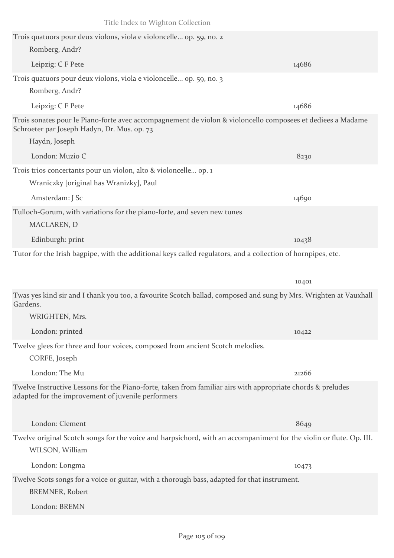| Title Index to Wighton Collection                                                                                                                                           |       |
|-----------------------------------------------------------------------------------------------------------------------------------------------------------------------------|-------|
| Trois quatuors pour deux violons, viola e violoncelle op. 59, no. 2                                                                                                         |       |
| Romberg, Andr?                                                                                                                                                              |       |
| Leipzig: C F Pete                                                                                                                                                           | 14686 |
| Trois quatuors pour deux violons, viola e violoncelle op. 59, no. 3                                                                                                         |       |
| Romberg, Andr?                                                                                                                                                              |       |
| Leipzig: C F Pete                                                                                                                                                           | 14686 |
| Trois sonates pour le Piano-forte avec accompagnement de violon & violoncello composees et dediees a Madame<br>Schroeter par Joseph Hadyn, Dr. Mus. op. 73<br>Haydn, Joseph |       |
| London: Muzio C                                                                                                                                                             |       |
|                                                                                                                                                                             | 8230  |
| Trois trios concertants pour un violon, alto & violoncelle op. 1                                                                                                            |       |
| Wraniczky [original has Wranizky], Paul                                                                                                                                     |       |
| Amsterdam: J Sc                                                                                                                                                             | 14690 |
| Tulloch-Gorum, with variations for the piano-forte, and seven new tunes<br>MACLAREN, D                                                                                      |       |
| Edinburgh: print                                                                                                                                                            | 10438 |
| Tutor for the Irish bagpipe, with the additional keys called regulators, and a collection of hornpipes, etc.                                                                |       |
|                                                                                                                                                                             |       |
|                                                                                                                                                                             | 10401 |
| Twas yes kind sir and I thank you too, a favourite Scotch ballad, composed and sung by Mrs. Wrighten at Vauxhall<br>Gardens.                                                |       |
| WRIGHTEN, Mrs.                                                                                                                                                              |       |
| London: printed                                                                                                                                                             | 10422 |
| Twelve glees for three and four voices, composed from ancient Scotch melodies.                                                                                              |       |
| CORFE, Joseph                                                                                                                                                               |       |
| London: The Mu                                                                                                                                                              | 21266 |
| Twelve Instructive Lessons for the Piano-forte, taken from familiar airs with appropriate chords & preludes<br>adapted for the improvement of juvenile performers           |       |
| London: Clement                                                                                                                                                             | 8649  |
| Twelve original Scotch songs for the voice and harpsichord, with an accompaniment for the violin or flute. Op. III.<br>WILSON, William                                      |       |
| London: Longma                                                                                                                                                              | 10473 |
|                                                                                                                                                                             |       |
| Twelve Scots songs for a voice or guitar, with a thorough bass, adapted for that instrument.<br><b>BREMNER, Robert</b>                                                      |       |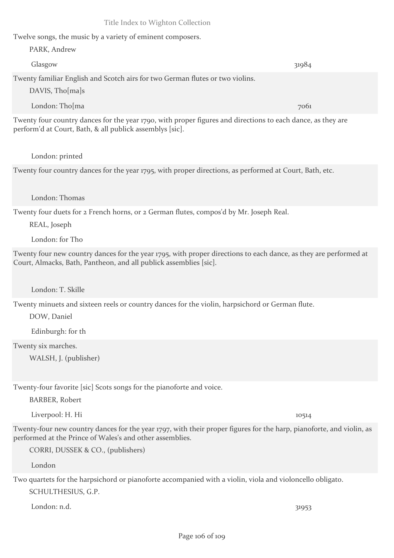#### performed at the Prince of Wales's and other assemblies.

CORRI, DUSSEK & CO., (publishers)

London

Two quartets for the harpsichord or pianoforte accompanied with a violin, viola and violoncello obligato. SCHULTHESIUS, G.P.

London: n.d. 31953

# Twelve songs, the music by a variety of eminent composers.

| PARK, Andrew                                                                  |       |
|-------------------------------------------------------------------------------|-------|
| Glasgow                                                                       | 31984 |
| Twenty familiar English and Scotch airs for two German flutes or two violins. |       |

Title Index to Wighton Collection

DAVIS, Tho[ma]s

London: Tho[ma 7061] 7061 Twenty four country dances for the year 1790, with proper figures and directions to each dance, as they are perform'd at Court, Bath, & all publick assemblys [sic].

London: printed

Twenty four country dances for the year 1795, with proper directions, as performed at Court, Bath, etc.

London: Thomas

Twenty four duets for 2 French horns, or 2 German flutes, compos'd by Mr. Joseph Real.

REAL, Joseph

London: for Tho

Twenty four new country dances for the year 1795, with proper directions to each dance, as they are performed at Court, Almacks, Bath, Pantheon, and all publick assemblies [sic].

London: T. Skille

Twenty minuets and sixteen reels or country dances for the violin, harpsichord or German flute.

DOW, Daniel

Edinburgh: for th

Twenty six marches.

WALSH, J. (publisher)

Twenty-four favorite [sic] Scots songs for the pianoforte and voice.

BARBER, Robert

Liverpool: H. Hi 10514

Twenty-four new country dances for the year 1797, with their proper figures for the harp, pianoforte, and violin, as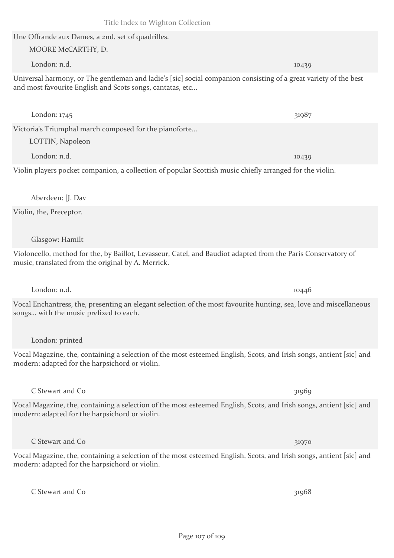## Une Offrande aux Dames, a 2nd. set of quadrilles. MOORE McCARTHY, D.

Universal harmony, or The gentleman and ladie's [sic] social companion consisting of a great variety of the best and most favourite English and Scots songs, cantatas, etc...

Victoria's Triumphal march composed for the pianoforte...

LOTTIN, Napoleon

London: n.d. 10439

Violin players pocket companion, a collection of popular Scottish music chiefly arranged for the violin.

Aberdeen: [J. Dav

Violin, the, Preceptor.

Glasgow: Hamilt

Violoncello, method for the, by Baillot, Levasseur, Catel, and Baudiot adapted from the Paris Conservatory of music, translated from the original by A. Merrick.

Vocal Enchantress, the, presenting an elegant selection of the most favourite hunting, sea, love and miscellaneous songs... with the music prefixed to each.

London: printed

Vocal Magazine, the, containing a selection of the most esteemed English, Scots, and Irish songs, antient [sic] and modern: adapted for the harpsichord or violin.

C Stewart and Co 31969

Vocal Magazine, the, containing a selection of the most esteemed English, Scots, and Irish songs, antient [sic] and modern: adapted for the harpsichord or violin.

C Stewart and Co 31970

Vocal Magazine, the, containing a selection of the most esteemed English, Scots, and Irish songs, antient [sic] and modern: adapted for the harpsichord or violin.

C Stewart and Co 31968

London: n.d. 10446

London: n.d. 10439

London: 1745 31987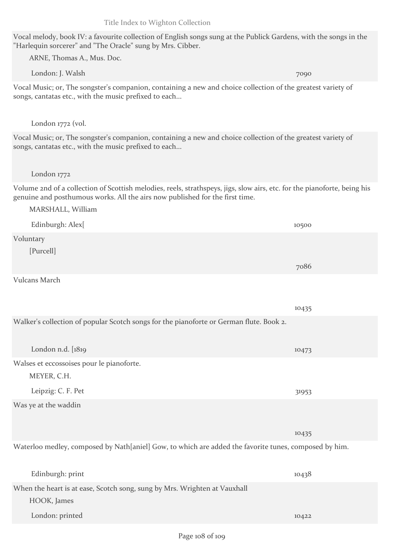Vocal melody, book IV: a favourite collection of English songs sung at the Publick Gardens, with the songs in the "Harlequin sorcerer" and "The Oracle" sung by Mrs. Cibber.

ARNE, Thomas A., Mus. Doc.

London: J. Walsh 7090

Vocal Music; or, The songster's companion, containing a new and choice collection of the greatest variety of songs, cantatas etc., with the music prefixed to each...

#### London 1772 (vol.

Vocal Music; or, The songster's companion, containing a new and choice collection of the greatest variety of songs, cantatas etc., with the music prefixed to each...

#### London 1772

Volume 2nd of a collection of Scottish melodies, reels, strathspeys, jigs, slow airs, etc. for the pianoforte, being his genuine and posthumous works. All the airs now published for the first time.

| MARSHALL, William |       |
|-------------------|-------|
| Edinburgh: Alex[  | 10500 |
| Voluntary         |       |
| [Purcell]         |       |
|                   | 7086  |
| Vulcans March     |       |

|                                                                                         | 10435 |  |
|-----------------------------------------------------------------------------------------|-------|--|
| Walker's collection of popular Scotch songs for the pianoforte or German flute. Book 2. |       |  |
|                                                                                         |       |  |
| London n.d. $[1819]$                                                                    | 10473 |  |
| Walses et eccossoises pour le pianoforte.                                               |       |  |
| MEYER, C.H.                                                                             |       |  |
| Leipzig: C. F. Pet                                                                      | 31953 |  |
| Was ye at the waddin                                                                    |       |  |
|                                                                                         |       |  |
|                                                                                         | 10435 |  |

Waterloo medley, composed by Nath[aniel] Gow, to which are added the favorite tunes, composed by him.

| Edinburgh: print                                                          | 10438 |
|---------------------------------------------------------------------------|-------|
| When the heart is at ease, Scotch song, sung by Mrs. Wrighten at Vauxhall |       |
| HOOK, James                                                               |       |
| London: printed                                                           | 10422 |